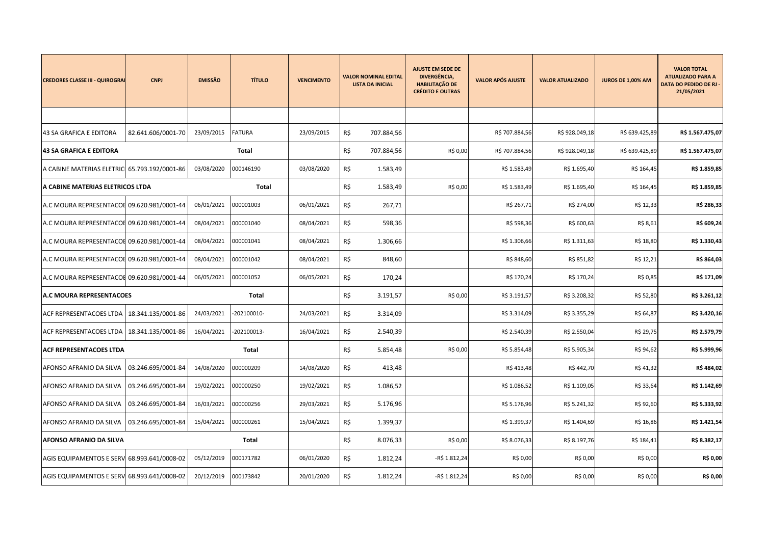| <b>CREDORES CLASSE III - QUIROGRAI</b>       | <b>CNPJ</b>        | <b>EMISSÂO</b> | <b>TÍTULO</b> | <b>VENCIMENTO</b> |     | <b>VALOR NOMINAL EDITAL</b><br><b>LISTA DA INICIAL</b> | <b>AJUSTE EM SEDE DE</b><br>DIVERGÊNCIA,<br><b>HABILITAÇÃO DE</b><br><b>CRÉDITO E OUTRAS</b> | <b>VALOR APÓS AJUSTE</b> | <b>VALOR ATUALIZADO</b> | <b>JUROS DE 1,00% AM</b> | <b>VALOR TOTAL</b><br><b>ATUALIZADO PARA A</b><br><b>DATA DO PEDIDO DE RJ</b><br>21/05/2021 |
|----------------------------------------------|--------------------|----------------|---------------|-------------------|-----|--------------------------------------------------------|----------------------------------------------------------------------------------------------|--------------------------|-------------------------|--------------------------|---------------------------------------------------------------------------------------------|
|                                              |                    |                |               |                   |     |                                                        |                                                                                              |                          |                         |                          |                                                                                             |
| 43 SA GRAFICA E EDITORA                      | 82.641.606/0001-70 | 23/09/2015     | <b>FATURA</b> | 23/09/2015        | R\$ | 707.884,56                                             |                                                                                              | R\$ 707.884,56           | R\$928.049,18           | R\$ 639.425,89           | R\$ 1.567.475,07                                                                            |
| <b>43 SA GRAFICA E EDITORA</b>               |                    |                | Total         |                   | R\$ | 707.884,56                                             | R\$ 0,00                                                                                     | R\$ 707.884,56           | R\$ 928.049,18          | R\$ 639.425,89           | R\$ 1.567.475,07                                                                            |
| A CABINE MATERIAS ELETRIC 65.793.192/0001-86 |                    | 03/08/2020     | 000146190     | 03/08/2020        | R\$ | 1.583,49                                               |                                                                                              | R\$ 1.583,49             | R\$ 1.695,40            | R\$ 164,45               | R\$ 1.859,85                                                                                |
| A CABINE MATERIAS ELETRICOS LTDA             |                    |                | Total         |                   | R\$ | 1.583,49                                               | R\$ 0,00                                                                                     | R\$ 1.583,49             | R\$ 1.695,40            | R\$ 164,45               | R\$ 1.859,85                                                                                |
| A.C MOURA REPRESENTACOL 09.620.981/0001-44   |                    | 06/01/2021     | 000001003     | 06/01/2021        | R\$ | 267,71                                                 |                                                                                              | R\$ 267,71               | R\$ 274,00              | R\$ 12,33                | R\$ 286,33                                                                                  |
| A.C MOURA REPRESENTACOL 09.620.981/0001-44   |                    | 08/04/2021     | 000001040     | 08/04/2021        | R\$ | 598,36                                                 |                                                                                              | R\$ 598,36               | R\$ 600,63              | R\$ 8,61                 | R\$ 609,24                                                                                  |
| A.C MOURA REPRESENTACOL 09.620.981/0001-44   |                    | 08/04/2021     | 000001041     | 08/04/2021        | R\$ | 1.306,66                                               |                                                                                              | R\$ 1.306,66             | R\$ 1.311,63            | R\$ 18,80                | R\$ 1.330,43                                                                                |
| A.C MOURA REPRESENTACOL 09.620.981/0001-44   |                    | 08/04/2021     | 000001042     | 08/04/2021        | R\$ | 848,60                                                 |                                                                                              | R\$ 848,60               | R\$ 851,82              | R\$ 12,21                | R\$ 864,03                                                                                  |
| A.C MOURA REPRESENTACOL 09.620.981/0001-44   |                    | 06/05/2021     | 000001052     | 06/05/2021        | R\$ | 170,24                                                 |                                                                                              | R\$ 170,24               | R\$ 170,24              | R\$ 0,85                 | R\$ 171,09                                                                                  |
| <b>A.C MOURA REPRESENTACOES</b>              |                    |                | Total         |                   | R\$ | 3.191,57                                               | R\$ 0,00                                                                                     | R\$ 3.191,57             | R\$ 3.208,32            | R\$ 52,80                | R\$ 3.261,12                                                                                |
| ACF REPRESENTACOES LTDA                      | 18.341.135/0001-86 | 24/03/2021     | -202100010-   | 24/03/2021        | R\$ | 3.314,09                                               |                                                                                              | R\$ 3.314,09             | R\$ 3.355,29            | R\$ 64,87                | R\$ 3.420,16                                                                                |
| ACF REPRESENTACOES LTDA                      | 18.341.135/0001-86 | 16/04/2021     | -202100013-   | 16/04/2021        | R\$ | 2.540,39                                               |                                                                                              | R\$ 2.540,39             | R\$ 2.550,04            | R\$ 29,75                | R\$ 2.579,79                                                                                |
| <b>ACF REPRESENTACOES LTDA</b>               |                    |                | Total         |                   | R\$ | 5.854,48                                               | R\$ 0,00                                                                                     | R\$ 5.854,48             | R\$ 5.905,34            | R\$ 94,62                | R\$ 5.999,96                                                                                |
| AFONSO AFRANIO DA SILVA                      | 03.246.695/0001-84 | 14/08/2020     | 000000209     | 14/08/2020        | R\$ | 413,48                                                 |                                                                                              | R\$413,48                | R\$442,70               | R\$ 41,32                | R\$484,02                                                                                   |
| AFONSO AFRANIO DA SILVA                      | 03.246.695/0001-84 | 19/02/2021     | 000000250     | 19/02/2021        | R\$ | 1.086,52                                               |                                                                                              | R\$ 1.086,52             | R\$ 1.109,05            | R\$ 33,64                | R\$ 1.142,69                                                                                |
| AFONSO AFRANIO DA SILVA                      | 03.246.695/0001-84 | 16/03/2021     | 000000256     | 29/03/2021        | R\$ | 5.176,96                                               |                                                                                              | R\$ 5.176,96             | R\$ 5.241,32            | R\$ 92,60                | R\$ 5.333,92                                                                                |
| AFONSO AFRANIO DA SILVA                      | 03.246.695/0001-84 | 15/04/2021     | 000000261     | 15/04/2021        | R\$ | 1.399,37                                               |                                                                                              | R\$ 1.399,37             | R\$ 1.404,69            | R\$ 16,86                | R\$ 1.421,54                                                                                |
| AFONSO AFRANIO DA SILVA                      |                    |                | <b>Total</b>  |                   | R\$ | 8.076,33                                               | R\$ 0,00                                                                                     | R\$ 8.076,33             | R\$ 8.197,76            | R\$ 184,41               | R\$ 8.382,17                                                                                |
| AGIS EQUIPAMENTOS E SERV 68.993.641/0008-02  |                    | 05/12/2019     | 000171782     | 06/01/2020        | R\$ | 1.812,24                                               | -R\$ 1.812,24                                                                                | R\$ 0,00                 | R\$ 0,00                | R\$ 0,00                 | R\$ 0,00                                                                                    |
| AGIS EQUIPAMENTOS E SERV 68.993.641/0008-02  |                    | 20/12/2019     | 000173842     | 20/01/2020        | R\$ | 1.812,24                                               | -R\$ 1.812,24                                                                                | R\$ 0,00                 | R\$ 0,00                | R\$ 0,00                 | R\$ 0,00                                                                                    |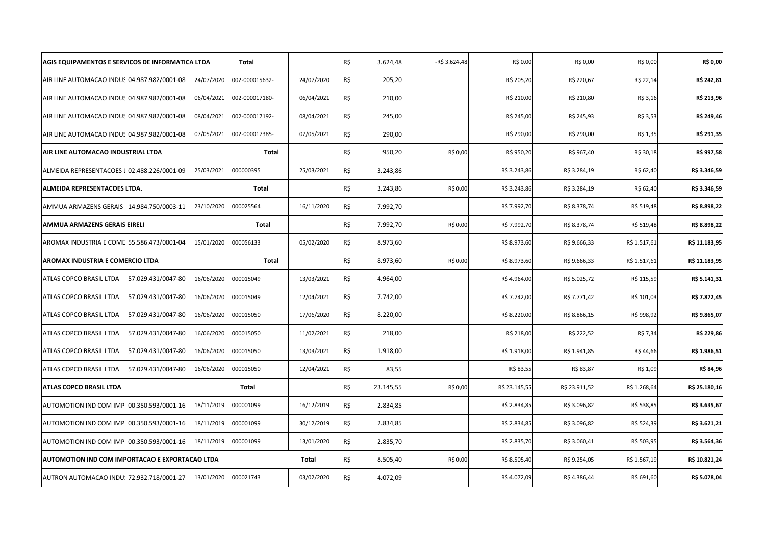| AGIS EQUIPAMENTOS E SERVICOS DE INFORMATICA LTDA |            | <b>Total</b>   |            | R\$ | 3.624,48  | -R\$ 3.624,48 | R\$ 0,00      | R\$ 0,00      | R\$ 0,00     | R\$ 0,00      |
|--------------------------------------------------|------------|----------------|------------|-----|-----------|---------------|---------------|---------------|--------------|---------------|
| AIR LINE AUTOMACAO INDUS 04.987.982/0001-08      | 24/07/2020 | 002-000015632- | 24/07/2020 | R\$ | 205,20    |               | R\$ 205,20    | R\$ 220,67    | R\$ 22,14    | R\$ 242,81    |
| AIR LINE AUTOMACAO INDUS 04.987.982/0001-08      | 06/04/2021 | 002-000017180- | 06/04/2021 | R\$ | 210,00    |               | R\$ 210,00    | R\$ 210,80    | R\$ 3,16     | R\$ 213,96    |
| AIR LINE AUTOMACAO INDUS 04.987.982/0001-08      | 08/04/2021 | 002-000017192- | 08/04/2021 | R\$ | 245,00    |               | R\$ 245,00    | R\$ 245,93    | R\$ 3,53     | R\$ 249,46    |
| AIR LINE AUTOMACAO INDUS 04.987.982/0001-08      | 07/05/2021 | 002-000017385- | 07/05/2021 | R\$ | 290,00    |               | R\$ 290,00    | R\$ 290,00    | R\$ 1,35     | R\$ 291,35    |
| AIR LINE AUTOMACAO INDUSTRIAL LTDA               |            | Total          |            | R\$ | 950,20    | R\$ 0,00      | R\$ 950,20    | R\$ 967,40    | R\$ 30,18    | R\$ 997,58    |
| ALMEIDA REPRESENTACOES   02.488.226/0001-09      | 25/03/2021 | 000000395      | 25/03/2021 | R\$ | 3.243,86  |               | R\$ 3.243,86  | R\$ 3.284,19  | R\$ 62,40    | R\$ 3.346,59  |
| ALMEIDA REPRESENTACOES LTDA.                     |            | Total          |            | R\$ | 3.243,86  | R\$ 0,00      | R\$ 3.243,86  | R\$ 3.284,19  | R\$ 62,40    | R\$ 3.346,59  |
| 14.984.750/0003-11<br>AMMUA ARMAZENS GERAIS      | 23/10/2020 | 000025564      | 16/11/2020 | R\$ | 7.992,70  |               | R\$ 7.992,70  | R\$ 8.378,74  | R\$ 519,48   | R\$ 8.898,22  |
| <b>AMMUA ARMAZENS GERAIS EIRELI</b>              |            | Total          |            | R\$ | 7.992,70  | R\$ 0,00      | R\$ 7.992,70  | R\$ 8.378,74  | R\$ 519,48   | R\$ 8.898,22  |
| AROMAX INDUSTRIA E COME 55.586.473/0001-04       | 15/01/2020 | 000056133      | 05/02/2020 | R\$ | 8.973,60  |               | R\$ 8.973,60  | R\$ 9.666,33  | R\$ 1.517,61 | R\$ 11.183,95 |
| AROMAX INDUSTRIA E COMERCIO LTDA                 |            | Total          |            | R\$ | 8.973,60  | R\$ 0,00      | R\$ 8.973,60  | R\$ 9.666,33  | R\$ 1.517,61 | R\$ 11.183,95 |
| ATLAS COPCO BRASIL LTDA<br>57.029.431/0047-80    | 16/06/2020 | 000015049      | 13/03/2021 | R\$ | 4.964,00  |               | R\$4.964,00   | R\$ 5.025,72  | R\$ 115,59   | R\$ 5.141,31  |
| ATLAS COPCO BRASIL LTDA<br>57.029.431/0047-80    | 16/06/2020 | 000015049      | 12/04/2021 | R\$ | 7.742,00  |               | R\$ 7.742,00  | R\$ 7.771,42  | R\$ 101,03   | R\$ 7.872,45  |
| ATLAS COPCO BRASIL LTDA<br>57.029.431/0047-80    | 16/06/2020 | 000015050      | 17/06/2020 | R\$ | 8.220,00  |               | R\$ 8.220,00  | R\$ 8.866,15  | R\$ 998,92   | R\$ 9.865,07  |
| 57.029.431/0047-80<br>ATLAS COPCO BRASIL LTDA    | 16/06/2020 | 000015050      | 11/02/2021 | R\$ | 218,00    |               | R\$ 218,00    | R\$ 222,52    | R\$ 7,34     | R\$ 229,86    |
| ATLAS COPCO BRASIL LTDA<br>57.029.431/0047-80    | 16/06/2020 | 000015050      | 13/03/2021 | R\$ | 1.918,00  |               | R\$ 1.918,00  | R\$ 1.941,85  | R\$44,66     | R\$ 1.986,51  |
| ATLAS COPCO BRASIL LTDA<br>57.029.431/0047-80    | 16/06/2020 | 000015050      | 12/04/2021 | R\$ | 83,55     |               | R\$ 83,55     | R\$ 83,87     | R\$ 1,09     | R\$ 84,96     |
| <b>ATLAS COPCO BRASIL LTDA</b>                   |            | Total          |            | R\$ | 23.145,55 | R\$ 0,00      | R\$ 23.145,55 | R\$ 23.911,52 | R\$ 1.268,64 | R\$ 25.180,16 |
| AUTOMOTION IND COM IMP<br>00.350.593/0001-16     | 18/11/2019 | 000001099      | 16/12/2019 | R\$ | 2.834,85  |               | R\$ 2.834,85  | R\$ 3.096,82  | R\$ 538,85   | R\$ 3.635,67  |
| AUTOMOTION IND COM IMP 00.350.593/0001-16        | 18/11/2019 | 000001099      | 30/12/2019 | R\$ | 2.834,85  |               | R\$ 2.834,85  | R\$ 3.096,82  | R\$ 524,39   | R\$ 3.621,21  |
| AUTOMOTION IND COM IMP 00.350.593/0001-16        | 18/11/2019 | 000001099      | 13/01/2020 | R\$ | 2.835,70  |               | R\$ 2.835,70  | R\$ 3.060,41  | R\$ 503,95   | R\$ 3.564,36  |
| AUTOMOTION IND COM IMPORTACAO E EXPORTACAO LTDA  |            |                | Total      | R\$ | 8.505,40  | R\$ 0,00      | R\$ 8.505,40  | R\$ 9.254,05  | R\$ 1.567,19 | R\$ 10.821,24 |
| AUTRON AUTOMACAO INDU: 72.932.718/0001-27        | 13/01/2020 | 000021743      | 03/02/2020 | R\$ | 4.072,09  |               | R\$4.072,09   | R\$4.386,44   | R\$ 691,60   | R\$ 5.078,04  |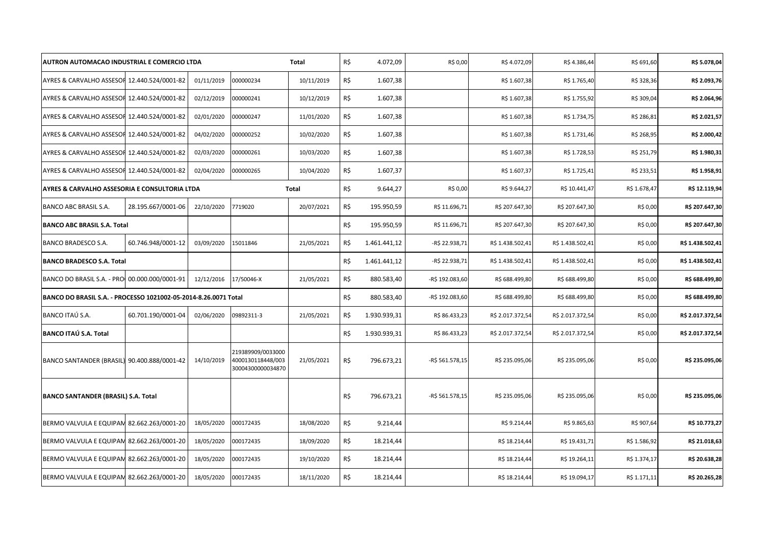| AUTRON AUTOMACAO INDUSTRIAL E COMERCIO LTDA   |                                                                                                                                              |            |                                                             | <b>Total</b> | R\$ | 4.072,09     | R\$ 0,00        | R\$4.072,09      | R\$4.386,44      | R\$ 691,60   | R\$ 5.078,04     |
|-----------------------------------------------|----------------------------------------------------------------------------------------------------------------------------------------------|------------|-------------------------------------------------------------|--------------|-----|--------------|-----------------|------------------|------------------|--------------|------------------|
| AYRES & CARVALHO ASSESOF 12.440.524/0001-82   |                                                                                                                                              | 01/11/2019 | 000000234                                                   | 10/11/2019   | R\$ | 1.607,38     |                 | R\$ 1.607,38     | R\$ 1.765,40     | R\$ 328,36   | R\$ 2.093,76     |
| AYRES & CARVALHO ASSESOF 12.440.524/0001-82   |                                                                                                                                              | 02/12/2019 | 000000241                                                   | 10/12/2019   | R\$ | 1.607,38     |                 | R\$ 1.607,38     | R\$ 1.755,92     | R\$ 309,04   | R\$ 2.064,96     |
| AYRES & CARVALHO ASSESOF 12.440.524/0001-82   |                                                                                                                                              | 02/01/2020 | 000000247                                                   | 11/01/2020   | R\$ | 1.607,38     |                 | R\$ 1.607,38     | R\$ 1.734,75     | R\$ 286,81   | R\$ 2.021,57     |
| AYRES & CARVALHO ASSESOF 12.440.524/0001-82   |                                                                                                                                              | 04/02/2020 | 000000252                                                   | 10/02/2020   | R\$ | 1.607,38     |                 | R\$ 1.607,38     | R\$ 1.731,46     | R\$ 268,95   | R\$ 2.000,42     |
| AYRES & CARVALHO ASSESOF 12.440.524/0001-82   |                                                                                                                                              | 02/03/2020 | 000000261                                                   | 10/03/2020   | R\$ | 1.607,38     |                 | R\$ 1.607,38     | R\$ 1.728,53     | R\$ 251,79   | R\$ 1.980,31     |
| AYRES & CARVALHO ASSESOF 12.440.524/0001-82   |                                                                                                                                              | 02/04/2020 | 000000265                                                   | 10/04/2020   | R\$ | 1.607,37     |                 | R\$ 1.607,37     | R\$ 1.725,41     | R\$ 233,51   | R\$ 1.958,91     |
| AYRES & CARVALHO ASSESORIA E CONSULTORIA LTDA |                                                                                                                                              |            |                                                             | Total        | R\$ | 9.644,27     | R\$ 0,00        | R\$ 9.644,27     | R\$ 10.441,47    | R\$ 1.678,47 | R\$ 12.119,94    |
| BANCO ABC BRASIL S.A.                         | 28.195.667/0001-06                                                                                                                           | 22/10/2020 | 7719020                                                     | 20/07/2021   | R\$ | 195.950,59   | R\$ 11.696,71   | R\$ 207.647,30   | R\$ 207.647,30   | R\$ 0,00     | R\$ 207.647,30   |
| <b>BANCO ABC BRASIL S.A. Total</b>            |                                                                                                                                              |            |                                                             |              | R\$ | 195.950,59   | R\$ 11.696,71   | R\$ 207.647,30   | R\$ 207.647,30   | R\$ 0,00     | R\$ 207.647,30   |
| BANCO BRADESCO S.A.                           | 60.746.948/0001-12                                                                                                                           | 03/09/2020 | 15011846                                                    | 21/05/2021   | R\$ | 1.461.441,12 | -R\$ 22.938,71  | R\$ 1.438.502,41 | R\$ 1.438.502,41 | R\$ 0,00     | R\$ 1.438.502,41 |
| <b>BANCO BRADESCO S.A. Total</b>              |                                                                                                                                              |            |                                                             |              | R\$ | 1.461.441,12 | -R\$ 22.938,71  | R\$ 1.438.502,41 | R\$ 1.438.502,41 | R\$ 0,00     | R\$ 1.438.502,41 |
|                                               | 12/12/2016<br>17/50046-X<br>BANCO DO BRASIL S.A. - PRO 00.000.000/0001-91<br>BANCO DO BRASIL S.A. - PROCESSO 1021002-05-2014-8.26.0071 Total |            |                                                             | 21/05/2021   | R\$ | 880.583,40   | -R\$ 192.083,60 | R\$ 688.499,80   | R\$ 688.499,80   | R\$ 0,00     | R\$ 688.499,80   |
|                                               |                                                                                                                                              |            |                                                             |              | R\$ | 880.583,40   | -R\$ 192.083,60 | R\$ 688.499,80   | R\$ 688.499,80   | R\$ 0,00     | R\$ 688.499,80   |
| BANCO ITAÚ S.A.                               | 60.701.190/0001-04                                                                                                                           | 02/06/2020 | 09892311-3                                                  | 21/05/2021   | R\$ | 1.930.939,31 | R\$ 86.433,23   | R\$ 2.017.372,54 | R\$ 2.017.372,54 | R\$ 0,00     | R\$ 2.017.372,54 |
| <b>BANCO ITAÚ S.A. Total</b>                  |                                                                                                                                              |            |                                                             |              | R\$ | 1.930.939,31 | R\$ 86.433,23   | R\$ 2.017.372,54 | R\$ 2.017.372,54 | R\$ 0,00     | R\$ 2.017.372,54 |
| BANCO SANTANDER (BRASIL) 90.400.888/0001-42   |                                                                                                                                              | 14/10/2019 | 219389909/0033000<br>4000130118448/003<br>30004300000034870 | 21/05/2021   | R\$ | 796.673,21   | -R\$ 561.578,15 | R\$ 235.095,06   | R\$ 235.095,06   | R\$ 0,00     | R\$ 235.095,06   |
| <b>BANCO SANTANDER (BRASIL) S.A. Total</b>    |                                                                                                                                              |            |                                                             |              | R\$ | 796.673,21   | -R\$ 561.578,15 | R\$ 235.095,06   | R\$ 235.095,06   | R\$ 0,00     | R\$ 235.095,06   |
| BERMO VALVULA E EQUIPAM 82.662.263/0001-20    |                                                                                                                                              | 18/05/2020 | 000172435                                                   | 18/08/2020   | R\$ | 9.214,44     |                 | R\$ 9.214,44     | R\$ 9.865,63     | R\$ 907,64   | R\$ 10.773,27    |
| BERMO VALVULA E EQUIPAM 82.662.263/0001-20    |                                                                                                                                              | 18/05/2020 | 000172435                                                   | 18/09/2020   | R\$ | 18.214,44    |                 | R\$ 18.214,44    | R\$ 19.431,71    | R\$ 1.586,92 | R\$ 21.018,63    |
| BERMO VALVULA E EQUIPAM 82.662.263/0001-20    |                                                                                                                                              | 18/05/2020 | 000172435                                                   | 19/10/2020   | R\$ | 18.214,44    |                 | R\$ 18.214,44    | R\$ 19.264,11    | R\$ 1.374,17 | R\$ 20.638,28    |
| BERMO VALVULA E EQUIPAM 82.662.263/0001-20    |                                                                                                                                              | 18/05/2020 | 000172435                                                   | 18/11/2020   | R\$ | 18.214,44    |                 | R\$ 18.214,44    | R\$ 19.094,17    | R\$ 1.171,11 | R\$ 20.265,28    |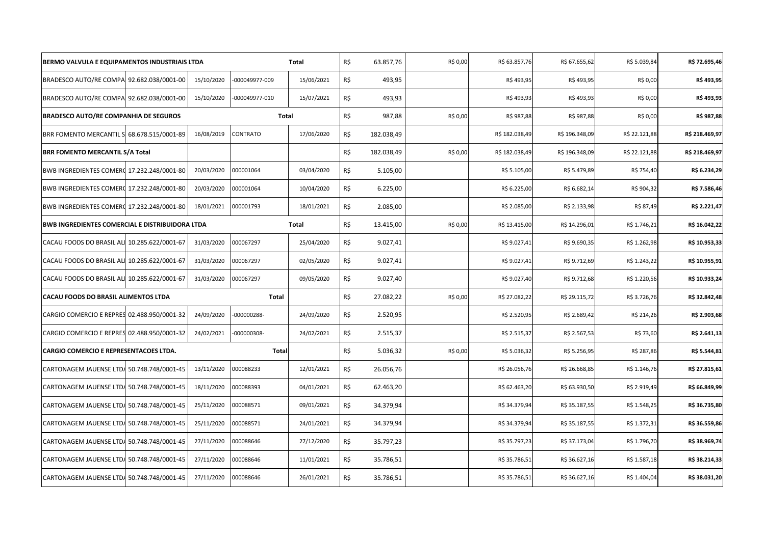| BERMO VALVULA E EQUIPAMENTOS INDUSTRIAIS LTDA   |            |                | Total      | R\$ | 63.857,76  | R\$ 0,00 | R\$ 63.857,76  | R\$ 67.655,62  | R\$ 5.039,84  | R\$ 72.695,46  |
|-------------------------------------------------|------------|----------------|------------|-----|------------|----------|----------------|----------------|---------------|----------------|
| BRADESCO AUTO/RE COMPA 92.682.038/0001-00       | 15/10/2020 | -000049977-009 | 15/06/2021 | R\$ | 493,95     |          | R\$493,95      | R\$493,95      | R\$ 0,00      | R\$493,95      |
| BRADESCO AUTO/RE COMPA 92.682.038/0001-00       | 15/10/2020 | -000049977-010 | 15/07/2021 | R\$ | 493,93     |          | R\$493,93      | R\$493,93      | R\$ 0,00      | R\$493,93      |
| <b>BRADESCO AUTO/RE COMPANHIA DE SEGUROS</b>    |            | Total          |            | R\$ | 987,88     | R\$ 0,00 | R\$ 987,88     | R\$ 987,88     | R\$ 0,00      | R\$ 987,88     |
| BRR FOMENTO MERCANTIL S 68.678.515/0001-89      | 16/08/2019 | CONTRATO       | 17/06/2020 | R\$ | 182.038,49 |          | R\$ 182.038,49 | R\$ 196.348,09 | R\$ 22.121,88 | R\$ 218.469,97 |
| <b>BRR FOMENTO MERCANTIL S/A Total</b>          |            |                |            | R\$ | 182.038,49 | R\$ 0,00 | R\$ 182.038,49 | R\$ 196.348,09 | R\$ 22.121,88 | R\$ 218.469,97 |
| BWB INGREDIENTES COMERC 17.232.248/0001-80      | 20/03/2020 | 000001064      | 03/04/2020 | R\$ | 5.105,00   |          | R\$ 5.105,00   | R\$ 5.479,89   | R\$ 754,40    | R\$ 6.234,29   |
| BWB INGREDIENTES COMERC 17.232.248/0001-80      | 20/03/2020 | 000001064      | 10/04/2020 | R\$ | 6.225,00   |          | R\$ 6.225,00   | R\$ 6.682,14   | R\$ 904,32    | R\$ 7.586,46   |
| BWB INGREDIENTES COMERC 17.232.248/0001-80      | 18/01/2021 | 000001793      | 18/01/2021 | R\$ | 2.085,00   |          | R\$ 2.085,00   | R\$ 2.133,98   | R\$ 87,49     | R\$ 2.221,47   |
| BWB INGREDIENTES COMERCIAL E DISTRIBUIDORA LTDA |            |                | Total      | R\$ | 13.415,00  | R\$ 0,00 | R\$ 13.415,00  | R\$ 14.296,01  | R\$ 1.746,21  | R\$ 16.042,22  |
| CACAU FOODS DO BRASIL ALI 10.285.622/0001-67    | 31/03/2020 | 000067297      | 25/04/2020 | R\$ | 9.027,41   |          | R\$ 9.027,41   | R\$ 9.690,35   | R\$ 1.262,98  | R\$ 10.953,33  |
| CACAU FOODS DO BRASIL ALI 10.285.622/0001-67    | 31/03/2020 | 000067297      | 02/05/2020 | R\$ | 9.027,41   |          | R\$9.027,41    | R\$ 9.712,69   | R\$ 1.243,22  | R\$ 10.955,91  |
| CACAU FOODS DO BRASIL ALI 10.285.622/0001-67    | 31/03/2020 | 000067297      | 09/05/2020 | R\$ | 9.027,40   |          | R\$ 9.027,40   | R\$ 9.712,68   | R\$ 1.220,56  | R\$ 10.933,24  |
| CACAU FOODS DO BRASIL ALIMENTOS LTDA            |            | Total          |            | R\$ | 27.082,22  | R\$ 0,00 | R\$ 27.082,22  | R\$ 29.115,72  | R\$ 3.726,76  | R\$ 32.842,48  |
| CARGIO COMERCIO E REPRES 02.488.950/0001-32     | 24/09/2020 | 000000288-     | 24/09/2020 | R\$ | 2.520,95   |          | R\$ 2.520,95   | R\$ 2.689,42   | R\$ 214,26    | R\$ 2.903,68   |
| CARGIO COMERCIO E REPRES 02.488.950/0001-32     | 24/02/2021 | -000000308-    | 24/02/2021 | R\$ | 2.515,37   |          | R\$ 2.515,37   | R\$ 2.567,53   | R\$ 73,60     | R\$ 2.641,13   |
| <b>CARGIO COMERCIO E REPRESENTACOES LTDA.</b>   |            | Total          |            | R\$ | 5.036,32   | R\$ 0,00 | R\$ 5.036,32   | R\$ 5.256,95   | R\$ 287,86    | R\$ 5.544,81   |
| CARTONAGEM JAUENSE LTDA 50.748.748/0001-45      | 13/11/2020 | 000088233      | 12/01/2021 | R\$ | 26.056,76  |          | R\$ 26.056,76  | R\$ 26.668,85  | R\$ 1.146,76  | R\$ 27.815,61  |
| CARTONAGEM JAUENSE LTDA 50.748.748/0001-45      | 18/11/2020 | 000088393      | 04/01/2021 | R\$ | 62.463,20  |          | R\$ 62.463,20  | R\$ 63.930,50  | R\$ 2.919,49  | R\$ 66.849,99  |
| CARTONAGEM JAUENSE LTDA 50.748.748/0001-45      | 25/11/2020 | 000088571      | 09/01/2021 | R\$ | 34.379,94  |          | R\$ 34.379,94  | R\$ 35.187,55  | R\$ 1.548,25  | R\$ 36.735,80  |
| CARTONAGEM JAUENSE LTDA 50.748.748/0001-45      | 25/11/2020 | 000088571      | 24/01/2021 | R\$ | 34.379,94  |          | R\$ 34.379,94  | R\$ 35.187,55  | R\$ 1.372,31  | R\$ 36.559,86  |
| CARTONAGEM JAUENSE LTDA 50.748.748/0001-45      | 27/11/2020 | 000088646      | 27/12/2020 | R\$ | 35.797,23  |          | R\$ 35.797,23  | R\$ 37.173,04  | R\$ 1.796,70  | R\$ 38.969,74  |
| CARTONAGEM JAUENSE LTDA 50.748.748/0001-45      | 27/11/2020 | 000088646      | 11/01/2021 | R\$ | 35.786,51  |          | R\$ 35.786,51  | R\$ 36.627,16  | R\$ 1.587,18  | R\$ 38.214,33  |
| CARTONAGEM JAUENSE LTDA 50.748.748/0001-45      | 27/11/2020 | 000088646      | 26/01/2021 | R\$ | 35.786,51  |          | R\$ 35.786,51  | R\$ 36.627,16  | R\$ 1.404,04  | R\$ 38.031,20  |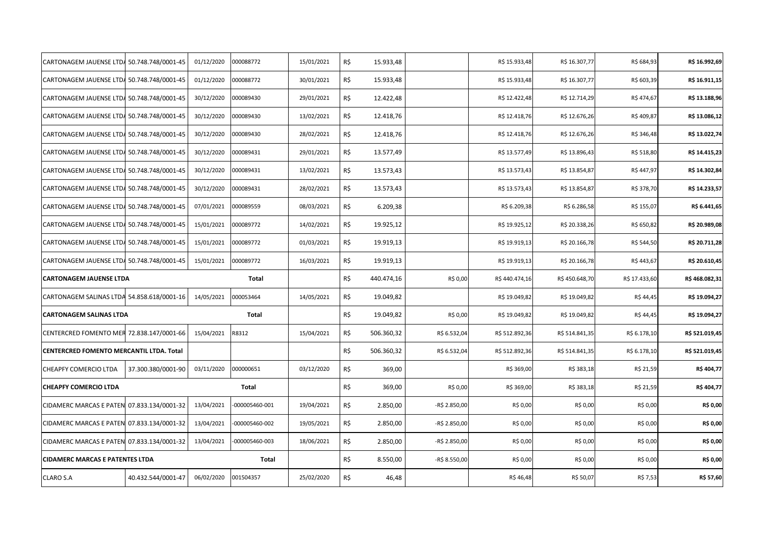| CARTONAGEM JAUENSE LTDA 50.748.748/0001-45 |                    | 01/12/2020 | 000088772      | 15/01/2021 | R\$ | 15.933,48  |               | R\$ 15.933,48  | R\$ 16.307,77  | R\$ 684,93    | R\$ 16.992,69  |
|--------------------------------------------|--------------------|------------|----------------|------------|-----|------------|---------------|----------------|----------------|---------------|----------------|
| CARTONAGEM JAUENSE LTDA 50.748.748/0001-45 |                    | 01/12/2020 | 000088772      | 30/01/2021 | R\$ | 15.933,48  |               | R\$ 15.933,48  | R\$ 16.307,77  | R\$ 603,39    | R\$ 16.911,15  |
| CARTONAGEM JAUENSE LTDA 50.748.748/0001-45 |                    | 30/12/2020 | 000089430      | 29/01/2021 | R\$ | 12.422,48  |               | R\$ 12.422,48  | R\$ 12.714,29  | R\$ 474,67    | R\$ 13.188,96  |
| CARTONAGEM JAUENSE LTDA 50.748.748/0001-45 |                    | 30/12/2020 | 000089430      | 13/02/2021 | R\$ | 12.418,76  |               | R\$ 12.418,76  | R\$ 12.676,26  | R\$ 409,87    | R\$ 13.086,12  |
| CARTONAGEM JAUENSE LTD4 50.748.748/0001-45 |                    | 30/12/2020 | 000089430      | 28/02/2021 | R\$ | 12.418,76  |               | R\$ 12.418,76  | R\$ 12.676,26  | R\$ 346,48    | R\$ 13.022,74  |
| CARTONAGEM JAUENSE LTD4 50.748.748/0001-45 |                    | 30/12/2020 | 000089431      | 29/01/2021 | R\$ | 13.577,49  |               | R\$ 13.577,49  | R\$ 13.896,43  | R\$ 518,80    | R\$ 14.415,23  |
| CARTONAGEM JAUENSE LTDA 50.748.748/0001-45 |                    | 30/12/2020 | 000089431      | 13/02/2021 | R\$ | 13.573,43  |               | R\$ 13.573,43  | R\$ 13.854,87  | R\$447,97     | R\$ 14.302,84  |
| CARTONAGEM JAUENSE LTDA 50.748.748/0001-45 |                    | 30/12/2020 | 000089431      | 28/02/2021 | R\$ | 13.573,43  |               | R\$ 13.573,43  | R\$ 13.854,87  | R\$ 378,70    | R\$ 14.233,57  |
| CARTONAGEM JAUENSE LTDA 50.748.748/0001-45 |                    | 07/01/2021 | 000089559      | 08/03/2021 | R\$ | 6.209,38   |               | R\$ 6.209,38   | R\$ 6.286,58   | R\$ 155,07    | R\$ 6.441,65   |
| CARTONAGEM JAUENSE LTDA 50.748.748/0001-45 |                    | 15/01/2021 | 000089772      | 14/02/2021 | R\$ | 19.925,12  |               | R\$ 19.925,12  | R\$ 20.338,26  | R\$ 650,82    | R\$ 20.989,08  |
| CARTONAGEM JAUENSE LTDA 50.748.748/0001-45 |                    | 15/01/2021 | 000089772      | 01/03/2021 | R\$ | 19.919,13  |               | R\$ 19.919,13  | R\$ 20.166,78  | R\$ 544,50    | R\$ 20.711,28  |
| CARTONAGEM JAUENSE LTDA 50.748.748/0001-45 |                    | 15/01/2021 | 000089772      | 16/03/2021 | R\$ | 19.919,13  |               | R\$ 19.919,13  | R\$ 20.166,78  | R\$ 443,67    | R\$ 20.610,45  |
|                                            |                    |            |                |            |     |            |               |                |                |               |                |
| <b>CARTONAGEM JAUENSE LTDA</b>             |                    |            | Total          |            | R\$ | 440.474,16 | R\$ 0,00      | R\$440.474,16  | R\$450.648,70  | R\$ 17.433,60 | R\$468.082,31  |
| CARTONAGEM SALINAS LTDA 54.858.618/0001-16 |                    | 14/05/2021 | 000053464      | 14/05/2021 | R\$ | 19.049,82  |               | R\$ 19.049,82  | R\$ 19.049,82  | R\$ 44,45     | R\$ 19.094,27  |
| <b>CARTONAGEM SALINAS LTDA</b>             |                    |            | Total          |            | R\$ | 19.049,82  | R\$ 0,00      | R\$ 19.049,82  | R\$ 19.049,82  | R\$ 44,45     | R\$ 19.094,27  |
| CENTERCRED FOMENTO MER 72.838.147/0001-66  |                    | 15/04/2021 | R8312          | 15/04/2021 | R\$ | 506.360,32 | R\$ 6.532,04  | R\$ 512.892,36 | R\$ 514.841,35 | R\$ 6.178,10  | R\$ 521.019,45 |
| CENTERCRED FOMENTO MERCANTIL LTDA. Total   |                    |            |                |            | R\$ | 506.360,32 | R\$ 6.532,04  | R\$ 512.892,36 | R\$ 514.841,35 | R\$ 6.178,10  | R\$ 521.019,45 |
| CHEAPFY COMERCIO LTDA                      | 37.300.380/0001-90 | 03/11/2020 | 000000651      | 03/12/2020 | R\$ | 369,00     |               | R\$ 369,00     | R\$ 383,18     | R\$ 21,59     | R\$404,77      |
| <b>CHEAPFY COMERCIO LTDA</b>               |                    |            | Total          |            | R\$ | 369,00     | R\$ 0,00      | R\$ 369,00     | R\$ 383,18     | R\$ 21,59     | R\$404,77      |
| CIDAMERC MARCAS E PATEN 07.833.134/0001-32 |                    | 13/04/2021 | -000005460-001 | 19/04/2021 | R\$ | 2.850,00   | -R\$ 2.850,00 | R\$ 0,00       | R\$ 0,00       | R\$ 0,00      | R\$ 0,00       |
| CIDAMERC MARCAS E PATEN 07.833.134/0001-32 |                    | 13/04/2021 | -000005460-002 | 19/05/2021 | R\$ | 2.850,00   | -R\$ 2.850,00 | R\$ 0,00       | R\$ 0,00       | R\$ 0,00      | R\$ 0,00       |
| CIDAMERC MARCAS E PATEN 07.833.134/0001-32 |                    | 13/04/2021 | 000005460-003  | 18/06/2021 | R\$ | 2.850,00   | -R\$ 2.850,00 | R\$ 0,00       | R\$ 0,00       | R\$ 0,00      | R\$ 0,00       |
| <b>CIDAMERC MARCAS E PATENTES LTDA</b>     |                    |            | Total          |            | R\$ | 8.550,00   | -R\$ 8.550,00 | R\$ 0,00       | R\$ 0,00       | R\$ 0,00      | R\$ 0,00       |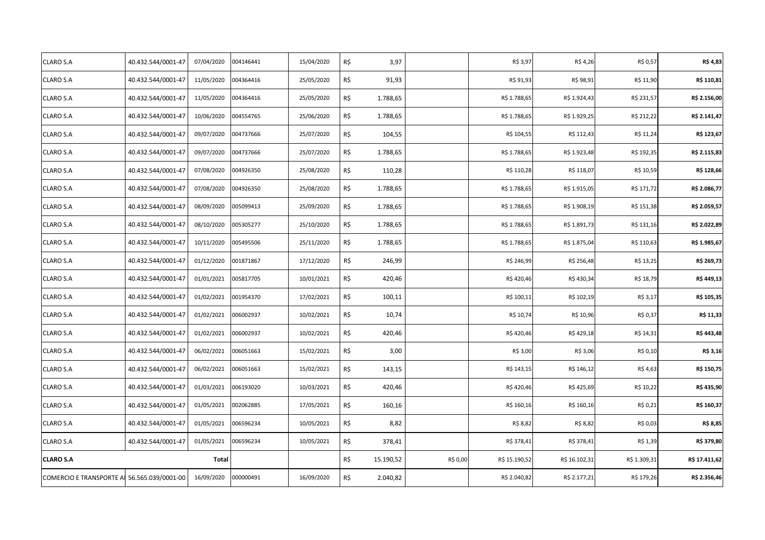| CLARO S.A                                   | 40.432.544/0001-47 | 07/04/2020 | 004146441 | 15/04/2020 | R\$ | 3,97      |          | R\$ 3,97      | R\$4,26       | R\$ 0,57     | R\$ 4,83      |
|---------------------------------------------|--------------------|------------|-----------|------------|-----|-----------|----------|---------------|---------------|--------------|---------------|
| CLARO S.A                                   | 40.432.544/0001-47 | 11/05/2020 | 004364416 | 25/05/2020 | R\$ | 91,93     |          | R\$ 91,93     | R\$ 98,91     | R\$ 11,90    | R\$ 110,81    |
| CLARO S.A                                   | 40.432.544/0001-47 | 11/05/2020 | 004364416 | 25/05/2020 | R\$ | 1.788,65  |          | R\$ 1.788,65  | R\$ 1.924,43  | R\$ 231,57   | R\$ 2.156,00  |
| CLARO S.A                                   | 40.432.544/0001-47 | 10/06/2020 | 004554765 | 25/06/2020 | R\$ | 1.788,65  |          | R\$ 1.788,65  | R\$ 1.929,25  | R\$ 212,22   | R\$ 2.141,47  |
| CLARO S.A                                   | 40.432.544/0001-47 | 09/07/2020 | 004737666 | 25/07/2020 | R\$ | 104,55    |          | R\$ 104,55    | R\$ 112,43    | R\$ 11,24    | R\$ 123,67    |
| CLARO S.A                                   | 40.432.544/0001-47 | 09/07/2020 | 004737666 | 25/07/2020 | R\$ | 1.788,65  |          | R\$ 1.788,65  | R\$ 1.923,48  | R\$ 192,35   | R\$ 2.115,83  |
| CLARO S.A                                   | 40.432.544/0001-47 | 07/08/2020 | 004926350 | 25/08/2020 | R\$ | 110,28    |          | R\$ 110,28    | R\$ 118,07    | R\$ 10,59    | R\$ 128,66    |
| CLARO S.A                                   | 40.432.544/0001-47 | 07/08/2020 | 004926350 | 25/08/2020 | R\$ | 1.788,65  |          | R\$ 1.788,65  | R\$ 1.915,05  | R\$ 171,72   | R\$ 2.086,77  |
| CLARO S.A                                   | 40.432.544/0001-47 | 08/09/2020 | 005099413 | 25/09/2020 | R\$ | 1.788,65  |          | R\$ 1.788,65  | R\$ 1.908,19  | R\$ 151,38   | R\$ 2.059,57  |
| CLARO S.A                                   | 40.432.544/0001-47 | 08/10/2020 | 005305277 | 25/10/2020 | R\$ | 1.788,65  |          | R\$ 1.788,65  | R\$ 1.891,73  | R\$ 131,16   | R\$ 2.022,89  |
| CLARO S.A                                   | 40.432.544/0001-47 | 10/11/2020 | 005495506 | 25/11/2020 | R\$ | 1.788,65  |          | R\$ 1.788,65  | R\$ 1.875,04  | R\$ 110,63   | R\$ 1.985,67  |
| CLARO S.A                                   | 40.432.544/0001-47 | 01/12/2020 | 001871867 | 17/12/2020 | R\$ | 246,99    |          | R\$ 246,99    | R\$ 256,48    | R\$ 13,25    | R\$ 269,73    |
| CLARO S.A                                   | 40.432.544/0001-47 | 01/01/2021 | 005817705 | 10/01/2021 | R\$ | 420,46    |          | R\$420,46     | R\$430,34     | R\$ 18,79    | R\$449,13     |
| CLARO S.A                                   | 40.432.544/0001-47 | 01/02/2021 | 001954370 | 17/02/2021 | R\$ | 100,11    |          | R\$ 100,11    | R\$ 102,19    | R\$ 3,17     | R\$ 105,35    |
| CLARO S.A                                   | 40.432.544/0001-47 | 01/02/2021 | 006002937 | 10/02/2021 | R\$ | 10,74     |          | R\$ 10,74     | R\$ 10,96     | R\$ 0,37     | R\$ 11,33     |
| CLARO S.A                                   | 40.432.544/0001-47 | 01/02/2021 | 006002937 | 10/02/2021 | R\$ | 420,46    |          | R\$420,46     | R\$429,18     | R\$ 14,31    | R\$443,48     |
| CLARO S.A                                   | 40.432.544/0001-47 | 06/02/2021 | 006051663 | 15/02/2021 | R\$ | 3,00      |          | R\$ 3,00      | R\$ 3,06      | R\$ 0,10     | R\$ 3,16      |
| CLARO S.A                                   | 40.432.544/0001-47 | 06/02/2021 | 006051663 | 15/02/2021 | R\$ | 143,15    |          | R\$ 143,15    | R\$ 146,12    | R\$ 4,63     | R\$ 150,75    |
| CLARO S.A                                   | 40.432.544/0001-47 | 01/03/2021 | 006193020 | 10/03/2021 | R\$ | 420,46    |          | R\$420,46     | R\$425,69     | R\$ 10,22    | R\$435,90     |
| CLARO S.A                                   | 40.432.544/0001-47 | 01/05/2021 | 002062885 | 17/05/2021 | R\$ | 160,16    |          | R\$ 160,16    | R\$ 160,16    | R\$ 0,21     | R\$ 160,37    |
| CLARO S.A                                   | 40.432.544/0001-47 | 01/05/2021 | 006596234 | 10/05/2021 | R\$ | 8,82      |          | R\$ 8,82      | R\$ 8,82      | R\$ 0,03     | R\$ 8,85      |
| CLARO S.A                                   | 40.432.544/0001-47 | 01/05/2021 | 006596234 | 10/05/2021 | R\$ | 378,41    |          | R\$ 378,41    | R\$ 378,41    | R\$ 1,39     | R\$ 379,80    |
| <b>CLARO S.A</b>                            |                    | Total      |           |            | R\$ | 15.190,52 | R\$ 0,00 | R\$ 15.190,52 | R\$ 16.102,31 | R\$ 1.309,31 | R\$ 17.411,62 |
| COMERCIO E TRANSPORTE AL 56.565.039/0001-00 |                    | 16/09/2020 | 000000491 | 16/09/2020 | R\$ | 2.040,82  |          | R\$ 2.040,82  | R\$ 2.177,21  | R\$ 179,26   | R\$ 2.356,46  |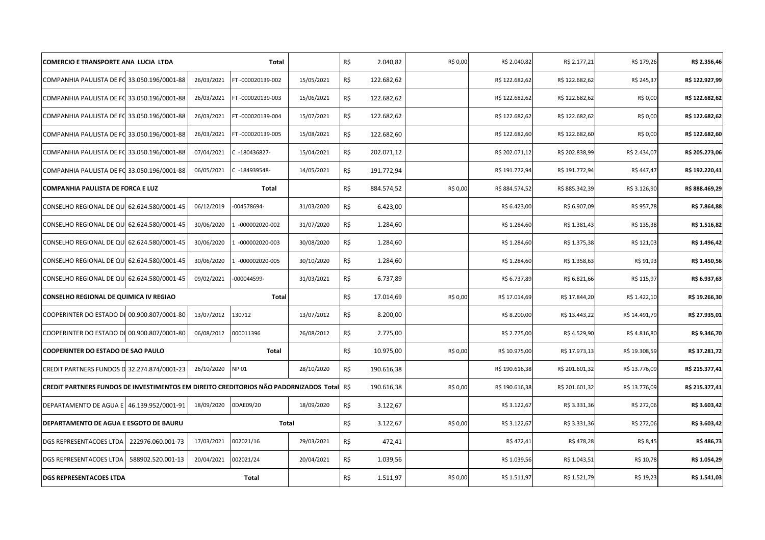| <b>COMERCIO E TRANSPORTE ANA LUCIA LTDA</b>                                           |            | Total            |            | R\$ | 2.040,82   | R\$ 0,00 | R\$ 2.040,82   | R\$ 2.177,21   | R\$ 179,26    | R\$ 2.356,46   |
|---------------------------------------------------------------------------------------|------------|------------------|------------|-----|------------|----------|----------------|----------------|---------------|----------------|
| COMPANHIA PAULISTA DE FO 33.050.196/0001-88                                           | 26/03/2021 | FT-000020139-002 | 15/05/2021 | R\$ | 122.682,62 |          | R\$ 122.682,62 | R\$ 122.682,62 | R\$ 245,37    | R\$ 122.927,99 |
| COMPANHIA PAULISTA DE FO 33.050.196/0001-88                                           | 26/03/2021 | FT-000020139-003 | 15/06/2021 | R\$ | 122.682,62 |          | R\$ 122.682,62 | R\$ 122.682,62 | R\$ 0,00      | R\$ 122.682,62 |
| COMPANHIA PAULISTA DE FO 33.050.196/0001-88                                           | 26/03/2021 | FT-000020139-004 | 15/07/2021 | R\$ | 122.682,62 |          | R\$ 122.682,62 | R\$ 122.682,62 | R\$ 0,00      | R\$ 122.682,62 |
| COMPANHIA PAULISTA DE FO 33.050.196/0001-88                                           | 26/03/2021 | FT-000020139-005 | 15/08/2021 | R\$ | 122.682,60 |          | R\$ 122.682,60 | R\$ 122.682,60 | R\$ 0,00      | R\$ 122.682,60 |
| COMPANHIA PAULISTA DE FO 33.050.196/0001-88                                           | 07/04/2021 | C -180436827-    | 15/04/2021 | R\$ | 202.071,12 |          | R\$ 202.071,12 | R\$ 202.838,99 | R\$ 2.434,07  | R\$ 205.273,06 |
| COMPANHIA PAULISTA DE FO 33.050.196/0001-88                                           | 06/05/2021 | C -184939548-    | 14/05/2021 | R\$ | 191.772.94 |          | R\$ 191.772,94 | R\$ 191.772,94 | R\$447,47     | R\$ 192.220,41 |
| <b>COMPANHIA PAULISTA DE FORCA E LUZ</b>                                              |            | Total            |            | R\$ | 884.574,52 | R\$ 0,00 | R\$ 884.574,52 | R\$ 885.342,39 | R\$ 3.126,90  | R\$ 888.469,29 |
| CONSELHO REGIONAL DE QU<br>62.624.580/0001-45                                         | 06/12/2019 | -004578694-      | 31/03/2020 | R\$ | 6.423,00   |          | R\$ 6.423,00   | R\$ 6.907,09   | R\$ 957,78    | R\$ 7.864,88   |
| CONSELHO REGIONAL DE QU<br>62.624.580/0001-45                                         | 30/06/2020 | 1 -000002020-002 | 31/07/2020 | R\$ | 1.284,60   |          | R\$ 1.284,60   | R\$ 1.381,43   | R\$ 135,38    | R\$ 1.516,82   |
| CONSELHO REGIONAL DE QU<br>62.624.580/0001-45                                         | 30/06/2020 | -000002020-003   | 30/08/2020 | R\$ | 1.284,60   |          | R\$ 1.284,60   | R\$ 1.375,38   | R\$ 121,03    | R\$ 1.496,42   |
| 62.624.580/0001-45<br>CONSELHO REGIONAL DE QU                                         | 30/06/2020 | 1 -000002020-005 | 30/10/2020 | R\$ | 1.284,60   |          | R\$ 1.284,60   | R\$ 1.358,63   | R\$ 91,93     | R\$ 1.450,56   |
| CONSELHO REGIONAL DE QU  62.624.580/0001-45                                           | 09/02/2021 | -000044599-      | 31/03/2021 | R\$ | 6.737,89   |          | R\$ 6.737,89   | R\$ 6.821,66   | R\$ 115,97    | R\$ 6.937,63   |
| CONSELHO REGIONAL DE QUIMICA IV REGIAO                                                |            | Total            |            | R\$ | 17.014,69  | R\$ 0,00 | R\$ 17.014,69  | R\$ 17.844,20  | R\$ 1.422,10  | R\$ 19.266,30  |
| COOPERINTER DO ESTADO DI 00.900.807/0001-80                                           | 13/07/2012 | 130712           | 13/07/2012 | R\$ | 8.200,00   |          | R\$8.200,00    | R\$ 13.443,22  | R\$ 14.491,79 | R\$ 27.935,01  |
| COOPERINTER DO ESTADO DI 00.900.807/0001-80                                           | 06/08/2012 | 000011396        | 26/08/2012 | R\$ | 2.775,00   |          | R\$ 2.775,00   | R\$4.529,90    | R\$4.816,80   | R\$ 9.346,70   |
| <b>COOPERINTER DO ESTADO DE SAO PAULO</b>                                             |            | <b>Total</b>     |            | R\$ | 10.975,00  | R\$ 0,00 | R\$ 10.975,00  | R\$ 17.973,13  | R\$ 19.308,59 | R\$ 37.281,72  |
| CREDIT PARTNERS FUNDOS D 32.274.874/0001-23                                           | 26/10/2020 | <b>NP01</b>      | 28/10/2020 | R\$ | 190.616,38 |          | R\$ 190.616,38 | R\$ 201.601,32 | R\$ 13.776,09 | R\$ 215.377,41 |
| CREDIT PARTNERS FUNDOS DE INVESTIMENTOS EM DIREITO CREDITORIOS NÃO PADORNIZADOS Total |            |                  |            | R\$ | 190.616,38 | R\$ 0,00 | R\$ 190.616,38 | R\$ 201.601,32 | R\$ 13.776,09 | R\$ 215.377,41 |
| DEPARTAMENTO DE AGUA E 46.139.952/0001-91                                             | 18/09/2020 | 0DAE09/20        | 18/09/2020 | R\$ | 3.122,67   |          | R\$ 3.122,67   | R\$ 3.331,36   | R\$ 272,06    | R\$ 3.603,42   |
| DEPARTAMENTO DE AGUA E ESGOTO DE BAURU                                                |            | Total            |            | R\$ | 3.122,67   | R\$ 0,00 | R\$ 3.122,67   | R\$ 3.331,36   | R\$ 272,06    | R\$ 3.603,42   |
| 222976.060.001-73<br>DGS REPRESENTACOES LTDA                                          | 17/03/2021 | 002021/16        | 29/03/2021 | R\$ | 472,41     |          | R\$472,41      | R\$478,28      | R\$ 8,45      | R\$486,73      |
| DGS REPRESENTACOES LTDA<br>588902.520.001-13                                          | 20/04/2021 | 002021/24        | 20/04/2021 | R\$ | 1.039,56   |          | R\$ 1.039,56   | R\$ 1.043,51   | R\$ 10,78     | R\$ 1.054,29   |
| <b>DGS REPRESENTACOES LTDA</b>                                                        |            | Total            |            | R\$ | 1.511,97   | R\$ 0,00 | R\$ 1.511,97   | R\$ 1.521,79   | R\$ 19,23     | R\$ 1.541,03   |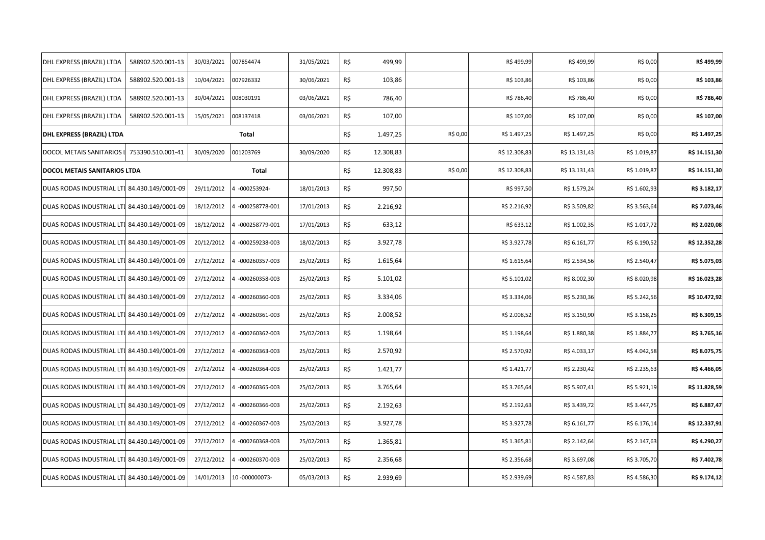| DHL EXPRESS (BRAZIL) LTDA                    | 588902.520.001-13 | 30/03/2021 | 007854474        | 31/05/2021 | R\$ | 499,99    |          | R\$499,99     | R\$499,99     | R\$ 0,00     | R\$499,99     |
|----------------------------------------------|-------------------|------------|------------------|------------|-----|-----------|----------|---------------|---------------|--------------|---------------|
| DHL EXPRESS (BRAZIL) LTDA                    | 588902.520.001-13 | 10/04/2021 | 007926332        | 30/06/2021 | R\$ | 103,86    |          | R\$ 103,86    | R\$ 103,86    | R\$ 0,00     | R\$ 103,86    |
| DHL EXPRESS (BRAZIL) LTDA                    | 588902.520.001-13 | 30/04/2021 | 008030191        | 03/06/2021 | R\$ | 786,40    |          | R\$ 786,40    | R\$ 786,40    | R\$ 0,00     | R\$ 786,40    |
| DHL EXPRESS (BRAZIL) LTDA                    | 588902.520.001-13 | 15/05/2021 | 008137418        | 03/06/2021 | R\$ | 107,00    |          | R\$ 107,00    | R\$ 107,00    | R\$ 0,00     | R\$ 107,00    |
| DHL EXPRESS (BRAZIL) LTDA                    |                   |            | Total            |            | R\$ | 1.497,25  | R\$ 0,00 | R\$ 1.497,25  | R\$ 1.497,25  | R\$ 0,00     | R\$ 1.497,25  |
| DOCOL METAIS SANITARIOS L                    | 753390.510.001-41 | 30/09/2020 | 001203769        | 30/09/2020 | R\$ | 12.308,83 |          | R\$ 12.308,83 | R\$ 13.131,43 | R\$ 1.019,87 | R\$ 14.151,30 |
| DOCOL METAIS SANITARIOS LTDA                 |                   |            | Total            |            | R\$ | 12.308,83 | R\$ 0,00 | R\$ 12.308,83 | R\$ 13.131,43 | R\$ 1.019,87 | R\$ 14.151,30 |
| DUAS RODAS INDUSTRIAL LTI 84.430.149/0001-09 |                   | 29/11/2012 | 4 -000253924-    | 18/01/2013 | R\$ | 997,50    |          | R\$ 997,50    | R\$ 1.579,24  | R\$ 1.602,93 | R\$ 3.182,17  |
| DUAS RODAS INDUSTRIAL LTI 84.430.149/0001-09 |                   | 18/12/2012 | 4 -000258778-001 | 17/01/2013 | R\$ | 2.216,92  |          | R\$ 2.216,92  | R\$ 3.509,82  | R\$ 3.563,64 | R\$ 7.073,46  |
| DUAS RODAS INDUSTRIAL LTI 84.430.149/0001-09 |                   | 18/12/2012 | 4 -000258779-001 | 17/01/2013 | R\$ | 633,12    |          | R\$ 633,12    | R\$ 1.002,35  | R\$ 1.017,72 | R\$ 2.020,08  |
| DUAS RODAS INDUSTRIAL LTI 84.430.149/0001-09 |                   | 20/12/2012 | 4 -000259238-003 | 18/02/2013 | R\$ | 3.927,78  |          | R\$ 3.927,78  | R\$ 6.161,77  | R\$ 6.190,52 | R\$ 12.352,28 |
| DUAS RODAS INDUSTRIAL LTI 84.430.149/0001-09 |                   | 27/12/2012 | 4 -000260357-003 | 25/02/2013 | R\$ | 1.615,64  |          | R\$ 1.615,64  | R\$ 2.534,56  | R\$ 2.540,47 | R\$ 5.075,03  |
| DUAS RODAS INDUSTRIAL LTI 84.430.149/0001-09 |                   | 27/12/2012 | 4 -000260358-003 | 25/02/2013 | R\$ | 5.101,02  |          | R\$ 5.101,02  | R\$ 8.002,30  | R\$ 8.020,98 | R\$ 16.023,28 |
| DUAS RODAS INDUSTRIAL LTI 84.430.149/0001-09 |                   | 27/12/2012 | 4 -000260360-003 | 25/02/2013 | R\$ | 3.334,06  |          | R\$ 3.334,06  | R\$ 5.230,36  | R\$ 5.242,56 | R\$ 10.472,92 |
| DUAS RODAS INDUSTRIAL LTI 84.430.149/0001-09 |                   | 27/12/2012 | 4 -000260361-003 | 25/02/2013 | R\$ | 2.008,52  |          | R\$ 2.008,52  | R\$ 3.150,90  | R\$ 3.158,25 | R\$ 6.309,15  |
| DUAS RODAS INDUSTRIAL LTI 84.430.149/0001-09 |                   | 27/12/2012 | 4 -000260362-003 | 25/02/2013 | R\$ | 1.198,64  |          | R\$ 1.198,64  | R\$ 1.880,38  | R\$ 1.884,77 | R\$ 3.765,16  |
| DUAS RODAS INDUSTRIAL LTI 84.430.149/0001-09 |                   | 27/12/2012 | 4 -000260363-003 | 25/02/2013 | R\$ | 2.570,92  |          | R\$ 2.570,92  | R\$4.033,17   | R\$4.042,58  | R\$ 8.075,75  |
| DUAS RODAS INDUSTRIAL LTI 84.430.149/0001-09 |                   | 27/12/2012 | 4 -000260364-003 | 25/02/2013 | R\$ | 1.421,77  |          | R\$ 1.421,77  | R\$ 2.230,42  | R\$ 2.235,63 | R\$4.466,05   |
| DUAS RODAS INDUSTRIAL LTI 84.430.149/0001-09 |                   | 27/12/2012 | 4 -000260365-003 | 25/02/2013 | R\$ | 3.765,64  |          | R\$ 3.765,64  | R\$ 5.907,41  | R\$ 5.921,19 | R\$ 11.828,59 |
| DUAS RODAS INDUSTRIAL LTI 84.430.149/0001-09 |                   | 27/12/2012 | 4 -000260366-003 | 25/02/2013 | R\$ | 2.192,63  |          | R\$ 2.192,63  | R\$ 3.439,72  | R\$ 3.447,75 | R\$ 6.887,47  |
| DUAS RODAS INDUSTRIAL LTI 84.430.149/0001-09 |                   | 27/12/2012 | 4 -000260367-003 | 25/02/2013 | R\$ | 3.927,78  |          | R\$ 3.927,78  | R\$ 6.161,77  | R\$ 6.176,14 | R\$ 12.337,91 |
| DUAS RODAS INDUSTRIAL LTI 84.430.149/0001-09 |                   | 27/12/2012 | 4 -000260368-003 | 25/02/2013 | R\$ | 1.365,81  |          | R\$ 1.365,81  | R\$ 2.142,64  | R\$ 2.147,63 | R\$ 4.290,27  |
| DUAS RODAS INDUSTRIAL LTI 84.430.149/0001-09 |                   | 27/12/2012 | 4 -000260370-003 | 25/02/2013 | R\$ | 2.356,68  |          | R\$ 2.356,68  | R\$ 3.697,08  | R\$ 3.705,70 | R\$ 7.402,78  |
| DUAS RODAS INDUSTRIAL LTI 84.430.149/0001-09 |                   | 14/01/2013 | 10-000000073-    | 05/03/2013 | R\$ | 2.939,69  |          | R\$ 2.939,69  | R\$4.587,83   | R\$4.586,30  | R\$ 9.174,12  |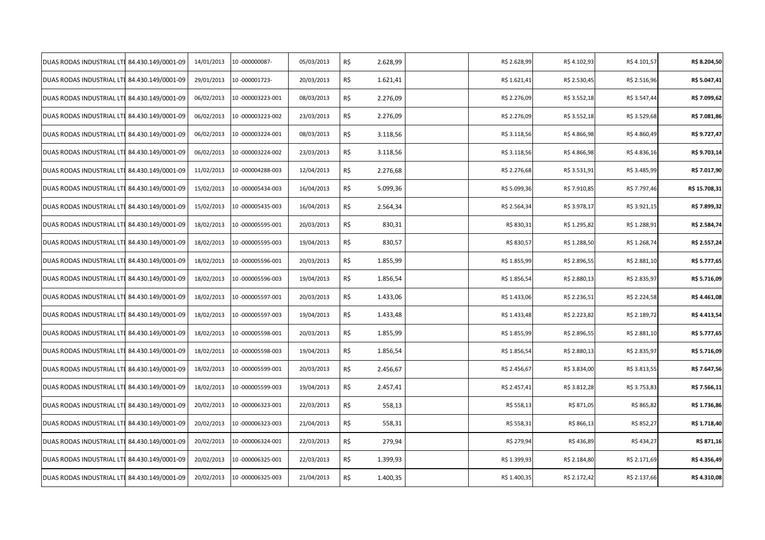| DUAS RODAS INDUSTRIAL LTI 84.430.149/0001-09 | 14/01/2013 | 10-000000087-    | 05/03/2013 | R\$ | 2.628,99 | R\$ 2.628,99 | R\$4.102,93  | R\$4.101,57  | R\$ 8.204,50  |
|----------------------------------------------|------------|------------------|------------|-----|----------|--------------|--------------|--------------|---------------|
| DUAS RODAS INDUSTRIAL LTI 84.430.149/0001-09 | 29/01/2013 | 10-000001723-    | 20/03/2013 | R\$ | 1.621,41 | R\$ 1.621,41 | R\$ 2.530,45 | R\$ 2.516,96 | R\$ 5.047,41  |
| DUAS RODAS INDUSTRIAL LTI 84.430.149/0001-09 | 06/02/2013 | 10-000003223-001 | 08/03/2013 | R\$ | 2.276,09 | R\$ 2.276,09 | R\$ 3.552,18 | R\$ 3.547,44 | R\$ 7.099,62  |
| DUAS RODAS INDUSTRIAL LTI 84.430.149/0001-09 | 06/02/2013 | 10-000003223-002 | 23/03/2013 | R\$ | 2.276,09 | R\$ 2.276,09 | R\$ 3.552,18 | R\$ 3.529,68 | R\$ 7.081,86  |
| DUAS RODAS INDUSTRIAL LTI 84.430.149/0001-09 | 06/02/2013 | 10-000003224-001 | 08/03/2013 | R\$ | 3.118,56 | R\$ 3.118,56 | R\$4.866,98  | R\$4.860,49  | R\$ 9.727,47  |
| DUAS RODAS INDUSTRIAL LTI 84.430.149/0001-09 | 06/02/2013 | 10-000003224-002 | 23/03/2013 | R\$ | 3.118,56 | R\$ 3.118,56 | R\$4.866,98  | R\$4.836,16  | R\$ 9.703,14  |
| DUAS RODAS INDUSTRIAL LTI 84.430.149/0001-09 | 11/02/2013 | 10-000004288-003 | 12/04/2013 | R\$ | 2.276,68 | R\$ 2.276,68 | R\$ 3.531,91 | R\$ 3.485,99 | R\$ 7.017,90  |
| DUAS RODAS INDUSTRIAL LTI 84.430.149/0001-09 | 15/02/2013 | 10-000005434-003 | 16/04/2013 | R\$ | 5.099,36 | R\$ 5.099,36 | R\$ 7.910,85 | R\$ 7.797,46 | R\$ 15.708,31 |
| DUAS RODAS INDUSTRIAL LTI 84.430.149/0001-09 | 15/02/2013 | 10-000005435-003 | 16/04/2013 | R\$ | 2.564,34 | R\$ 2.564,34 | R\$ 3.978,17 | R\$ 3.921,15 | R\$ 7.899,32  |
| DUAS RODAS INDUSTRIAL LTI 84.430.149/0001-09 | 18/02/2013 | 10-000005595-001 | 20/03/2013 | R\$ | 830,31   | R\$ 830,31   | R\$ 1.295,82 | R\$ 1.288,91 | R\$ 2.584,74  |
| DUAS RODAS INDUSTRIAL LTI 84.430.149/0001-09 | 18/02/2013 | 10-000005595-003 | 19/04/2013 | R\$ | 830,57   | R\$ 830,57   | R\$ 1.288,50 | R\$ 1.268,74 | R\$ 2.557,24  |
| DUAS RODAS INDUSTRIAL LTI 84.430.149/0001-09 | 18/02/2013 | 10-000005596-001 | 20/03/2013 | R\$ | 1.855,99 | R\$ 1.855,99 | R\$ 2.896,55 | R\$ 2.881,10 | R\$ 5.777,65  |
| DUAS RODAS INDUSTRIAL LTI 84.430.149/0001-09 | 18/02/2013 | 10-000005596-003 | 19/04/2013 | R\$ | 1.856,54 | R\$ 1.856,54 | R\$ 2.880,13 | R\$ 2.835,97 | R\$ 5.716,09  |
| DUAS RODAS INDUSTRIAL LTI 84.430.149/0001-09 | 18/02/2013 | 10-000005597-001 | 20/03/2013 | R\$ | 1.433,06 | R\$ 1.433,06 | R\$ 2.236,51 | R\$ 2.224,58 | R\$ 4.461,08  |
| DUAS RODAS INDUSTRIAL LTI 84.430.149/0001-09 | 18/02/2013 | 10-000005597-003 | 19/04/2013 | R\$ | 1.433,48 | R\$ 1.433,48 | R\$ 2.223,82 | R\$ 2.189,72 | R\$4.413,54   |
| DUAS RODAS INDUSTRIAL LTI 84.430.149/0001-09 | 18/02/2013 | 10-000005598-001 | 20/03/2013 | R\$ | 1.855,99 | R\$ 1.855,99 | R\$ 2.896,55 | R\$ 2.881,10 | R\$ 5.777,65  |
| DUAS RODAS INDUSTRIAL LTI 84.430.149/0001-09 | 18/02/2013 | 10-000005598-003 | 19/04/2013 | R\$ | 1.856,54 | R\$ 1.856,54 | R\$ 2.880,13 | R\$ 2.835,97 | R\$ 5.716,09  |
| DUAS RODAS INDUSTRIAL LTI 84.430.149/0001-09 | 18/02/2013 | 10-000005599-001 | 20/03/2013 | R\$ | 2.456,67 | R\$ 2.456,67 | R\$ 3.834,00 | R\$ 3.813,55 | R\$ 7.647,56  |
| DUAS RODAS INDUSTRIAL LTI 84.430.149/0001-09 | 18/02/2013 | 10-000005599-003 | 19/04/2013 | R\$ | 2.457,41 | R\$ 2.457,41 | R\$ 3.812,28 | R\$ 3.753,83 | R\$ 7.566,11  |
| DUAS RODAS INDUSTRIAL LTI 84.430.149/0001-09 | 20/02/2013 | 10-000006323-001 | 22/03/2013 | R\$ | 558,13   | R\$ 558,13   | R\$ 871,05   | R\$ 865,82   | R\$ 1.736,86  |
| DUAS RODAS INDUSTRIAL LTI 84.430.149/0001-09 | 20/02/2013 | 10-000006323-003 | 21/04/2013 | R\$ | 558,31   | R\$ 558,31   | R\$ 866,13   | R\$ 852,27   | R\$ 1.718,40  |
| DUAS RODAS INDUSTRIAL LTI 84.430.149/0001-09 | 20/02/2013 | 10-000006324-001 | 22/03/2013 | R\$ | 279,94   | R\$ 279,94   | R\$436,89    | R\$ 434,27   | R\$ 871,16    |
| DUAS RODAS INDUSTRIAL LTI 84.430.149/0001-09 | 20/02/2013 | 10-000006325-001 | 22/03/2013 | R\$ | 1.399,93 | R\$ 1.399,93 | R\$ 2.184,80 | R\$ 2.171,69 | R\$ 4.356,49  |
| DUAS RODAS INDUSTRIAL LTI 84.430.149/0001-09 | 20/02/2013 | 10-000006325-003 | 21/04/2013 | R\$ | 1.400,35 | R\$ 1.400,35 | R\$ 2.172,42 | R\$ 2.137,66 | R\$ 4.310,08  |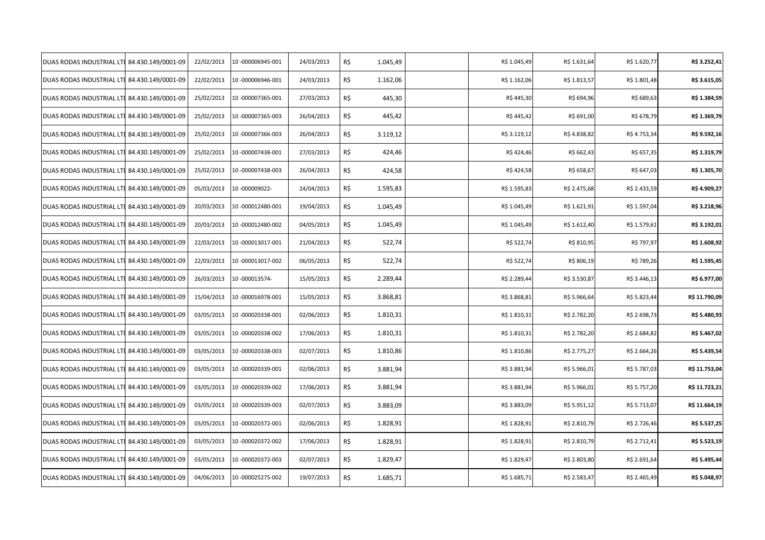| DUAS RODAS INDUSTRIAL LTI 84.430.149/0001-09 | 22/02/2013 | 10-000006945-001  | 24/03/2013 | R\$ | 1.045,49 | R\$ 1.045,49 | R\$ 1.631,64 | R\$ 1.620,77 | R\$ 3.252,41  |
|----------------------------------------------|------------|-------------------|------------|-----|----------|--------------|--------------|--------------|---------------|
| DUAS RODAS INDUSTRIAL LTI 84.430.149/0001-09 | 22/02/2013 | 10-000006946-001  | 24/03/2013 | R\$ | 1.162,06 | R\$ 1.162,06 | R\$ 1.813,57 | R\$ 1.801,48 | R\$ 3.615,05  |
| DUAS RODAS INDUSTRIAL LTI 84.430.149/0001-09 | 25/02/2013 | 10-000007365-001  | 27/03/2013 | R\$ | 445,30   | R\$445,30    | R\$ 694,96   | R\$ 689,63   | R\$ 1.384,59  |
| DUAS RODAS INDUSTRIAL LTI 84.430.149/0001-09 | 25/02/2013 | 10-000007365-003  | 26/04/2013 | R\$ | 445,42   | R\$445,42    | R\$ 691,00   | R\$ 678,79   | R\$ 1.369,79  |
| DUAS RODAS INDUSTRIAL LTI 84.430.149/0001-09 | 25/02/2013 | 10-000007366-003  | 26/04/2013 | R\$ | 3.119,12 | R\$ 3.119,12 | R\$4.838,82  | R\$4.753,34  | R\$ 9.592,16  |
| DUAS RODAS INDUSTRIAL LTI 84.430.149/0001-09 | 25/02/2013 | 10-000007438-001  | 27/03/2013 | R\$ | 424,46   | R\$424,46    | R\$ 662,43   | R\$ 657,35   | R\$ 1.319,79  |
| DUAS RODAS INDUSTRIAL LTI 84.430.149/0001-09 | 25/02/2013 | 10-000007438-003  | 26/04/2013 | R\$ | 424,58   | R\$424,58    | R\$ 658,67   | R\$ 647,03   | R\$ 1.305,70  |
| DUAS RODAS INDUSTRIAL LTI 84.430.149/0001-09 | 05/03/2013 | 10-000009022-     | 24/04/2013 | R\$ | 1.595,83 | R\$ 1.595,83 | R\$ 2.475,68 | R\$ 2.433,59 | R\$ 4.909,27  |
| DUAS RODAS INDUSTRIAL LTI 84.430.149/0001-09 | 20/03/2013 | 10-000012480-001  | 19/04/2013 | R\$ | 1.045,49 | R\$ 1.045,49 | R\$ 1.621,91 | R\$ 1.597,04 | R\$ 3.218,96  |
| DUAS RODAS INDUSTRIAL LTI 84.430.149/0001-09 | 20/03/2013 | 10-000012480-002  | 04/05/2013 | R\$ | 1.045,49 | R\$ 1.045,49 | R\$ 1.612,40 | R\$ 1.579,61 | R\$ 3.192,01  |
| DUAS RODAS INDUSTRIAL LTI 84.430.149/0001-09 | 22/03/2013 | 10-000013017-001  | 21/04/2013 | R\$ | 522,74   | R\$ 522,74   | R\$ 810,95   | R\$ 797,97   | R\$ 1.608,92  |
| DUAS RODAS INDUSTRIAL LTI 84.430.149/0001-09 | 22/03/2013 | 10-000013017-002  | 06/05/2013 | R\$ | 522,74   | R\$ 522,74   | R\$ 806,19   | R\$ 789,26   | R\$ 1.595,45  |
| DUAS RODAS INDUSTRIAL LTI 84.430.149/0001-09 | 26/03/2013 | 10-000013574-     | 15/05/2013 | R\$ | 2.289,44 | R\$ 2.289,44 | R\$ 3.530,87 | R\$ 3.446,13 | R\$ 6.977,00  |
| DUAS RODAS INDUSTRIAL LTI 84.430.149/0001-09 | 15/04/2013 | 10 -000016978-001 | 15/05/2013 | R\$ | 3.868,81 | R\$ 3.868,81 | R\$ 5.966,64 | R\$ 5.823,44 | R\$ 11.790,09 |
| DUAS RODAS INDUSTRIAL LTI 84.430.149/0001-09 | 03/05/2013 | 10-000020338-001  | 02/06/2013 | R\$ | 1.810,31 | R\$ 1.810,31 | R\$ 2.782,20 | R\$ 2.698,73 | R\$ 5.480,93  |
| DUAS RODAS INDUSTRIAL LTI 84.430.149/0001-09 | 03/05/2013 | 10-000020338-002  | 17/06/2013 | R\$ | 1.810,31 | R\$ 1.810,31 | R\$ 2.782,20 | R\$ 2.684,82 | R\$ 5.467,02  |
| DUAS RODAS INDUSTRIAL LTI 84.430.149/0001-09 | 03/05/2013 | 10-000020338-003  | 02/07/2013 | R\$ | 1.810,86 | R\$ 1.810,86 | R\$ 2.775,27 | R\$ 2.664,26 | R\$ 5.439,54  |
| DUAS RODAS INDUSTRIAL LTI 84.430.149/0001-09 | 03/05/2013 | 10-000020339-001  | 02/06/2013 | R\$ | 3.881,94 | R\$ 3.881,94 | R\$ 5.966,01 | R\$ 5.787,03 | R\$ 11.753,04 |
| DUAS RODAS INDUSTRIAL LTI 84.430.149/0001-09 | 03/05/2013 | 10-000020339-002  | 17/06/2013 | R\$ | 3.881,94 | R\$ 3.881,94 | R\$ 5.966,01 | R\$ 5.757,20 | R\$ 11.723,21 |
| DUAS RODAS INDUSTRIAL LTI 84.430.149/0001-09 | 03/05/2013 | 10-000020339-003  | 02/07/2013 | R\$ | 3.883,09 | R\$ 3.883,09 | R\$ 5.951,12 | R\$ 5.713,07 | R\$ 11.664,19 |
| DUAS RODAS INDUSTRIAL LTI 84.430.149/0001-09 | 03/05/2013 | 10-000020372-001  | 02/06/2013 | R\$ | 1.828,91 | R\$ 1.828,91 | R\$ 2.810,79 | R\$ 2.726,46 | R\$ 5.537,25  |
| DUAS RODAS INDUSTRIAL LTI 84.430.149/0001-09 | 03/05/2013 | 10-000020372-002  | 17/06/2013 | R\$ | 1.828,91 | R\$ 1.828,91 | R\$ 2.810,79 | R\$ 2.712,41 | R\$ 5.523,19  |
| DUAS RODAS INDUSTRIAL LTI 84.430.149/0001-09 | 03/05/2013 | 10-000020372-003  | 02/07/2013 | R\$ | 1.829,47 | R\$ 1.829,47 | R\$ 2.803,80 | R\$ 2.691,64 | R\$ 5.495,44  |
| DUAS RODAS INDUSTRIAL LTI 84.430.149/0001-09 | 04/06/2013 | 10-000025275-002  | 19/07/2013 | R\$ | 1.685,71 | R\$ 1.685,71 | R\$ 2.583,47 | R\$ 2.465,49 | R\$ 5.048,97  |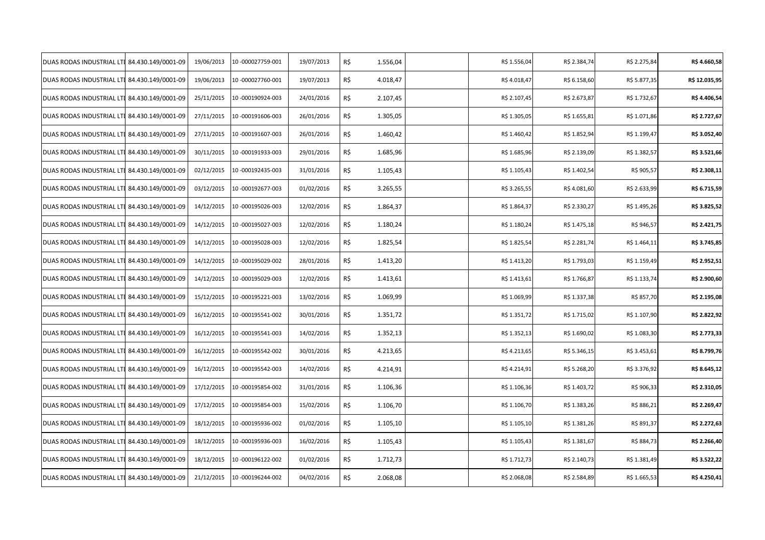| DUAS RODAS INDUSTRIAL LTI 84.430.149/0001-09 | 19/06/2013 | 10-000027759-001 | 19/07/2013 | R\$ | 1.556,04 | R\$ 1.556,04 | R\$ 2.384,74 | R\$ 2.275,84 | R\$4.660,58   |
|----------------------------------------------|------------|------------------|------------|-----|----------|--------------|--------------|--------------|---------------|
| DUAS RODAS INDUSTRIAL LTI 84.430.149/0001-09 | 19/06/2013 | 10-000027760-001 | 19/07/2013 | R\$ | 4.018,47 | R\$4.018,47  | R\$ 6.158,60 | R\$ 5.877,35 | R\$ 12.035,95 |
| DUAS RODAS INDUSTRIAL LTI 84.430.149/0001-09 | 25/11/2015 | 10-000190924-003 | 24/01/2016 | R\$ | 2.107,45 | R\$ 2.107,45 | R\$ 2.673,87 | R\$ 1.732,67 | R\$ 4.406,54  |
| DUAS RODAS INDUSTRIAL LTI 84.430.149/0001-09 | 27/11/2015 | 10-000191606-003 | 26/01/2016 | R\$ | 1.305,05 | R\$ 1.305,05 | R\$ 1.655,81 | R\$ 1.071,86 | R\$ 2.727,67  |
| DUAS RODAS INDUSTRIAL LTI 84.430.149/0001-09 | 27/11/2015 | 10-000191607-003 | 26/01/2016 | R\$ | 1.460,42 | R\$ 1.460,42 | R\$ 1.852,94 | R\$ 1.199,47 | R\$ 3.052,40  |
| DUAS RODAS INDUSTRIAL LTI 84.430.149/0001-09 | 30/11/2015 | 10-000191933-003 | 29/01/2016 | R\$ | 1.685,96 | R\$ 1.685,96 | R\$ 2.139,09 | R\$ 1.382,57 | R\$ 3.521,66  |
| DUAS RODAS INDUSTRIAL LTI 84.430.149/0001-09 | 02/12/2015 | 10-000192435-003 | 31/01/2016 | R\$ | 1.105,43 | R\$ 1.105,43 | R\$ 1.402,54 | R\$ 905,57   | R\$ 2.308,11  |
| DUAS RODAS INDUSTRIAL LTI 84.430.149/0001-09 | 03/12/2015 | 10-000192677-003 | 01/02/2016 | R\$ | 3.265,55 | R\$ 3.265,55 | R\$4.081,60  | R\$ 2.633,99 | R\$ 6.715,59  |
| DUAS RODAS INDUSTRIAL LTI 84.430.149/0001-09 | 14/12/2015 | 10-000195026-003 | 12/02/2016 | R\$ | 1.864,37 | R\$ 1.864,37 | R\$ 2.330,27 | R\$ 1.495,26 | R\$ 3.825,52  |
| DUAS RODAS INDUSTRIAL LTI 84.430.149/0001-09 | 14/12/2015 | 10-000195027-003 | 12/02/2016 | R\$ | 1.180,24 | R\$ 1.180,24 | R\$ 1.475,18 | R\$ 946,57   | R\$ 2.421,75  |
| DUAS RODAS INDUSTRIAL LTI 84.430.149/0001-09 | 14/12/2015 | 10-000195028-003 | 12/02/2016 | R\$ | 1.825,54 | R\$ 1.825,54 | R\$ 2.281,74 | R\$ 1.464,11 | R\$ 3.745,85  |
| DUAS RODAS INDUSTRIAL LTI 84.430.149/0001-09 | 14/12/2015 | 10-000195029-002 | 28/01/2016 | R\$ | 1.413,20 | R\$ 1.413,20 | R\$ 1.793,03 | R\$ 1.159,49 | R\$ 2.952,51  |
| DUAS RODAS INDUSTRIAL LTI 84.430.149/0001-09 | 14/12/2015 | 10-000195029-003 | 12/02/2016 | R\$ | 1.413,61 | R\$ 1.413,61 | R\$ 1.766,87 | R\$ 1.133,74 | R\$ 2.900,60  |
| DUAS RODAS INDUSTRIAL LTI 84.430.149/0001-09 | 15/12/2015 | 10-000195221-003 | 13/02/2016 | R\$ | 1.069,99 | R\$ 1.069,99 | R\$ 1.337,38 | R\$ 857,70   | R\$ 2.195,08  |
| DUAS RODAS INDUSTRIAL LTI 84.430.149/0001-09 | 16/12/2015 | 10-000195541-002 | 30/01/2016 | R\$ | 1.351,72 | R\$ 1.351,72 | R\$ 1.715,02 | R\$ 1.107,90 | R\$ 2.822,92  |
| DUAS RODAS INDUSTRIAL LTI 84.430.149/0001-09 | 16/12/2015 | 10-000195541-003 | 14/02/2016 | R\$ | 1.352,13 | R\$ 1.352,13 | R\$ 1.690,02 | R\$ 1.083,30 | R\$ 2.773,33  |
| DUAS RODAS INDUSTRIAL LTI 84.430.149/0001-09 | 16/12/2015 | 10-000195542-002 | 30/01/2016 | R\$ | 4.213,65 | R\$4.213,65  | R\$ 5.346,15 | R\$ 3.453,61 | R\$ 8.799,76  |
| DUAS RODAS INDUSTRIAL LTI 84.430.149/0001-09 | 16/12/2015 | 10-000195542-003 | 14/02/2016 | R\$ | 4.214,91 | R\$4.214,91  | R\$ 5.268,20 | R\$ 3.376,92 | R\$ 8.645,12  |
| DUAS RODAS INDUSTRIAL LTI 84.430.149/0001-09 | 17/12/2015 | 10-000195854-002 | 31/01/2016 | R\$ | 1.106,36 | R\$ 1.106,36 | R\$ 1.403,72 | R\$ 906,33   | R\$ 2.310,05  |
| DUAS RODAS INDUSTRIAL LTI 84.430.149/0001-09 | 17/12/2015 | 10-000195854-003 | 15/02/2016 | R\$ | 1.106,70 | R\$ 1.106,70 | R\$ 1.383,26 | R\$ 886,21   | R\$ 2.269,47  |
| DUAS RODAS INDUSTRIAL LTI 84.430.149/0001-09 | 18/12/2015 | 10-000195936-002 | 01/02/2016 | R\$ | 1.105,10 | R\$ 1.105,10 | R\$ 1.381,26 | R\$ 891,37   | R\$ 2.272,63  |
| DUAS RODAS INDUSTRIAL LTI 84.430.149/0001-09 | 18/12/2015 | 10-000195936-003 | 16/02/2016 | R\$ | 1.105,43 | R\$ 1.105,43 | R\$ 1.381,67 | R\$ 884,73   | R\$ 2.266,40  |
| DUAS RODAS INDUSTRIAL LTI 84.430.149/0001-09 | 18/12/2015 | 10-000196122-002 | 01/02/2016 | R\$ | 1.712,73 | R\$ 1.712,73 | R\$ 2.140,73 | R\$ 1.381,49 | R\$ 3.522,22  |
| DUAS RODAS INDUSTRIAL LTI 84.430.149/0001-09 | 21/12/2015 | 10-000196244-002 | 04/02/2016 | R\$ | 2.068,08 | R\$ 2.068,08 | R\$ 2.584,89 | R\$ 1.665,53 | R\$ 4.250,41  |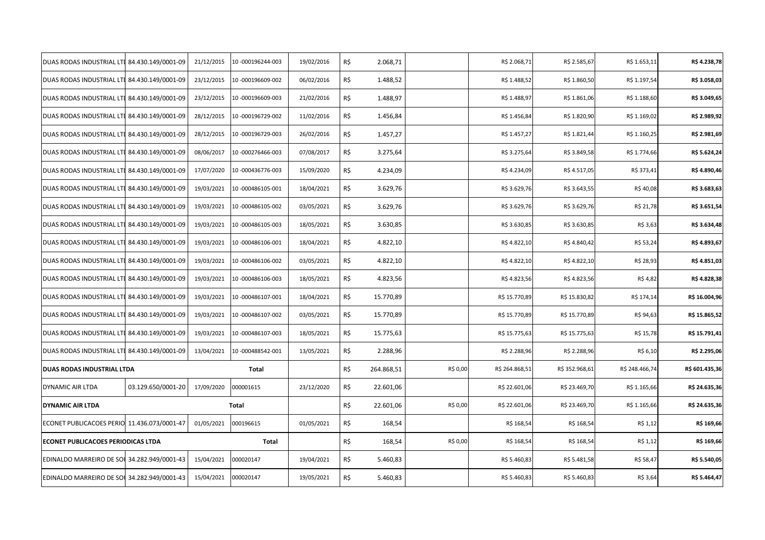| DUAS RODAS INDUSTRIAL LTI 84.430.149/0001-09 |                    | 21/12/2015 | 10-000196244-003  | 19/02/2016 | R\$ | 2.068,71   |          | R\$ 2.068,71   | R\$ 2.585,67   | R\$ 1.653,11   | R\$ 4.238,78   |
|----------------------------------------------|--------------------|------------|-------------------|------------|-----|------------|----------|----------------|----------------|----------------|----------------|
| DUAS RODAS INDUSTRIAL LTI 84.430.149/0001-09 |                    | 23/12/2015 | 10-000196609-002  | 06/02/2016 | R\$ | 1.488,52   |          | R\$ 1.488,52   | R\$ 1.860,50   | R\$ 1.197,54   | R\$ 3.058,03   |
| DUAS RODAS INDUSTRIAL LTI 84.430.149/0001-09 |                    | 23/12/2015 | 10-000196609-003  | 21/02/2016 | R\$ | 1.488,97   |          | R\$ 1.488,97   | R\$ 1.861,06   | R\$ 1.188,60   | R\$ 3.049,65   |
| DUAS RODAS INDUSTRIAL LTI 84.430.149/0001-09 |                    | 28/12/2015 | 10-000196729-002  | 11/02/2016 | R\$ | 1.456,84   |          | R\$ 1.456,84   | R\$ 1.820,90   | R\$ 1.169,02   | R\$ 2.989,92   |
| DUAS RODAS INDUSTRIAL LTI 84.430.149/0001-09 |                    | 28/12/2015 | 10-000196729-003  | 26/02/2016 | R\$ | 1.457,27   |          | R\$ 1.457,27   | R\$ 1.821,44   | R\$ 1.160,25   | R\$ 2.981,69   |
| DUAS RODAS INDUSTRIAL LTI 84.430.149/0001-09 |                    | 08/06/2017 | 10-000276466-003  | 07/08/2017 | R\$ | 3.275,64   |          | R\$ 3.275,64   | R\$ 3.849,58   | R\$ 1.774,66   | R\$ 5.624,24   |
| DUAS RODAS INDUSTRIAL LTI 84.430.149/0001-09 |                    | 17/07/2020 | 10-000436776-003  | 15/09/2020 | R\$ | 4.234,09   |          | R\$4.234,09    | R\$4.517,05    | R\$ 373,41     | R\$4.890,46    |
| DUAS RODAS INDUSTRIAL LTI 84.430.149/0001-09 |                    | 19/03/2021 | 10-000486105-001  | 18/04/2021 | R\$ | 3.629,76   |          | R\$ 3.629,76   | R\$ 3.643,55   | R\$40,08       | R\$ 3.683,63   |
| DUAS RODAS INDUSTRIAL LTI 84.430.149/0001-09 |                    | 19/03/2021 | 10-000486105-002  | 03/05/2021 | R\$ | 3.629,76   |          | R\$ 3.629,76   | R\$ 3.629,76   | R\$ 21,78      | R\$ 3.651,54   |
| DUAS RODAS INDUSTRIAL LTI 84.430.149/0001-09 |                    | 19/03/2021 | 10-000486105-003  | 18/05/2021 | R\$ | 3.630,85   |          | R\$ 3.630,85   | R\$ 3.630,85   | R\$ 3,63       | R\$ 3.634,48   |
| DUAS RODAS INDUSTRIAL LTI 84.430.149/0001-09 |                    | 19/03/2021 | 10-000486106-001  | 18/04/2021 | R\$ | 4.822,10   |          | R\$4.822,10    | R\$4.840,42    | R\$ 53,24      | R\$4.893,67    |
| DUAS RODAS INDUSTRIAL LTI 84.430.149/0001-09 |                    | 19/03/2021 | 10-000486106-002  | 03/05/2021 | R\$ | 4.822,10   |          | R\$4.822,10    | R\$4.822,10    | R\$ 28,93      | R\$4.851,03    |
| DUAS RODAS INDUSTRIAL LTI 84.430.149/0001-09 |                    | 19/03/2021 | 10-000486106-003  | 18/05/2021 | R\$ | 4.823,56   |          | R\$4.823,56    | R\$4.823,56    | R\$ 4,82       | R\$4.828,38    |
| DUAS RODAS INDUSTRIAL LTI 84.430.149/0001-09 |                    | 19/03/2021 | 10-000486107-001  | 18/04/2021 | R\$ | 15.770,89  |          | R\$ 15.770,89  | R\$ 15.830,82  | R\$ 174,14     | R\$ 16.004,96  |
| DUAS RODAS INDUSTRIAL LTI 84.430.149/0001-09 |                    | 19/03/2021 | 10 -000486107-002 | 03/05/2021 | R\$ | 15.770,89  |          | R\$ 15.770,89  | R\$ 15.770,89  | R\$ 94,63      | R\$ 15.865,52  |
| DUAS RODAS INDUSTRIAL LTI 84.430.149/0001-09 |                    | 19/03/2021 | 10-000486107-003  | 18/05/2021 | R\$ | 15.775,63  |          | R\$ 15.775,63  | R\$ 15.775,63  | R\$ 15,78      | R\$ 15.791,41  |
| DUAS RODAS INDUSTRIAL LTI 84.430.149/0001-09 |                    | 13/04/2021 | 10-000488542-001  | 13/05/2021 | R\$ | 2.288,96   |          | R\$ 2.288,96   | R\$ 2.288,96   | R\$ 6,10       | R\$ 2.295,06   |
| DUAS RODAS INDUSTRIAL LTDA                   |                    |            | Total             |            | R\$ | 264.868,51 | R\$ 0,00 | R\$ 264.868,51 | R\$ 352.968,61 | R\$ 248.466,74 | R\$ 601.435,36 |
| DYNAMIC AIR LTDA                             | 03.129.650/0001-20 | 17/09/2020 | 000001615         | 23/12/2020 | R\$ | 22.601,06  |          | R\$ 22.601,06  | R\$ 23.469,70  | R\$ 1.165,66   | R\$ 24.635,36  |
| <b>DYNAMIC AIR LTDA</b>                      |                    |            | Total             |            | R\$ | 22.601,06  | R\$ 0,00 | R\$ 22.601,06  | R\$ 23.469,70  | R\$ 1.165,66   | R\$ 24.635,36  |
| ECONET PUBLICACOES PERIO 11.436.073/0001-47  |                    | 01/05/2021 | 000196615         | 01/05/2021 | R\$ | 168,54     |          | R\$ 168,54     | R\$ 168,54     | R\$ 1,12       | R\$ 169,66     |
| <b>ECONET PUBLICACOES PERIODICAS LTDA</b>    |                    |            | Total             |            | R\$ | 168,54     | R\$ 0,00 | R\$ 168,54     | R\$ 168,54     | R\$ 1,12       | R\$ 169,66     |
| EDINALDO MARREIRO DE SOU 34.282.949/0001-43  |                    | 15/04/2021 | 000020147         | 19/04/2021 | R\$ | 5.460,83   |          | R\$ 5.460,83   | R\$ 5.481,58   | R\$ 58,47      | R\$ 5.540,05   |
| EDINALDO MARREIRO DE SOU 34.282.949/0001-43  |                    | 15/04/2021 | 000020147         | 19/05/2021 | R\$ | 5.460,83   |          | R\$ 5.460,83   | R\$ 5.460,83   | R\$ 3,64       | R\$ 5.464,47   |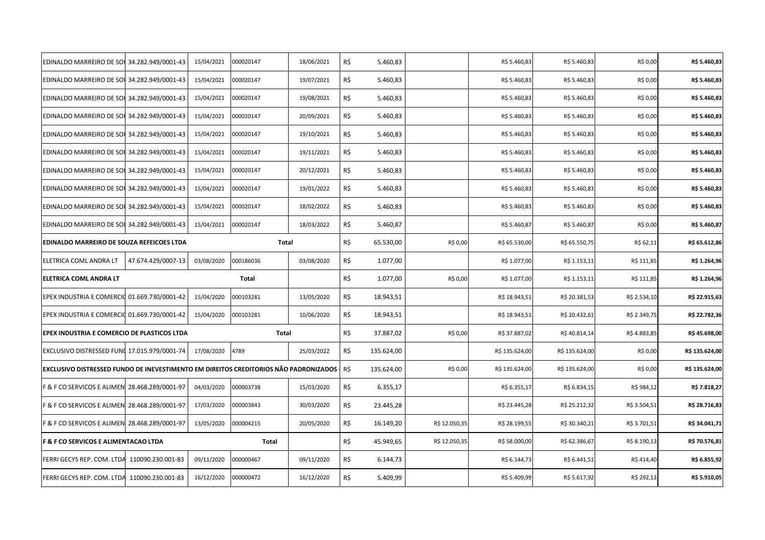| EDINALDO MARREIRO DE SOU 34.282.949/0001-43                                                |                    | 15/04/2021 | 000020147    | 18/06/2021 | R\$ | 5.460,83   |               | R\$ 5.460,83   | R\$ 5.460,83   | R\$ 0,00     | R\$ 5.460,83   |
|--------------------------------------------------------------------------------------------|--------------------|------------|--------------|------------|-----|------------|---------------|----------------|----------------|--------------|----------------|
| EDINALDO MARREIRO DE SOU 34.282.949/0001-43                                                |                    | 15/04/2021 | 000020147    | 19/07/2021 | R\$ | 5.460,83   |               | R\$ 5.460,83   | R\$ 5.460,83   | R\$ 0,00     | R\$ 5.460,83   |
| EDINALDO MARREIRO DE SOU 34.282.949/0001-43                                                |                    | 15/04/2021 | 000020147    | 19/08/2021 | R\$ | 5.460,83   |               | R\$ 5.460,83   | R\$ 5.460,83   | R\$ 0,00     | R\$ 5.460,83   |
| EDINALDO MARREIRO DE SOU 34.282.949/0001-43                                                |                    | 15/04/2021 | 000020147    | 20/09/2021 | R\$ | 5.460,83   |               | R\$ 5.460,83   | R\$ 5.460,83   | R\$ 0,00     | R\$ 5.460,83   |
| EDINALDO MARREIRO DE SOU 34.282.949/0001-43                                                |                    | 15/04/2021 | 000020147    | 19/10/2021 | R\$ | 5.460,83   |               | R\$ 5.460,83   | R\$ 5.460,83   | R\$ 0,00     | R\$ 5.460,83   |
| EDINALDO MARREIRO DE SOU 34.282.949/0001-43                                                |                    | 15/04/2021 | 000020147    | 19/11/2021 | R\$ | 5.460,83   |               | R\$ 5.460,83   | R\$ 5.460,83   | R\$ 0,00     | R\$ 5.460,83   |
| EDINALDO MARREIRO DE SOU 34.282.949/0001-43                                                |                    | 15/04/2021 | 000020147    | 20/12/2021 | R\$ | 5.460,83   |               | R\$ 5.460,83   | R\$ 5.460,83   | R\$ 0,00     | R\$ 5.460,83   |
| EDINALDO MARREIRO DE SOU 34.282.949/0001-43                                                |                    | 15/04/2021 | 000020147    | 19/01/2022 | R\$ | 5.460,83   |               | R\$ 5.460,83   | R\$ 5.460,83   | R\$ 0,00     | R\$ 5.460,83   |
| EDINALDO MARREIRO DE SOU 34.282.949/0001-43                                                |                    | 15/04/2021 | 000020147    | 18/02/2022 | R\$ | 5.460,83   |               | R\$ 5.460,83   | R\$ 5.460,83   | R\$ 0,00     | R\$ 5.460,83   |
| EDINALDO MARREIRO DE SOU 34.282.949/0001-43                                                |                    | 15/04/2021 | 000020147    | 18/03/2022 | R\$ | 5.460,87   |               | R\$ 5.460,87   | R\$ 5.460,87   | R\$ 0,00     | R\$ 5.460,87   |
| EDINALDO MARREIRO DE SOUZA REFEICOES LTDA                                                  |                    |            | <b>Total</b> |            | R\$ | 65.530,00  | R\$ 0,00      | R\$ 65.530,00  | R\$ 65.550,75  | R\$ 62,11    | R\$ 65.612,86  |
| ELETRICA COML ANDRA LT                                                                     | 47.674.429/0007-13 | 03/08/2020 | 000186036    | 03/08/2020 | R\$ | 1.077,00   |               | R\$ 1.077,00   | R\$ 1.153,11   | R\$ 111,85   | R\$ 1.264,96   |
|                                                                                            |                    |            |              |            |     |            |               |                |                |              |                |
| ELETRICA COML ANDRA LT                                                                     |                    |            | Total        |            | R\$ | 1.077,00   | R\$ 0,00      | R\$ 1.077,00   | R\$ 1.153,11   | R\$ 111,85   | R\$ 1.264,96   |
| EPEX INDUSTRIA E COMERCIO                                                                  | 01.669.730/0001-42 | 15/04/2020 | 000103281    | 13/05/2020 | R\$ | 18.943,51  |               | R\$ 18.943,51  | R\$ 20.381,53  | R\$ 2.534,10 | R\$ 22.915,63  |
| EPEX INDUSTRIA E COMERCIO 01.669.730/0001-42                                               |                    | 15/04/2020 | 000103281    | 10/06/2020 | R\$ | 18.943,51  |               | R\$ 18.943,51  | R\$ 20.432,61  | R\$ 2.349,75 | R\$ 22.782,36  |
| EPEX INDUSTRIA E COMERCIO DE PLASTICOS LTDA                                                |                    |            | Total        |            | R\$ | 37.887,02  | R\$ 0,00      | R\$ 37.887,02  | R\$40.814,14   | R\$4.883,85  | R\$45.698,00   |
| EXCLUSIVO DISTRESSED FUNI 17.015.979/0001-74                                               |                    | 17/08/2020 | 4789         | 25/03/2022 | R\$ | 135.624,00 |               | R\$ 135.624,00 | R\$ 135.624,00 | R\$ 0,00     | R\$ 135.624,00 |
| EXCLUSIVO DISTRESSED FUNDO DE INEVESTIMENTO EM DIREITOS CREDITORIOS NÃO PADRONIZADOS - R\$ |                    |            |              |            |     | 135.624,00 | R\$ 0,00      | R\$ 135.624,00 | R\$ 135.624,00 | R\$ 0,00     | R\$ 135.624,00 |
| <b>F &amp; F CO SERVICOS E ALIMEN</b>                                                      | 28.468.289/0001-97 | 04/03/2020 | 000003738    | 15/03/2020 | R\$ | 6.355,17   |               | R\$ 6.355,17   | R\$ 6.834,15   | R\$ 984,12   | R\$ 7.818,27   |
| F & F CO SERVICOS E ALIMEN                                                                 | 28.468.289/0001-97 | 17/03/2020 | 000003843    | 30/03/2020 | R\$ | 23.445,28  |               | R\$ 23.445,28  | R\$ 25.212,32  | R\$ 3.504,51 | R\$ 28.716,83  |
| F & F CO SERVICOS E ALIMEN 28.468.289/0001-97                                              |                    | 13/05/2020 | 000004215    | 20/05/2020 | R\$ | 16.149,20  | R\$ 12.050,35 | R\$ 28.199,55  | R\$ 30.340,21  | R\$ 3.701,51 | R\$ 34.041,71  |
| <b>F &amp; F CO SERVICOS E ALIMENTACAO LTDA</b>                                            |                    |            | Total        |            | R\$ | 45.949,65  | R\$ 12.050,35 | R\$58.000,00   | R\$ 62.386,67  | R\$ 8.190,13 | R\$ 70.576,81  |
| FERRI GECYS REP. COM. LTDA                                                                 | 110090.230.001-83  | 09/11/2020 | 000000467    | 09/11/2020 | R\$ | 6.144,73   |               | R\$ 6.144,73   | R\$ 6.441,51   | R\$ 414,40   | R\$ 6.855,92   |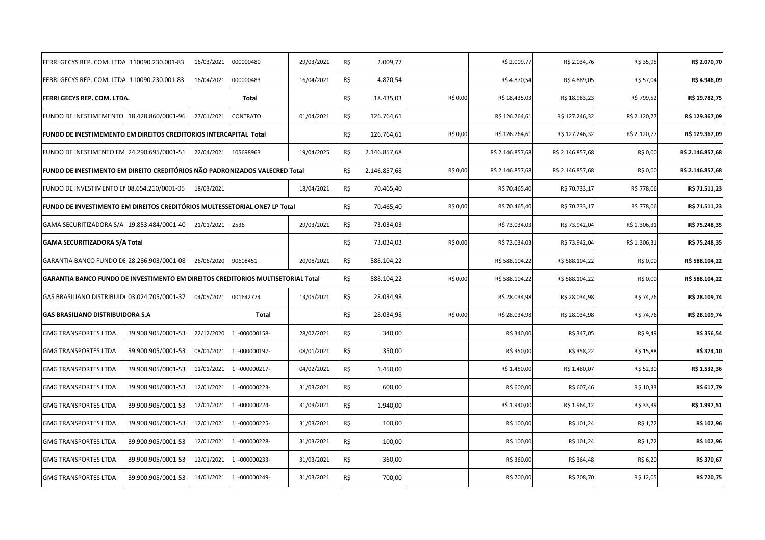| FERRI GECYS REP. COM. LTDA                                                              | 110090.230.001-83  | 16/03/2021 | 000000480     | 29/03/2021 | R\$ | 2.009,77     |          | R\$ 2.009,77     | R\$ 2.034,76     | R\$ 35,95    | R\$ 2.070,70     |
|-----------------------------------------------------------------------------------------|--------------------|------------|---------------|------------|-----|--------------|----------|------------------|------------------|--------------|------------------|
| FERRI GECYS REP. COM. LTDA 110090.230.001-83                                            |                    | 16/04/2021 | 000000483     | 16/04/2021 | R\$ | 4.870,54     |          | R\$4.870,54      | R\$4.889,05      | R\$ 57,04    | R\$4.946,09      |
| FERRI GECYS REP. COM. LTDA.                                                             |                    |            | Total         |            | R\$ | 18.435,03    | R\$ 0,00 | R\$ 18.435,03    | R\$ 18.983,23    | R\$ 799,52   | R\$ 19.782,75    |
| FUNDO DE INESTIMEMENTO   18.428.860/0001-96                                             |                    | 27/01/2021 | CONTRATO      | 01/04/2021 | R\$ | 126.764,61   |          | R\$ 126.764,61   | R\$ 127.246,32   | R\$ 2.120,77 | R\$ 129.367,09   |
| FUNDO DE INESTIMEMENTO EM DIREITOS CREDITORIOS INTERCAPITAL Total                       |                    |            |               |            | R\$ | 126.764,61   | R\$ 0,00 | R\$ 126.764,61   | R\$ 127.246,32   | R\$ 2.120,77 | R\$ 129.367,09   |
| FUNDO DE INESTIMENTO EM 24.290.695/0001-51                                              |                    | 22/04/2021 | 105698963     | 19/04/2025 | R\$ | 2.146.857,68 |          | R\$ 2.146.857,68 | R\$ 2.146.857,68 | R\$ 0,00     | R\$ 2.146.857,68 |
| <b>FUNDO DE INESTIMENTO EM DIREITO CREDITÓRIOS NÃO PADRONIZADOS VALECRED Total</b>      |                    |            |               |            | R\$ | 2.146.857,68 | R\$ 0,00 | R\$ 2.146.857,68 | R\$ 2.146.857,68 | R\$ 0,00     | R\$ 2.146.857,68 |
| FUNDO DE INVESTIMENTO EN 08.654.210/0001-05                                             |                    | 18/03/2021 |               | 18/04/2021 | R\$ | 70.465,40    |          | R\$ 70.465,40    | R\$ 70.733,17    | R\$ 778,06   | R\$ 71.511,23    |
| FUNDO DE INVESTIMENTO EM DIREITOS CREDITÓRIOS MULTESSETORIAL ONE7 LP Total              |                    |            |               |            | R\$ | 70.465,40    | R\$ 0,00 | R\$70.465,40     | R\$ 70.733,17    | R\$ 778,06   | R\$ 71.511,23    |
| GAMA SECURITIZADORA S/A 19.853.484/0001-40                                              |                    | 21/01/2021 | 2536          | 29/03/2021 | R\$ | 73.034,03    |          | R\$ 73.034,03    | R\$ 73.942,04    | R\$ 1.306,31 | R\$ 75.248,35    |
| <b>GAMA SECURITIZADORA S/A Total</b>                                                    |                    |            |               |            | R\$ | 73.034,03    | R\$ 0,00 | R\$ 73.034,03    | R\$ 73.942,04    | R\$ 1.306,31 | R\$ 75.248,35    |
| GARANTIA BANCO FUNDO DE 28.286.903/0001-08                                              |                    | 26/06/2020 | 90608451      | 20/08/2021 | R\$ | 588.104,22   |          | R\$ 588.104,22   | R\$ 588.104,22   | R\$ 0,00     | R\$ 588.104,22   |
|                                                                                         |                    |            |               |            |     |              |          |                  |                  |              |                  |
| <b>GARANTIA BANCO FUNDO DE INVESTIMENTO EM DIREITOS CREDITORIOS MULTISETORIAL Total</b> |                    |            |               |            | R\$ | 588.104,22   | R\$ 0,00 | R\$ 588.104,22   | R\$ 588.104,22   | R\$ 0,00     | R\$ 588.104,22   |
| GAS BRASILIANO DISTRIBUIDI 03.024.705/0001-37                                           |                    | 04/05/2021 | 001642774     | 13/05/2021 | R\$ | 28.034,98    |          | R\$ 28.034,98    | R\$ 28.034,98    | R\$ 74,76    | R\$ 28.109,74    |
| <b>GAS BRASILIANO DISTRIBUIDORA S.A</b>                                                 |                    |            | Total         |            | R\$ | 28.034,98    | R\$ 0,00 | R\$ 28.034,98    | R\$ 28.034,98    | R\$ 74,76    | R\$ 28.109,74    |
| <b>GMG TRANSPORTES LTDA</b>                                                             | 39.900.905/0001-53 | 22/12/2020 | $-000000158-$ | 28/02/2021 | R\$ | 340,00       |          | R\$ 340,00       | R\$ 347,05       | R\$ 9,49     | R\$ 356,54       |
| <b>GMG TRANSPORTES LTDA</b>                                                             | 39.900.905/0001-53 | 08/01/2021 | $-000000197-$ | 08/01/2021 | R\$ | 350,00       |          | R\$ 350,00       | R\$ 358,22       | R\$ 15,88    | R\$ 374,10       |
| <b>GMG TRANSPORTES LTDA</b>                                                             | 39.900.905/0001-53 | 11/01/2021 | $-000000217-$ | 04/02/2021 | R\$ | 1.450,00     |          | R\$ 1.450,00     | R\$ 1.480,07     | R\$ 52,30    | R\$ 1.532,36     |
| <b>GMG TRANSPORTES LTDA</b>                                                             | 39.900.905/0001-53 | 12/01/2021 | $-000000223-$ | 31/03/2021 | R\$ | 600,00       |          | R\$ 600,00       | R\$ 607,46       | R\$ 10,33    | R\$ 617,79       |
| <b>GMG TRANSPORTES LTDA</b>                                                             | 39.900.905/0001-53 | 12/01/2021 | $-000000224-$ | 31/03/2021 | R\$ | 1.940,00     |          | R\$ 1.940,00     | R\$ 1.964,12     | R\$ 33,39    | R\$ 1.997,51     |
| <b>GMG TRANSPORTES LTDA</b>                                                             | 39.900.905/0001-53 | 12/01/2021 | $-000000225-$ | 31/03/2021 | R\$ | 100,00       |          | R\$ 100,00       | R\$ 101,24       | R\$ 1,72     | R\$ 102,96       |
| <b>GMG TRANSPORTES LTDA</b>                                                             | 39.900.905/0001-53 | 12/01/2021 | 1 -000000228- | 31/03/2021 | R\$ | 100,00       |          | R\$ 100,00       | R\$ 101,24       | R\$ 1,72     | R\$ 102,96       |
| <b>GMG TRANSPORTES LTDA</b>                                                             | 39.900.905/0001-53 | 12/01/2021 | $-000000233-$ | 31/03/2021 | R\$ | 360,00       |          | R\$ 360,00       | R\$ 364,48       | R\$ 6,20     | R\$ 370,67       |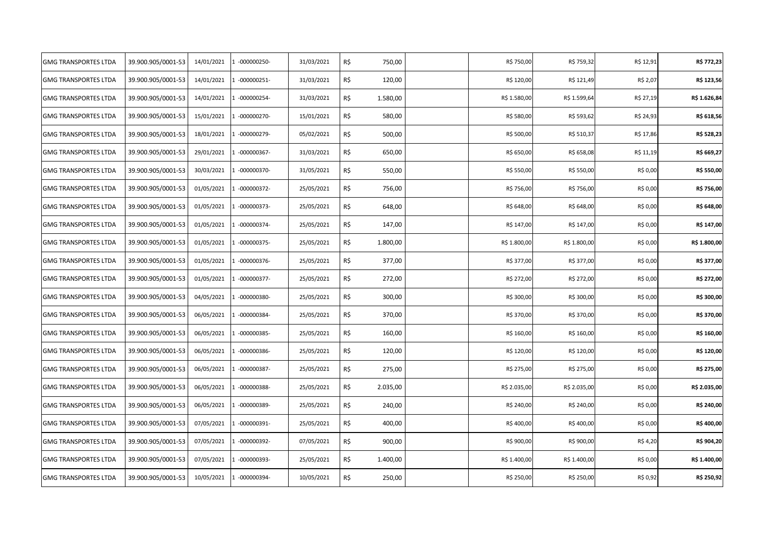| <b>GMG TRANSPORTES LTDA</b> | 39.900.905/0001-53 | 14/01/2021 | $-000000250-$ | 31/03/2021 | R\$<br>750,00   | R\$ 750,00   | R\$ 759,32   | R\$ 12,91 | R\$ 772,23   |
|-----------------------------|--------------------|------------|---------------|------------|-----------------|--------------|--------------|-----------|--------------|
| <b>GMG TRANSPORTES LTDA</b> | 39.900.905/0001-53 | 14/01/2021 | $-000000251-$ | 31/03/2021 | R\$<br>120,00   | R\$ 120,00   | R\$ 121,49   | R\$ 2,07  | R\$ 123,56   |
| <b>GMG TRANSPORTES LTDA</b> | 39.900.905/0001-53 | 14/01/2021 | $-000000254-$ | 31/03/2021 | R\$<br>1.580,00 | R\$ 1.580,00 | R\$ 1.599,64 | R\$ 27,19 | R\$ 1.626,84 |
| <b>GMG TRANSPORTES LTDA</b> | 39.900.905/0001-53 | 15/01/2021 | 1 -000000270- | 15/01/2021 | R\$<br>580,00   | R\$ 580,00   | R\$ 593,62   | R\$ 24,93 | R\$ 618,56   |
| <b>GMG TRANSPORTES LTDA</b> | 39.900.905/0001-53 | 18/01/2021 | $-000000279-$ | 05/02/2021 | R\$<br>500,00   | R\$ 500,00   | R\$ 510,37   | R\$ 17,86 | R\$ 528,23   |
| <b>GMG TRANSPORTES LTDA</b> | 39.900.905/0001-53 | 29/01/2021 | $-000000367-$ | 31/03/2021 | R\$<br>650,00   | R\$ 650,00   | R\$ 658,08   | R\$ 11,19 | R\$ 669,27   |
| <b>GMG TRANSPORTES LTDA</b> | 39.900.905/0001-53 | 30/03/2021 | $-000000370-$ | 31/05/2021 | R\$<br>550,00   | R\$ 550,00   | R\$ 550,00   | R\$ 0,00  | R\$ 550,00   |
| <b>GMG TRANSPORTES LTDA</b> | 39.900.905/0001-53 | 01/05/2021 | $-000000372-$ | 25/05/2021 | R\$<br>756,00   | R\$ 756,00   | R\$ 756,00   | R\$ 0,00  | R\$ 756,00   |
| <b>GMG TRANSPORTES LTDA</b> | 39.900.905/0001-53 | 01/05/2021 | $-000000373-$ | 25/05/2021 | R\$<br>648,00   | R\$ 648,00   | R\$ 648,00   | R\$ 0,00  | R\$ 648,00   |
| <b>GMG TRANSPORTES LTDA</b> | 39.900.905/0001-53 | 01/05/2021 | $-000000374-$ | 25/05/2021 | R\$<br>147,00   | R\$ 147,00   | R\$ 147,00   | R\$ 0,00  | R\$ 147,00   |
| <b>GMG TRANSPORTES LTDA</b> | 39.900.905/0001-53 | 01/05/2021 | $-000000375-$ | 25/05/2021 | R\$<br>1.800,00 | R\$ 1.800,00 | R\$ 1.800,00 | R\$ 0,00  | R\$ 1.800,00 |
| <b>GMG TRANSPORTES LTDA</b> | 39.900.905/0001-53 | 01/05/2021 | -000000376-   | 25/05/2021 | R\$<br>377,00   | R\$ 377,00   | R\$ 377,00   | R\$ 0,00  | R\$ 377,00   |
| <b>GMG TRANSPORTES LTDA</b> | 39.900.905/0001-53 | 01/05/2021 | 1 -000000377- | 25/05/2021 | R\$<br>272,00   | R\$ 272,00   | R\$ 272,00   | R\$ 0,00  | R\$ 272,00   |
| <b>GMG TRANSPORTES LTDA</b> | 39.900.905/0001-53 | 04/05/2021 | $-000000380-$ | 25/05/2021 | R\$<br>300,00   | R\$ 300,00   | R\$ 300,00   | R\$ 0,00  | R\$ 300,00   |
| <b>GMG TRANSPORTES LTDA</b> | 39.900.905/0001-53 | 06/05/2021 | -000000384-   | 25/05/2021 | R\$<br>370,00   | R\$ 370,00   | R\$ 370,00   | R\$ 0,00  | R\$ 370,00   |
| <b>GMG TRANSPORTES LTDA</b> | 39.900.905/0001-53 | 06/05/2021 | -000000385-   | 25/05/2021 | R\$<br>160,00   | R\$ 160,00   | R\$ 160,00   | R\$ 0,00  | R\$ 160,00   |
| <b>GMG TRANSPORTES LTDA</b> | 39.900.905/0001-53 | 06/05/2021 | $-000000386-$ | 25/05/2021 | R\$<br>120,00   | R\$ 120,00   | R\$ 120,00   | R\$ 0,00  | R\$ 120,00   |
| <b>GMG TRANSPORTES LTDA</b> | 39.900.905/0001-53 | 06/05/2021 | $-000000387-$ | 25/05/2021 | R\$<br>275,00   | R\$ 275,00   | R\$ 275,00   | R\$ 0,00  | R\$ 275,00   |
| <b>GMG TRANSPORTES LTDA</b> | 39.900.905/0001-53 | 06/05/2021 | $-000000388-$ | 25/05/2021 | R\$<br>2.035,00 | R\$ 2.035,00 | R\$ 2.035,00 | R\$ 0,00  | R\$ 2.035,00 |
| <b>GMG TRANSPORTES LTDA</b> | 39.900.905/0001-53 | 06/05/2021 | -000000389-   | 25/05/2021 | R\$<br>240,00   | R\$ 240,00   | R\$ 240,00   | R\$ 0,00  | R\$ 240,00   |
| <b>GMG TRANSPORTES LTDA</b> | 39.900.905/0001-53 | 07/05/2021 | -000000391-   | 25/05/2021 | R\$<br>400,00   | R\$400,00    | R\$400,00    | R\$ 0,00  | R\$400,00    |
| <b>GMG TRANSPORTES LTDA</b> | 39.900.905/0001-53 | 07/05/2021 | 1 -000000392- | 07/05/2021 | R\$<br>900,00   | R\$ 900,00   | R\$ 900,00   | R\$ 4,20  | R\$ 904,20   |
| <b>GMG TRANSPORTES LTDA</b> | 39.900.905/0001-53 | 07/05/2021 | -000000393-   | 25/05/2021 | R\$<br>1.400,00 | R\$ 1.400,00 | R\$ 1.400,00 | R\$ 0,00  | R\$ 1.400,00 |
| <b>GMG TRANSPORTES LTDA</b> | 39.900.905/0001-53 | 10/05/2021 | $-000000394-$ | 10/05/2021 | R\$<br>250,00   | R\$ 250,00   | R\$ 250,00   | R\$ 0,92  | R\$ 250,92   |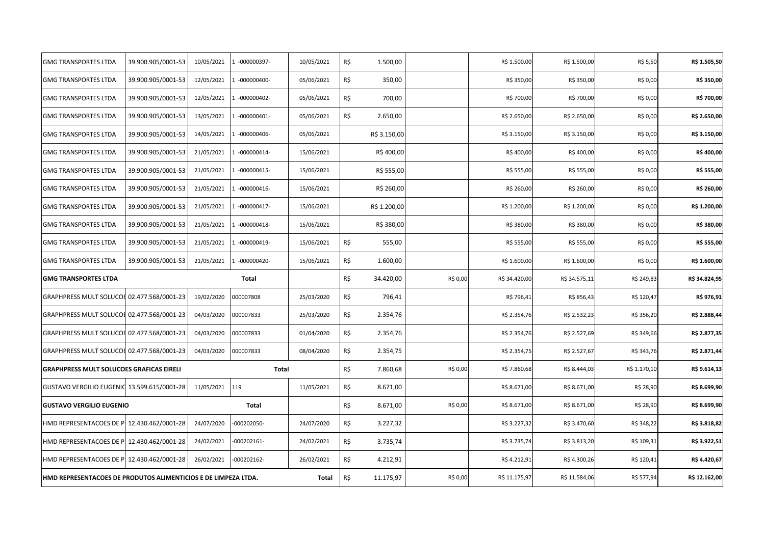| <b>GMG TRANSPORTES LTDA</b>                     | 39.900.905/0001-53 | 10/05/2021 | -000000397-   | 10/05/2021 | R\$ | 1.500,00     |          | R\$ 1.500,00  | R\$ 1.500,00  | R\$ 5,50     | R\$ 1.505,50  |
|-------------------------------------------------|--------------------|------------|---------------|------------|-----|--------------|----------|---------------|---------------|--------------|---------------|
| <b>GMG TRANSPORTES LTDA</b>                     | 39.900.905/0001-53 | 12/05/2021 | $-000000400-$ | 05/06/2021 | R\$ | 350,00       |          | R\$ 350,00    | R\$ 350,00    | R\$ 0,00     | R\$ 350,00    |
| <b>GMG TRANSPORTES LTDA</b>                     | 39.900.905/0001-53 | 12/05/2021 | 1 -000000402- | 05/06/2021 | R\$ | 700,00       |          | R\$ 700,00    | R\$ 700,00    | R\$ 0,00     | R\$ 700,00    |
| <b>GMG TRANSPORTES LTDA</b>                     | 39.900.905/0001-53 | 13/05/2021 | $-000000401-$ | 05/06/2021 | R\$ | 2.650,00     |          | R\$ 2.650,00  | R\$ 2.650,00  | R\$ 0,00     | R\$ 2.650,00  |
| <b>GMG TRANSPORTES LTDA</b>                     | 39.900.905/0001-53 | 14/05/2021 | $-000000406-$ | 05/06/2021 |     | R\$ 3.150,00 |          | R\$ 3.150,00  | R\$ 3.150,00  | R\$ 0,00     | R\$ 3.150,00  |
| <b>GMG TRANSPORTES LTDA</b>                     | 39.900.905/0001-53 | 21/05/2021 | $-000000414-$ | 15/06/2021 |     | R\$400,00    |          | R\$400,00     | R\$400,00     | R\$ 0,00     | R\$400,00     |
| <b>GMG TRANSPORTES LTDA</b>                     | 39.900.905/0001-53 | 21/05/2021 | $-000000415-$ | 15/06/2021 |     | R\$ 555,00   |          | R\$ 555,00    | R\$ 555,00    | R\$ 0,00     | R\$ 555,00    |
| <b>GMG TRANSPORTES LTDA</b>                     | 39.900.905/0001-53 | 21/05/2021 | $-000000416-$ | 15/06/2021 |     | R\$ 260,00   |          | R\$ 260,00    | R\$ 260,00    | R\$ 0,00     | R\$ 260,00    |
| <b>GMG TRANSPORTES LTDA</b>                     | 39.900.905/0001-53 | 21/05/2021 | $-000000417-$ | 15/06/2021 |     | R\$ 1.200,00 |          | R\$ 1.200,00  | R\$ 1.200,00  | R\$ 0,00     | R\$ 1.200,00  |
| <b>GMG TRANSPORTES LTDA</b>                     | 39.900.905/0001-53 | 21/05/2021 | $-000000418-$ | 15/06/2021 |     | R\$ 380,00   |          | R\$ 380,00    | R\$ 380,00    | R\$ 0,00     | R\$ 380,00    |
| <b>GMG TRANSPORTES LTDA</b>                     | 39.900.905/0001-53 | 21/05/2021 | $-000000419-$ | 15/06/2021 | R\$ | 555,00       |          | R\$ 555,00    | R\$ 555,00    | R\$ 0,00     | R\$ 555,00    |
| <b>GMG TRANSPORTES LTDA</b>                     | 39.900.905/0001-53 | 21/05/2021 | $-000000420-$ | 15/06/2021 | R\$ | 1.600,00     |          | R\$ 1.600,00  | R\$ 1.600,00  | R\$ 0,00     | R\$ 1.600,00  |
| <b>GMG TRANSPORTES LTDA</b>                     |                    |            | Total         |            | R\$ | 34.420,00    | R\$ 0,00 | R\$ 34.420,00 | R\$ 34.575,11 | R\$ 249,83   | R\$ 34.824,95 |
| GRAPHPRESS MULT SOLUCOL 02.477.568/0001-23      |                    | 19/02/2020 | 000007808     | 25/03/2020 | R\$ | 796,41       |          | R\$ 796,41    | R\$ 856,43    | R\$ 120,47   | R\$ 976,91    |
| GRAPHPRESS MULT SOLUCOL 02.477.568/0001-23      |                    | 04/03/2020 | 000007833     | 25/03/2020 | R\$ | 2.354,76     |          | R\$ 2.354,76  | R\$ 2.532,23  | R\$ 356,20   | R\$ 2.888,44  |
| GRAPHPRESS MULT SOLUCOL 02.477.568/0001-23      |                    | 04/03/2020 | 000007833     | 01/04/2020 | R\$ | 2.354,76     |          | R\$ 2.354,76  | R\$ 2.527,69  | R\$ 349,66   | R\$ 2.877,35  |
| GRAPHPRESS MULT SOLUCOL 02.477.568/0001-23      |                    | 04/03/2020 |               |            |     |              |          |               |               |              |               |
|                                                 |                    |            | 000007833     | 08/04/2020 | R\$ | 2.354,75     |          | R\$ 2.354,75  | R\$ 2.527,67  | R\$ 343,76   | R\$ 2.871,44  |
| <b>GRAPHPRESS MULT SOLUCOES GRAFICAS EIRELI</b> |                    |            | <b>Total</b>  |            | R\$ | 7.860,68     | R\$ 0,00 | R\$7.860,68   | R\$ 8.444,03  | R\$ 1.170,10 | R\$ 9.614,13  |
| GUSTAVO VERGILIO EUGENIO 13.599.615/0001-28     |                    | 11/05/2021 | 119           | 11/05/2021 | R\$ | 8.671,00     |          | R\$ 8.671,00  | R\$ 8.671,00  | R\$ 28,90    | R\$ 8.699,90  |
| <b>GUSTAVO VERGILIO EUGENIO</b>                 |                    |            | Total         |            | R\$ | 8.671,00     | R\$ 0,00 | R\$ 8.671,00  | R\$ 8.671,00  | R\$ 28,90    | R\$ 8.699,90  |
| HMD REPRESENTACOES DE P 12.430.462/0001-28      |                    | 24/07/2020 | -000202050-   | 24/07/2020 | R\$ | 3.227,32     |          | R\$ 3.227,32  | R\$ 3.470,60  | R\$ 348,22   | R\$ 3.818,82  |
| HMD REPRESENTACOES DE P 12.430.462/0001-28      |                    | 24/02/2021 | $-000202161-$ | 24/02/2021 | R\$ | 3.735,74     |          | R\$ 3.735,74  | R\$ 3.813,20  | R\$ 109,31   | R\$ 3.922,51  |
| HMD REPRESENTACOES DE P 12.430.462/0001-28      |                    | 26/02/2021 | -000202162-   | 26/02/2021 | R\$ | 4.212,91     |          | R\$4.212,91   | R\$4.300,26   | R\$ 120,41   | R\$4.420,67   |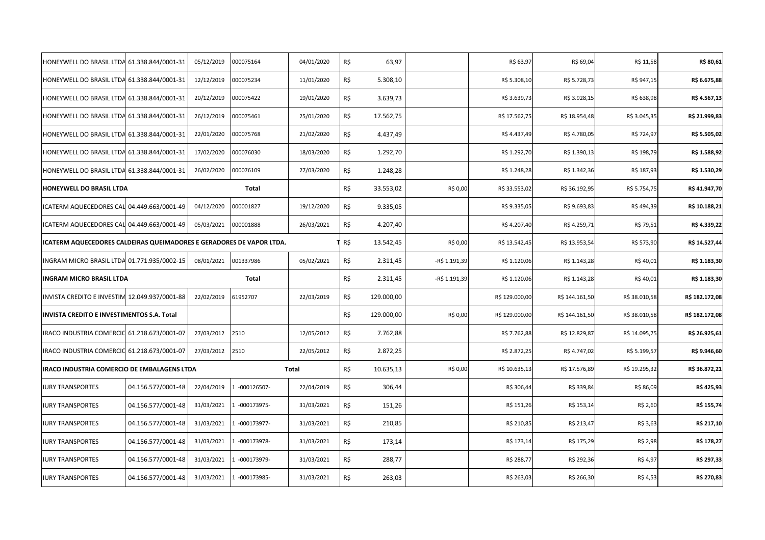| HONEYWELL DO BRASIL LTDA 61.338.844/0001-31                          |                    | 05/12/2019 | 000075164     | 04/01/2020 | R\$ | 63,97      |               | R\$ 63,97      | R\$ 69,04      | R\$ 11,58     | R\$ 80,61      |
|----------------------------------------------------------------------|--------------------|------------|---------------|------------|-----|------------|---------------|----------------|----------------|---------------|----------------|
| HONEYWELL DO BRASIL LTDA 61.338.844/0001-31                          |                    | 12/12/2019 | 000075234     | 11/01/2020 | R\$ | 5.308,10   |               | R\$ 5.308,10   | R\$ 5.728,73   | R\$ 947,15    | R\$ 6.675,88   |
| HONEYWELL DO BRASIL LTDA 61.338.844/0001-31                          |                    | 20/12/2019 | 000075422     | 19/01/2020 | R\$ | 3.639,73   |               | R\$ 3.639,73   | R\$ 3.928,15   | R\$ 638,98    | R\$4.567,13    |
| HONEYWELL DO BRASIL LTDA 61.338.844/0001-31                          |                    | 26/12/2019 | 000075461     | 25/01/2020 | R\$ | 17.562,75  |               | R\$ 17.562,75  | R\$ 18.954,48  | R\$ 3.045,35  | R\$ 21.999,83  |
| HONEYWELL DO BRASIL LTDA 61.338.844/0001-31                          |                    | 22/01/2020 | 000075768     | 21/02/2020 | R\$ | 4.437,49   |               | R\$4.437,49    | R\$4.780,05    | R\$ 724,97    | R\$ 5.505,02   |
| HONEYWELL DO BRASIL LTDA 61.338.844/0001-31                          |                    | 17/02/2020 | 000076030     | 18/03/2020 | R\$ | 1.292,70   |               | R\$ 1.292,70   | R\$ 1.390,13   | R\$ 198,79    | R\$ 1.588,92   |
| HONEYWELL DO BRASIL LTDA 61.338.844/0001-31                          |                    | 26/02/2020 | 000076109     | 27/03/2020 | R\$ | 1.248,28   |               | R\$ 1.248,28   | R\$ 1.342,36   | R\$ 187,93    | R\$ 1.530,29   |
| HONEYWELL DO BRASIL LTDA                                             |                    |            | Total         |            | R\$ | 33.553,02  | R\$ 0,00      | R\$ 33.553,02  | R\$ 36.192,95  | R\$ 5.754,75  | R\$41.947,70   |
| ICATERM AQUECEDORES CAL 04.449.663/0001-49                           |                    | 04/12/2020 | 000001827     | 19/12/2020 | R\$ | 9.335,05   |               | R\$ 9.335,05   | R\$ 9.693,83   | R\$ 494,39    | R\$ 10.188,21  |
| ICATERM AQUECEDORES CAL 04.449.663/0001-49                           |                    | 05/03/2021 | 000001888     | 26/03/2021 | R\$ | 4.207,40   |               | R\$4.207,40    | R\$4.259,71    | R\$ 79,51     | R\$ 4.339,22   |
| ICATERM AQUECEDORES CALDEIRAS QUEIMADORES E GERADORES DE VAPOR LTDA. |                    |            |               |            | R\$ | 13.542,45  | R\$ 0,00      | R\$ 13.542,45  | R\$ 13.953,54  | R\$ 573,90    | R\$ 14.527,44  |
| INGRAM MICRO BRASIL LTDA 01.771.935/0002-15                          |                    | 08/01/2021 | 001337986     | 05/02/2021 | R\$ | 2.311,45   | -R\$ 1.191,39 | R\$ 1.120,06   | R\$ 1.143,28   | R\$40,01      | R\$ 1.183,30   |
|                                                                      |                    |            |               |            |     |            |               |                |                |               |                |
| <b>INGRAM MICRO BRASIL LTDA</b>                                      |                    |            | Total         |            | R\$ | 2.311,45   | -R\$ 1.191,39 | R\$ 1.120,06   | R\$ 1.143,28   | R\$40,01      | R\$ 1.183,30   |
| INVISTA CREDITO E INVESTIM 12.049.937/0001-88                        |                    | 22/02/2019 | 61952707      | 22/03/2019 | R\$ | 129.000,00 |               | R\$ 129.000,00 | R\$ 144.161,50 | R\$ 38.010,58 | R\$ 182.172,08 |
| INVISTA CREDITO E INVESTIMENTOS S.A. Total                           |                    |            |               |            | R\$ | 129.000,00 | R\$ 0,00      | R\$ 129.000,00 | R\$ 144.161,50 | R\$ 38.010,58 | R\$ 182.172,08 |
| IRACO INDUSTRIA COMERCIO 61.218.673/0001-07                          |                    | 27/03/2012 | 2510          | 12/05/2012 | R\$ | 7.762,88   |               | R\$ 7.762,88   | R\$ 12.829,87  | R\$ 14.095,75 | R\$ 26.925,61  |
| IRACO INDUSTRIA COMERCIO 61.218.673/0001-07                          |                    | 27/03/2012 | 2510          | 22/05/2012 | R\$ | 2.872,25   |               | R\$ 2.872,25   | R\$4.747,02    | R\$ 5.199,57  | R\$ 9.946,60   |
| IRACO INDUSTRIA COMERCIO DE EMBALAGENS LTDA                          |                    |            |               | Total      | R\$ | 10.635,13  | R\$ 0,00      | R\$ 10.635,13  | R\$ 17.576,89  | R\$ 19.295,32 | R\$ 36.872,21  |
| <b>IURY TRANSPORTES</b>                                              | 04.156.577/0001-48 | 22/04/2019 | $-000126507-$ | 22/04/2019 | R\$ | 306,44     |               | R\$ 306,44     | R\$ 339,84     | R\$ 86,09     | R\$425,93      |
| <b>IURY TRANSPORTES</b>                                              | 04.156.577/0001-48 | 31/03/2021 | $-000173975-$ | 31/03/2021 | R\$ | 151,26     |               | R\$ 151,26     | R\$ 153,14     | R\$ 2,60      | R\$ 155,74     |
| <b>IURY TRANSPORTES</b>                                              | 04.156.577/0001-48 | 31/03/2021 | 1 -000173977- | 31/03/2021 | R\$ | 210,85     |               | R\$ 210,85     | R\$ 213,47     | R\$ 3,63      | R\$ 217,10     |
| <b>IURY TRANSPORTES</b>                                              | 04.156.577/0001-48 | 31/03/2021 | 1 -000173978- | 31/03/2021 | R\$ | 173,14     |               | R\$ 173,14     | R\$ 175,29     | R\$ 2,98      | R\$ 178,27     |
| <b>IURY TRANSPORTES</b>                                              | 04.156.577/0001-48 | 31/03/2021 | -000173979-   | 31/03/2021 | R\$ | 288,77     |               | R\$ 288,77     | R\$ 292,36     | R\$ 4,97      | R\$ 297,33     |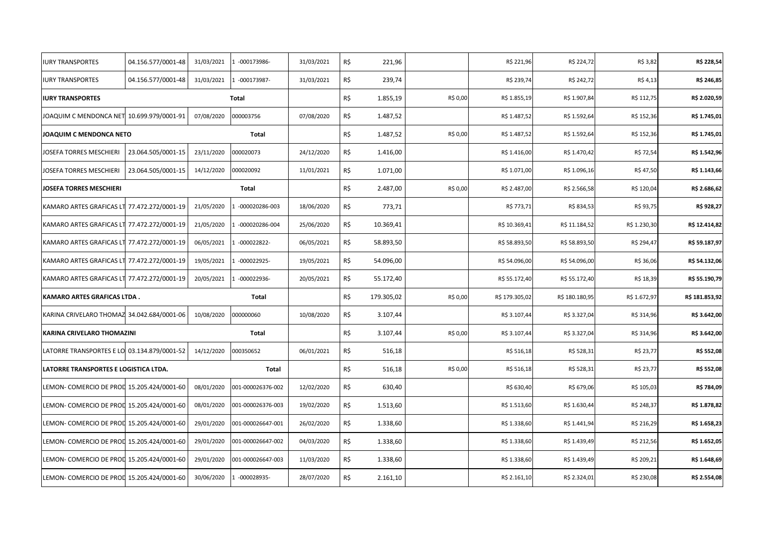| <b>IURY TRANSPORTES</b>                     | 04.156.577/0001-48 | 31/03/2021 | 1 -000173986-     | 31/03/2021 | R\$ | 221,96     |          | R\$ 221,96     | R\$ 224,72     | R\$ 3,82     | R\$ 228,54     |
|---------------------------------------------|--------------------|------------|-------------------|------------|-----|------------|----------|----------------|----------------|--------------|----------------|
| <b>IURY TRANSPORTES</b>                     | 04.156.577/0001-48 | 31/03/2021 | 1 -000173987-     | 31/03/2021 | R\$ | 239,74     |          | R\$ 239,74     | R\$ 242,72     | R\$ 4,13     | R\$ 246,85     |
| <b>IURY TRANSPORTES</b>                     |                    |            | <b>Total</b>      |            | R\$ | 1.855,19   | R\$ 0,00 | R\$ 1.855,19   | R\$ 1.907,84   | R\$ 112,75   | R\$ 2.020,59   |
| JOAQUIM C MENDONCA NET 10.699.979/0001-91   |                    | 07/08/2020 | 000003756         | 07/08/2020 | R\$ | 1.487,52   |          | R\$ 1.487,52   | R\$ 1.592,64   | R\$ 152,36   | R\$ 1.745,01   |
| JOAQUIM C MENDONCA NETO                     |                    |            | Total             |            | R\$ | 1.487,52   | R\$ 0,00 | R\$ 1.487,52   | R\$ 1.592,64   | R\$ 152,36   | R\$ 1.745,01   |
| JOSEFA TORRES MESCHIERI                     | 23.064.505/0001-15 | 23/11/2020 | 000020073         | 24/12/2020 | R\$ | 1.416,00   |          | R\$ 1.416,00   | R\$ 1.470,42   | R\$ 72,54    | R\$ 1.542,96   |
| IOSEFA TORRES MESCHIERI                     | 23.064.505/0001-15 | 14/12/2020 | 000020092         | 11/01/2021 | R\$ | 1.071,00   |          | R\$ 1.071,00   | R\$ 1.096,16   | R\$47,50     | R\$ 1.143,66   |
| <b>JOSEFA TORRES MESCHIERI</b>              |                    |            | Total             |            | R\$ | 2.487,00   | R\$ 0,00 | R\$ 2.487,00   | R\$ 2.566,58   | R\$ 120,04   | R\$ 2.686,62   |
| KAMARO ARTES GRAFICAS LT 77.472.272/0001-19 |                    | 21/05/2020 | -000020286-003    | 18/06/2020 | R\$ | 773,71     |          | R\$ 773,71     | R\$ 834,53     | R\$ 93,75    | R\$ 928,27     |
| KAMARO ARTES GRAFICAS LT 77.472.272/0001-19 |                    | 21/05/2020 | -000020286-004    | 25/06/2020 | R\$ | 10.369,41  |          | R\$ 10.369,41  | R\$ 11.184,52  | R\$ 1.230,30 | R\$ 12.414,82  |
| KAMARO ARTES GRAFICAS LT 77.472.272/0001-19 |                    | 06/05/2021 | $-000022822-$     | 06/05/2021 | R\$ | 58.893,50  |          | R\$ 58.893,50  | R\$ 58.893,50  | R\$ 294,47   | R\$ 59.187,97  |
| KAMARO ARTES GRAFICAS LT 77.472.272/0001-19 |                    | 19/05/2021 | 1 -000022925-     | 19/05/2021 | R\$ | 54.096,00  |          | R\$ 54.096,00  | R\$ 54.096,00  | R\$ 36,06    | R\$ 54.132,06  |
| KAMARO ARTES GRAFICAS LT 77.472.272/0001-19 |                    | 20/05/2021 | 1 -000022936-     | 20/05/2021 | R\$ | 55.172,40  |          | R\$ 55.172,40  | R\$ 55.172,40  | R\$ 18,39    | R\$ 55.190,79  |
| KAMARO ARTES GRAFICAS LTDA.                 |                    |            | Total             |            | R\$ | 179.305,02 | R\$ 0,00 | R\$ 179.305,02 | R\$ 180.180,95 | R\$ 1.672,97 | R\$ 181.853,92 |
| KARINA CRIVELARO THOMAZ 34.042.684/0001-06  |                    | 10/08/2020 | 000000060         | 10/08/2020 | R\$ | 3.107,44   |          | R\$ 3.107,44   | R\$ 3.327,04   | R\$ 314,96   | R\$ 3.642,00   |
| KARINA CRIVELARO THOMAZINI                  |                    |            | Total             |            | R\$ | 3.107,44   | R\$ 0,00 | R\$ 3.107,44   | R\$ 3.327,04   | R\$ 314,96   | R\$ 3.642,00   |
| LATORRE TRANSPORTES E LO 03.134.879/0001-52 |                    | 14/12/2020 | 000350652         | 06/01/2021 | R\$ | 516,18     |          | R\$ 516,18     | R\$ 528,31     | R\$ 23,77    | R\$ 552,08     |
| LATORRE TRANSPORTES E LOGISTICA LTDA.       |                    |            | Total             |            | R\$ | 516,18     | R\$ 0,00 | R\$ 516,18     | R\$ 528,31     | R\$ 23,77    | R\$ 552,08     |
| LEMON- COMERCIO DE PROL 15.205.424/0001-60  |                    | 08/01/2020 | 001-000026376-002 | 12/02/2020 | R\$ | 630,40     |          | R\$ 630,40     | R\$ 679,06     | R\$ 105,03   | R\$ 784,09     |
| LEMON- COMERCIO DE PROL 15.205.424/0001-60  |                    | 08/01/2020 | 001-000026376-003 | 19/02/2020 | R\$ | 1.513,60   |          | R\$ 1.513,60   | R\$ 1.630,44   | R\$ 248,37   | R\$ 1.878,82   |
| LEMON- COMERCIO DE PROL 15.205.424/0001-60  |                    | 29/01/2020 | 001-000026647-001 | 26/02/2020 | R\$ | 1.338,60   |          | R\$ 1.338,60   | R\$ 1.441,94   | R\$ 216,29   | R\$ 1.658,23   |
| LEMON- COMERCIO DE PROL 15.205.424/0001-60  |                    | 29/01/2020 | 001-000026647-002 | 04/03/2020 | R\$ | 1.338,60   |          | R\$ 1.338,60   | R\$ 1.439,49   | R\$ 212,56   | R\$ 1.652,05   |
| LEMON- COMERCIO DE PROL 15.205.424/0001-60  |                    | 29/01/2020 | 001-000026647-003 | 11/03/2020 | R\$ | 1.338,60   |          | R\$ 1.338,60   | R\$ 1.439,49   | R\$ 209,21   | R\$ 1.648,69   |
| LEMON- COMERCIO DE PROL 15.205.424/0001-60  |                    | 30/06/2020 | -000028935-       | 28/07/2020 | R\$ | 2.161,10   |          | R\$ 2.161,10   | R\$ 2.324,01   | R\$ 230,08   | R\$ 2.554,08   |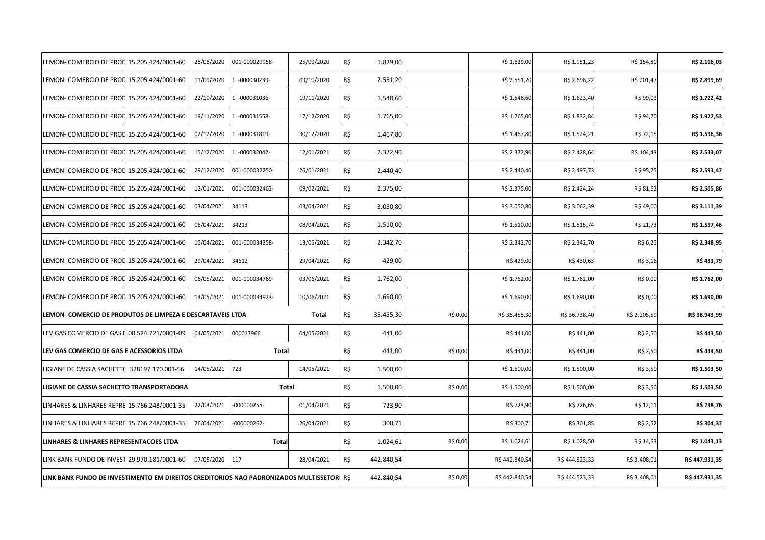| LEMON- COMERCIO DE PROL 15.205.424/0001-60                                                |                   | 28/08/2020 | 001-000029958- | 25/09/2020 | R\$ | 1.829,00   |          | R\$ 1.829,00  | R\$ 1.951,23  | R\$ 154,80   | R\$ 2.106,03  |
|-------------------------------------------------------------------------------------------|-------------------|------------|----------------|------------|-----|------------|----------|---------------|---------------|--------------|---------------|
| LEMON- COMERCIO DE PROL 15.205.424/0001-60                                                |                   | 11/09/2020 | -000030239-    | 09/10/2020 | R\$ | 2.551,20   |          | R\$ 2.551,20  | R\$ 2.698,22  | R\$ 201,47   | R\$ 2.899,69  |
| LEMON- COMERCIO DE PROL 15.205.424/0001-60                                                |                   | 22/10/2020 | $-000031036-$  | 19/11/2020 | R\$ | 1.548,60   |          | R\$ 1.548,60  | R\$ 1.623,40  | R\$ 99,03    | R\$ 1.722,42  |
| LEMON- COMERCIO DE PROL 15.205.424/0001-60                                                |                   | 19/11/2020 | -000031558-    | 17/12/2020 | R\$ | 1.765,00   |          | R\$ 1.765,00  | R\$ 1.832,84  | R\$ 94,70    | R\$ 1.927,53  |
| LEMON- COMERCIO DE PROL 15.205.424/0001-60                                                |                   | 02/12/2020 | $-000031819-$  | 30/12/2020 | R\$ | 1.467,80   |          | R\$ 1.467,80  | R\$ 1.524,21  | R\$ 72,15    | R\$ 1.596,36  |
| LEMON- COMERCIO DE PROL 15.205.424/0001-60                                                |                   | 15/12/2020 | -000032042-    | 12/01/2021 | R\$ | 2.372,90   |          | R\$ 2.372,90  | R\$ 2.428,64  | R\$ 104,43   | R\$ 2.533,07  |
| LEMON- COMERCIO DE PROL 15.205.424/0001-60                                                |                   | 29/12/2020 | 001-000032250- | 26/01/2021 | R\$ | 2.440,40   |          | R\$ 2.440,40  | R\$ 2.497,73  | R\$ 95,75    | R\$ 2.593,47  |
| LEMON- COMERCIO DE PROL 15.205.424/0001-60                                                |                   | 12/01/2021 | 001-000032462- | 09/02/2021 | R\$ | 2.375,00   |          | R\$ 2.375,00  | R\$ 2.424,24  | R\$ 81,62    | R\$ 2.505,86  |
| LEMON- COMERCIO DE PROL 15.205.424/0001-60                                                |                   | 03/04/2021 | 34113          | 03/04/2021 | R\$ | 3.050,80   |          | R\$ 3.050,80  | R\$ 3.062,39  | R\$49,00     | R\$ 3.111,39  |
| LEMON- COMERCIO DE PROL 15.205.424/0001-60                                                |                   | 08/04/2021 | 34213          | 08/04/2021 | R\$ | 1.510,00   |          | R\$ 1.510,00  | R\$ 1.515,74  | R\$ 21,73    | R\$ 1.537,46  |
| LEMON- COMERCIO DE PROL 15.205.424/0001-60                                                |                   | 15/04/2021 | 001-000034358- | 13/05/2021 | R\$ | 2.342,70   |          | R\$ 2.342,70  | R\$ 2.342,70  | R\$ 6,25     | R\$ 2.348,95  |
| LEMON- COMERCIO DE PROL 15.205.424/0001-60                                                |                   | 29/04/2021 | 34612          | 29/04/2021 | R\$ | 429,00     |          | R\$429,00     | R\$430,63     | R\$ 3,16     | R\$433,79     |
| LEMON- COMERCIO DE PROL 15.205.424/0001-60                                                |                   | 06/05/2021 | 001-000034769- | 03/06/2021 | R\$ | 1.762,00   |          | R\$ 1.762,00  | R\$ 1.762,00  | R\$ 0,00     | R\$ 1.762,00  |
| LEMON- COMERCIO DE PROL 15.205.424/0001-60                                                |                   | 13/05/2021 | 001-000034923- | 10/06/2021 | R\$ | 1.690,00   |          | R\$ 1.690,00  | R\$ 1.690,00  | R\$ 0,00     | R\$ 1.690,00  |
| LEMON- COMERCIO DE PRODUTOS DE LIMPEZA E DESCARTAVEIS LTDA                                |                   |            |                | Total      | R\$ | 35.455,30  | R\$ 0,00 | R\$ 35.455,30 | R\$ 36.738,40 | R\$ 2.205,59 | R\$ 38.943,99 |
| LEV GAS COMERCIO DE GAS E 00.524.721/0001-09                                              |                   | 04/05/2021 | 000017966      | 04/05/2021 | R\$ | 441,00     |          | R\$441,00     | R\$441,00     | R\$ 2,50     | R\$443,50     |
| LEV GAS COMERCIO DE GAS E ACESSORIOS LTDA                                                 |                   |            | Total          |            | R\$ | 441,00     | R\$ 0,00 | R\$441,00     | R\$441,00     | R\$ 2,50     | R\$443,50     |
| LIGIANE DE CASSIA SACHETTO                                                                | 328197.170.001-56 | 14/05/2021 | 723            | 14/05/2021 | R\$ | 1.500,00   |          | R\$ 1.500,00  | R\$ 1.500,00  | R\$ 3,50     | R\$ 1.503,50  |
| LIGIANE DE CASSIA SACHETTO TRANSPORTADORA                                                 |                   |            | Total          |            | R\$ | 1.500,00   | R\$ 0,00 | R\$ 1.500,00  | R\$ 1.500,00  | R\$ 3,50     | R\$ 1.503,50  |
| LINHARES & LINHARES REPRE 15.766.248/0001-35                                              |                   | 22/03/2021 | $-000000255-$  | 01/04/2021 | R\$ | 723,90     |          | R\$ 723,90    | R\$ 726,65    | R\$ 12,11    | R\$ 738,76    |
| LINHARES & LINHARES REPRE 15.766.248/0001-35                                              |                   | 26/04/2021 | $-000000262-$  | 26/04/2021 | R\$ | 300,71     |          | R\$ 300,71    | R\$ 301,85    | R\$ 2,52     | R\$ 304,37    |
| LINHARES & LINHARES REPRESENTACOES LTDA                                                   |                   |            | Total          |            | R\$ | 1.024,61   | R\$ 0,00 | R\$ 1.024,61  | R\$ 1.028,50  | R\$ 14,63    | R\$ 1.043,13  |
| LINK BANK FUNDO DE INVEST 29.970.181/0001-60                                              |                   | 07/05/2020 | 117            | 28/04/2021 | R\$ | 442.840,54 |          | R\$442.840,54 | R\$444.523,33 | R\$ 3.408,01 | R\$447.931,35 |
| LINK BANK FUNDO DE INVESTIMENTO EM DIREITOS CREDITORIOS NAO PADRONIZADOS MULTISSETORI R\$ |                   |            |                |            |     | 442.840,54 | R\$ 0,00 | R\$442.840,54 | R\$444.523,33 | R\$ 3.408,01 | R\$447.931,35 |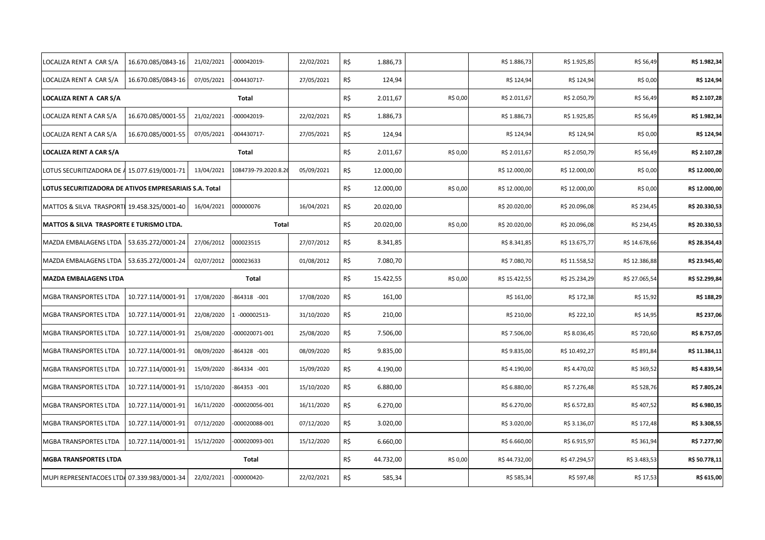| LOCALIZA RENT A CAR S/A                                | 16.670.085/0843-16 | 21/02/2021 | -000042019-         | 22/02/2021 | R\$ | 1.886,73  |          | R\$ 1.886,73  | R\$ 1.925,85  | R\$ 56,49     | R\$ 1.982,34  |
|--------------------------------------------------------|--------------------|------------|---------------------|------------|-----|-----------|----------|---------------|---------------|---------------|---------------|
| LOCALIZA RENT A CAR S/A                                | 16.670.085/0843-16 | 07/05/2021 | $-004430717-$       | 27/05/2021 | R\$ | 124,94    |          | R\$ 124,94    | R\$ 124,94    | R\$ 0,00      | R\$ 124,94    |
| LOCALIZA RENT A CAR S/A                                |                    |            | Total               |            | R\$ | 2.011,67  | R\$ 0,00 | R\$ 2.011,67  | R\$ 2.050,79  | R\$ 56,49     | R\$ 2.107,28  |
| LOCALIZA RENT A CAR S/A                                | 16.670.085/0001-55 | 21/02/2021 | 000042019-          | 22/02/2021 | R\$ | 1.886,73  |          | R\$ 1.886,73  | R\$ 1.925,85  | R\$ 56,49     | R\$ 1.982,34  |
| LOCALIZA RENT A CAR S/A                                | 16.670.085/0001-55 | 07/05/2021 | 004430717-          | 27/05/2021 | R\$ | 124,94    |          | R\$ 124,94    | R\$ 124,94    | R\$ 0,00      | R\$ 124,94    |
| LOCALIZA RENT A CAR S/A                                |                    |            | Total               |            | R\$ | 2.011,67  | R\$ 0,00 | R\$ 2.011,67  | R\$ 2.050,79  | R\$ 56,49     | R\$ 2.107,28  |
| LOTUS SECURITIZADORA DE A 15.077.619/0001-71           |                    | 13/04/2021 | 1084739-79.2020.8.2 | 05/09/2021 | R\$ | 12.000,00 |          | R\$ 12.000,00 | R\$ 12.000,00 | R\$ 0,00      | R\$ 12.000,00 |
| LOTUS SECURITIZADORA DE ATIVOS EMPRESARIAIS S.A. Total |                    |            |                     |            | R\$ | 12.000,00 | R\$ 0,00 | R\$ 12.000,00 | R\$ 12.000,00 | R\$ 0,00      | R\$ 12.000,00 |
| MATTOS & SILVA TRASPORTI 19.458.325/0001-40            |                    | 16/04/2021 | 000000076           | 16/04/2021 | R\$ | 20.020,00 |          | R\$ 20.020,00 | R\$ 20.096,08 | R\$ 234,45    | R\$ 20.330,53 |
| MATTOS & SILVA TRASPORTE E TURISMO LTDA.               |                    |            | Total               |            | R\$ | 20.020,00 | R\$ 0,00 | R\$ 20.020,00 | R\$ 20.096,08 | R\$ 234,45    | R\$ 20.330,53 |
| MAZDA EMBALAGENS LTDA                                  | 53.635.272/0001-24 | 27/06/2012 | 000023515           | 27/07/2012 | R\$ | 8.341,85  |          | R\$ 8.341,85  | R\$ 13.675,77 | R\$ 14.678,66 | R\$ 28.354,43 |
| MAZDA EMBALAGENS LTDA   53.635.272/0001-24             |                    | 02/07/2012 | 000023633           | 01/08/2012 | R\$ | 7.080,70  |          | R\$ 7.080,70  | R\$ 11.558,52 | R\$ 12.386,88 | R\$ 23.945,40 |
|                                                        |                    |            |                     |            |     |           |          |               |               |               |               |
| <b>MAZDA EMBALAGENS LTDA</b>                           |                    |            | Total               |            | R\$ | 15.422,55 | R\$ 0,00 | R\$ 15.422,55 | R\$ 25.234,29 | R\$ 27.065,54 | R\$ 52.299,84 |
| <b>MGBA TRANSPORTES LTDA</b>                           | 10.727.114/0001-91 | 17/08/2020 | -864318 -001        | 17/08/2020 | R\$ | 161,00    |          | R\$ 161,00    | R\$ 172,38    | R\$ 15,92     | R\$ 188,29    |
| <b>MGBA TRANSPORTES LTDA</b>                           | 10.727.114/0001-91 | 22/08/2020 | $-000002513-$       | 31/10/2020 | R\$ | 210,00    |          | R\$ 210,00    | R\$ 222,10    | R\$ 14,95     | R\$ 237,06    |
| <b>MGBA TRANSPORTES LTDA</b>                           | 10.727.114/0001-91 | 25/08/2020 | 000020071-001       | 25/08/2020 | R\$ | 7.506,00  |          | R\$ 7.506,00  | R\$ 8.036,45  | R\$ 720,60    | R\$ 8.757,05  |
| <b>MGBA TRANSPORTES LTDA</b>                           | 10.727.114/0001-91 | 08/09/2020 | 864328 -001         | 08/09/2020 | R\$ | 9.835,00  |          | R\$ 9.835,00  | R\$ 10.492,27 | R\$ 891,84    | R\$ 11.384,11 |
| <b>MGBA TRANSPORTES LTDA</b>                           | 10.727.114/0001-91 | 15/09/2020 | 864334 -001         | 15/09/2020 | R\$ | 4.190,00  |          | R\$4.190,00   | R\$4.470,02   | R\$ 369,52    | R\$ 4.839,54  |
| <b>MGBA TRANSPORTES LTDA</b>                           | 10.727.114/0001-91 | 15/10/2020 | -864353 -001        | 15/10/2020 | R\$ | 6.880,00  |          | R\$ 6.880,00  | R\$ 7.276,48  | R\$ 528,76    | R\$ 7.805,24  |
| <b>MGBA TRANSPORTES LTDA</b>                           | 10.727.114/0001-91 | 16/11/2020 | -000020056-001      | 16/11/2020 | R\$ | 6.270,00  |          | R\$ 6.270,00  | R\$ 6.572,83  | R\$ 407,52    | R\$ 6.980,35  |
| <b>MGBA TRANSPORTES LTDA</b>                           | 10.727.114/0001-91 | 07/12/2020 | 000020088-001       | 07/12/2020 | R\$ | 3.020,00  |          | R\$ 3.020,00  | R\$ 3.136,07  | R\$ 172,48    | R\$ 3.308,55  |
| MGBA TRANSPORTES LTDA                                  | 10.727.114/0001-91 | 15/12/2020 | 000020093-001       | 15/12/2020 | R\$ | 6.660,00  |          | R\$ 6.660,00  | R\$ 6.915,97  | R\$ 361,94    | R\$ 7.277,90  |
| <b>MGBA TRANSPORTES LTDA</b>                           |                    |            | Total               |            | R\$ | 44.732,00 | R\$ 0,00 | R\$44.732,00  | R\$47.294,57  | R\$ 3.483,53  | R\$ 50.778,11 |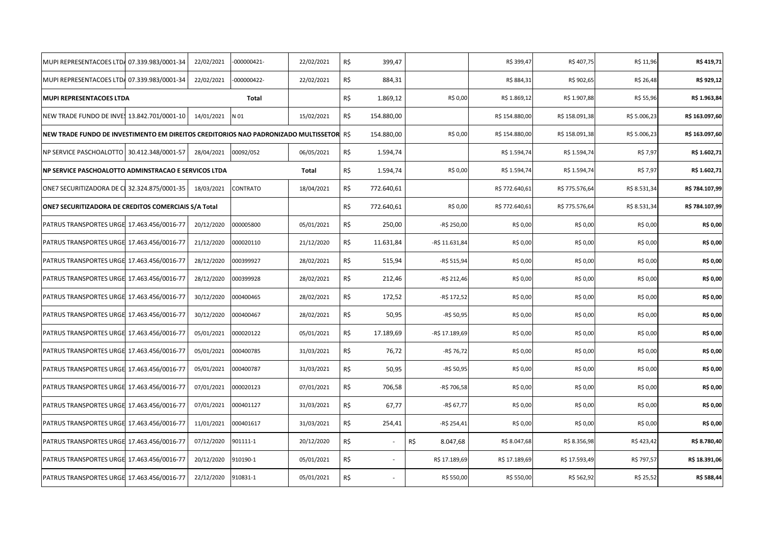| MUPI REPRESENTACOES LTD4 07.339.983/0001-34                                              | 22/02/2021                       | $-000000421-$ | 22/02/2021   | R\$ | 399,47     |                 | R\$ 399,47     | R\$407,75      | R\$ 11,96    | R\$419,71      |
|------------------------------------------------------------------------------------------|----------------------------------|---------------|--------------|-----|------------|-----------------|----------------|----------------|--------------|----------------|
| MUPI REPRESENTACOES LTDA 07.339.983/0001-34                                              | 22/02/2021                       | $-000000422-$ | 22/02/2021   | R\$ | 884,31     |                 | R\$ 884,31     | R\$ 902,65     | R\$ 26,48    | R\$ 929,12     |
| MUPI REPRESENTACOES LTDA                                                                 |                                  | Total         |              | R\$ | 1.869,12   | R\$ 0,00        | R\$ 1.869,12   | R\$ 1.907,88   | R\$ 55,96    | R\$ 1.963,84   |
| NEW TRADE FUNDO DE INVE: 13.842.701/0001-10                                              | 14/01/2021                       | N 01          | 15/02/2021   | R\$ | 154.880,00 |                 | R\$ 154.880,00 | R\$ 158.091,38 | R\$ 5.006,23 | R\$ 163.097,60 |
| NEW TRADE FUNDO DE INVESTIMENTO EM DIREITOS CREDITORIOS NAO PADRONIZADO MULTISSETOR  R\$ |                                  |               |              |     | 154.880,00 | R\$ 0,00        | R\$ 154.880,00 | R\$ 158.091,38 | R\$ 5.006,23 | R\$ 163.097,60 |
| NP SERVICE PASCHOALOTTO 30.412.348/0001-57                                               | 28/04/2021                       | 00092/052     | 06/05/2021   | R\$ | 1.594,74   |                 | R\$ 1.594,74   | R\$ 1.594,74   | R\$ 7,97     | R\$ 1.602,71   |
| NP SERVICE PASCHOALOTTO ADMINSTRACAO E SERVICOS LTDA                                     |                                  |               | <b>Total</b> | R\$ | 1.594,74   | R\$ 0,00        | R\$ 1.594,74   | R\$ 1.594,74   | R\$ 7,97     | R\$ 1.602,71   |
| ONE7 SECURITIZADORA DE CI 32.324.875/0001-35                                             | 18/03/2021                       | CONTRATO      | 18/04/2021   | R\$ | 772.640,61 |                 | R\$ 772.640,61 | R\$ 775.576,64 | R\$ 8.531,34 | R\$ 784.107,99 |
| ONE7 SECURITIZADORA DE CREDITOS COMERCIAIS S/A Total                                     |                                  |               |              | R\$ | 772.640,61 | R\$ 0,00        | R\$ 772.640,61 | R\$ 775.576,64 | R\$ 8.531,34 | R\$ 784.107,99 |
| PATRUS TRANSPORTES URGE 17.463.456/0016-77                                               | 20/12/2020                       | 000005800     | 05/01/2021   | R\$ | 250,00     | -R\$ 250,00     | R\$ 0,00       | R\$ 0,00       | R\$ 0,00     | R\$ 0,00       |
| PATRUS TRANSPORTES URGE 17.463.456/0016-77                                               | 21/12/2020                       | 000020110     | 21/12/2020   | R\$ | 11.631,84  | -R\$ 11.631,84  | R\$ 0,00       | R\$ 0,00       | R\$ 0,00     | R\$ 0,00       |
| PATRUS TRANSPORTES URGE 17.463.456/0016-77                                               | 28/12/2020                       | 000399927     | 28/02/2021   | R\$ | 515,94     | -R\$ 515,94     | R\$ 0,00       | R\$ 0,00       | R\$ 0,00     | R\$ 0,00       |
| PATRUS TRANSPORTES URGE 17.463.456/0016-77                                               | 28/12/2020                       | 000399928     | 28/02/2021   | R\$ | 212,46     | -R\$ 212,46     | R\$ 0,00       | R\$ 0,00       | R\$ 0,00     | R\$ 0,00       |
| PATRUS TRANSPORTES URGE 17.463.456/0016-77                                               | 30/12/2020                       | 000400465     | 28/02/2021   | R\$ | 172,52     | -R\$ 172,52     | R\$ 0,00       | R\$ 0,00       | R\$ 0,00     | R\$ 0,00       |
| PATRUS TRANSPORTES URGE 17.463.456/0016-77                                               | 30/12/2020                       | 000400467     | 28/02/2021   | R\$ | 50,95      | -R\$ 50,95      | R\$ 0,00       | R\$ 0,00       | R\$ 0,00     | R\$ 0,00       |
| PATRUS TRANSPORTES URGE                                                                  | 17.463.456/0016-77<br>05/01/2021 | 000020122     | 05/01/2021   | R\$ | 17.189,69  | -R\$ 17.189,69  | R\$ 0,00       | R\$ 0,00       | R\$ 0,00     | R\$ 0,00       |
| PATRUS TRANSPORTES URGE 17.463.456/0016-77                                               | 05/01/2021                       | 000400785     | 31/03/2021   | R\$ | 76,72      | -R\$ 76,72      | R\$ 0,00       | R\$ 0,00       | R\$ 0,00     | R\$ 0,00       |
| PATRUS TRANSPORTES URGE 17.463.456/0016-77                                               | 05/01/2021                       | 000400787     | 31/03/2021   | R\$ | 50,95      | -R\$ 50,95      | R\$ 0,00       | R\$ 0,00       | R\$ 0,00     | R\$ 0,00       |
| PATRUS TRANSPORTES URGE 17.463.456/0016-77                                               | 07/01/2021                       | 000020123     | 07/01/2021   | R\$ | 706,58     | -R\$ 706,58     | R\$ 0,00       | R\$ 0,00       | R\$ 0,00     | R\$ 0,00       |
| PATRUS TRANSPORTES URGE 17.463.456/0016-77                                               | 07/01/2021                       | 000401127     | 31/03/2021   | R\$ | 67,77      | -R\$ 67,77      | R\$ 0,00       | R\$ 0,00       | R\$ 0,00     | R\$ 0,00       |
| PATRUS TRANSPORTES URGE 17.463.456/0016-77                                               | 11/01/2021                       | 000401617     | 31/03/2021   | R\$ | 254,41     | -R\$ 254,41     | R\$ 0,00       | R\$ 0,00       | R\$ 0,00     | R\$ 0,00       |
| PATRUS TRANSPORTES URGE 17.463.456/0016-77                                               | 07/12/2020                       | 901111-1      | 20/12/2020   | R\$ |            | R\$<br>8.047,68 | R\$ 8.047,68   | R\$ 8.356,98   | R\$423,42    | R\$ 8.780,40   |
| PATRUS TRANSPORTES URGE 17.463.456/0016-77                                               | 20/12/2020                       | 910190-1      | 05/01/2021   | R\$ |            | R\$ 17.189,69   | R\$ 17.189,69  | R\$ 17.593,49  | R\$ 797,57   | R\$ 18.391,06  |
| PATRUS TRANSPORTES URGE 17.463.456/0016-77                                               | 22/12/2020                       | 910831-1      | 05/01/2021   | R\$ |            | R\$ 550,00      | R\$ 550,00     | R\$ 562,92     | R\$ 25,52    | R\$ 588,44     |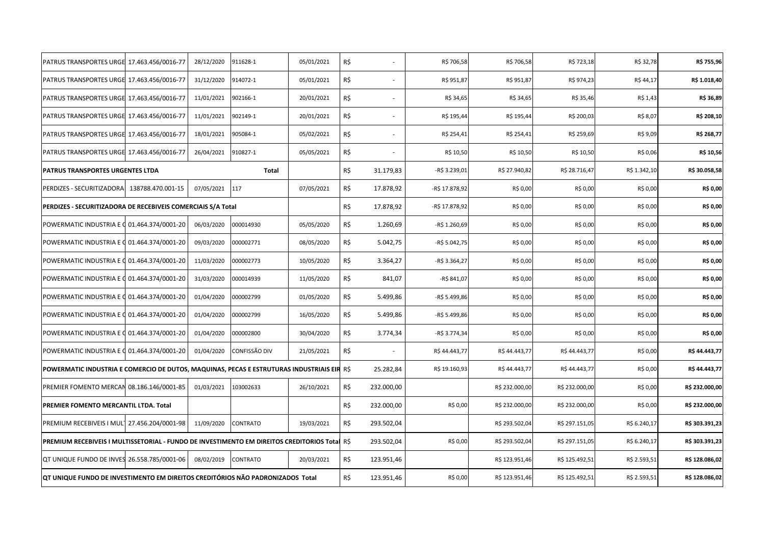| PATRUS TRANSPORTES URGE                                                                       | 17.463.456/0016-77 | 28/12/2020 | 911628-1             | 05/01/2021 | R\$ |            | R\$ 706,58     | R\$ 706,58     | R\$ 723,18     | R\$ 32,78    | R\$ 755,96     |
|-----------------------------------------------------------------------------------------------|--------------------|------------|----------------------|------------|-----|------------|----------------|----------------|----------------|--------------|----------------|
| PATRUS TRANSPORTES URGE 17.463.456/0016-77                                                    |                    | 31/12/2020 | 914072-1             | 05/01/2021 | R\$ |            | R\$ 951,87     | R\$ 951,87     | R\$ 974,23     | R\$ 44,17    | R\$ 1.018,40   |
| PATRUS TRANSPORTES URGE 17.463.456/0016-77                                                    |                    | 11/01/2021 | 902166-1             | 20/01/2021 | R\$ |            | R\$ 34,65      | R\$ 34,65      | R\$ 35,46      | R\$ 1,43     | R\$ 36,89      |
| PATRUS TRANSPORTES URGE 17.463.456/0016-77                                                    |                    | 11/01/2021 | 902149-1             | 20/01/2021 | R\$ |            | R\$ 195,44     | R\$ 195,44     | R\$ 200,03     | R\$ 8,07     | R\$ 208,10     |
| PATRUS TRANSPORTES URGE 17.463.456/0016-77                                                    |                    | 18/01/2021 | 905084-1             | 05/02/2021 | R\$ |            | R\$ 254,41     | R\$ 254,41     | R\$ 259,69     | R\$ 9,09     | R\$ 268,77     |
| PATRUS TRANSPORTES URGE 17.463.456/0016-77                                                    |                    | 26/04/2021 | 910827-1             | 05/05/2021 | R\$ |            | R\$ 10,50      | R\$ 10,50      | R\$ 10,50      | R\$ 0,06     | R\$ 10,56      |
| PATRUS TRANSPORTES URGENTES LTDA                                                              |                    |            | Total                |            | R\$ | 31.179,83  | -R\$ 3.239,01  | R\$ 27.940,82  | R\$ 28.716,47  | R\$ 1.342,10 | R\$ 30.058,58  |
| PERDIZES - SECURITIZADORA                                                                     | 138788.470.001-15  | 07/05/2021 | 117                  | 07/05/2021 | R\$ | 17.878,92  | -R\$ 17.878,92 | R\$ 0,00       | R\$ 0,00       | R\$ 0,00     | R\$ 0,00       |
| PERDIZES - SECURITIZADORA DE RECEBIVEIS COMERCIAIS S/A Total                                  |                    |            |                      |            | R\$ | 17.878,92  | -R\$ 17.878,92 | R\$ 0,00       | R\$ 0,00       | R\$ 0,00     | R\$ 0,00       |
| POWERMATIC INDUSTRIA E 0 01.464.374/0001-20                                                   |                    | 06/03/2020 | 000014930            | 05/05/2020 | R\$ | 1.260,69   | -R\$ 1.260,69  | R\$ 0,00       | R\$ 0,00       | R\$ 0,00     | R\$ 0,00       |
| POWERMATIC INDUSTRIA E Q 01.464.374/0001-20                                                   |                    | 09/03/2020 | 000002771            | 08/05/2020 | R\$ | 5.042,75   | -R\$ 5.042,75  | R\$ 0,00       | R\$ 0,00       | R\$ 0,00     | R\$ 0,00       |
| POWERMATIC INDUSTRIA E 0 01.464.374/0001-20                                                   |                    | 11/03/2020 | 000002773            | 10/05/2020 | R\$ | 3.364,27   | -R\$ 3.364,27  | R\$ 0,00       | R\$ 0,00       | R\$ 0,00     | R\$ 0,00       |
| POWERMATIC INDUSTRIA E C 01.464.374/0001-20                                                   |                    | 31/03/2020 | 000014939            | 11/05/2020 | R\$ | 841,07     | -R\$ 841,07    | R\$ 0,00       | R\$ 0,00       | R\$ 0,00     | R\$ 0,00       |
| POWERMATIC INDUSTRIA E Q 01.464.374/0001-20                                                   |                    | 01/04/2020 | 000002799            | 01/05/2020 | R\$ | 5.499,86   | -R\$ 5.499,86  | R\$ 0,00       | R\$ 0,00       | R\$ 0,00     | R\$ 0,00       |
| POWERMATIC INDUSTRIA E C 01.464.374/0001-20                                                   |                    | 01/04/2020 | 000002799            | 16/05/2020 | R\$ | 5.499,86   | -R\$ 5.499,86  | R\$ 0,00       | R\$ 0,00       | R\$ 0,00     | R\$ 0,00       |
| POWERMATIC INDUSTRIA E C 01.464.374/0001-20                                                   |                    | 01/04/2020 | 000002800            | 30/04/2020 | R\$ | 3.774,34   | -R\$ 3.774,34  | R\$ 0,00       | R\$ 0,00       | R\$ 0,00     | R\$ 0,00       |
| POWERMATIC INDUSTRIA E C 01.464.374/0001-20                                                   |                    | 01/04/2020 | <b>CONFISSÃO DIV</b> | 21/05/2021 | R\$ |            | R\$44.443,77   | R\$44.443,77   | R\$44.443,77   | R\$ 0,00     | R\$44.443,77   |
| POWERMATIC INDUSTRIA E COMERCIO DE DUTOS, MAQUINAS, PECAS E ESTRUTURAS INDUSTRIAIS EIR R\$    |                    |            |                      |            |     | 25.282,84  | R\$ 19.160,93  | R\$44.443,77   | R\$44.443,77   | R\$ 0,00     | R\$44.443,77   |
| PREMIER FOMENTO MERCAN 08.186.146/0001-85                                                     |                    | 01/03/2021 | 103002633            | 26/10/2021 | R\$ | 232.000,00 |                | R\$ 232.000,00 | R\$ 232.000,00 | R\$ 0,00     | R\$ 232.000,00 |
| PREMIER FOMENTO MERCANTIL LTDA. Total                                                         |                    |            |                      |            | R\$ | 232.000,00 | R\$ 0,00       | R\$ 232.000,00 | R\$ 232.000,00 | R\$ 0,00     | R\$ 232.000,00 |
| PREMIUM RECEBIVEIS I MUL1 27.456.204/0001-98                                                  |                    | 11/09/2020 | <b>CONTRATO</b>      | 19/03/2021 | R\$ | 293.502,04 |                | R\$ 293.502,04 | R\$ 297.151,05 | R\$ 6.240,17 | R\$ 303.391,23 |
| PREMIUM RECEBIVEIS I MULTISSETORIAL - FUNDO DE INVESTIMENTO EM DIREITOS CREDITORIOS Total R\$ |                    |            |                      |            |     | 293.502,04 | R\$ 0,00       | R\$ 293.502,04 | R\$ 297.151,05 | R\$ 6.240,17 | R\$ 303.391,23 |
| QT UNIQUE FUNDO DE INVES 26.558.785/0001-06                                                   |                    | 08/02/2019 | <b>CONTRATO</b>      | 20/03/2021 | R\$ | 123.951,46 |                | R\$ 123.951,46 | R\$ 125.492,51 | R\$ 2.593,51 | R\$ 128.086,02 |
| QT UNIQUE FUNDO DE INVESTIMENTO EM DIREITOS CREDITÓRIOS NÃO PADRONIZADOS Total                |                    |            |                      |            | R\$ | 123.951,46 | R\$ 0,00       | R\$ 123.951,46 | R\$ 125.492,51 | R\$ 2.593,51 | R\$128.086,02  |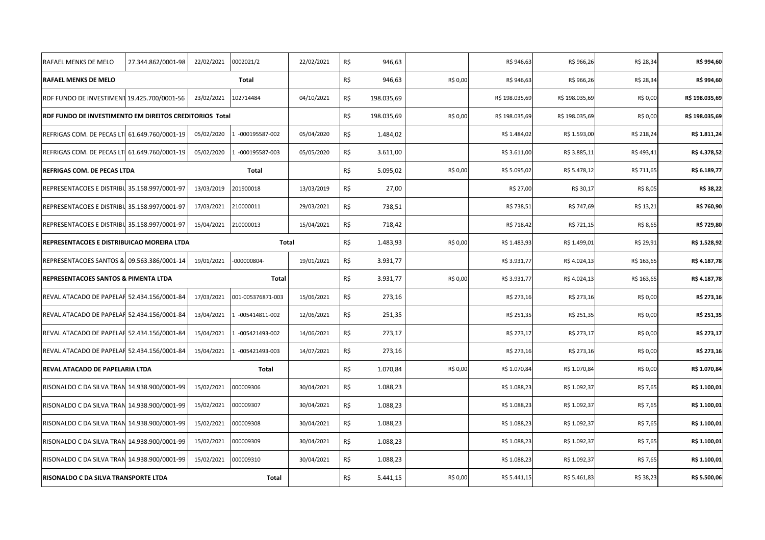| RAFAEL MENKS DE MELO                                    | 27.344.862/0001-98 | 22/02/2021 | 0002021/2          | 22/02/2021 | R\$ | 946,63     |          | R\$ 946,63     | R\$ 966,26     | R\$ 28,34  | R\$ 994,60     |
|---------------------------------------------------------|--------------------|------------|--------------------|------------|-----|------------|----------|----------------|----------------|------------|----------------|
| <b>RAFAEL MENKS DE MELO</b>                             |                    |            | Total              |            | R\$ | 946,63     | R\$ 0,00 | R\$ 946,63     | R\$ 966,26     | R\$ 28,34  | R\$ 994,60     |
| RDF FUNDO DE INVESTIMENT 19.425.700/0001-56             |                    | 23/02/2021 | 102714484          | 04/10/2021 | R\$ | 198.035,69 |          | R\$ 198.035,69 | R\$ 198.035,69 | R\$ 0,00   | R\$ 198.035,69 |
| RDF FUNDO DE INVESTIMENTO EM DIREITOS CREDITORIOS Total |                    |            |                    |            | R\$ | 198.035,69 | R\$ 0,00 | R\$ 198.035,69 | R\$ 198.035,69 | R\$ 0,00   | R\$ 198.035,69 |
| REFRIGAS COM. DE PECAS LTI 61.649.760/0001-19           |                    | 05/02/2020 | -000195587-002     | 05/04/2020 | R\$ | 1.484,02   |          | R\$ 1.484,02   | R\$ 1.593,00   | R\$ 218,24 | R\$ 1.811,24   |
| REFRIGAS COM. DE PECAS LTI 61.649.760/0001-19           |                    | 05/02/2020 | $-000195587 - 003$ | 05/05/2020 | R\$ | 3.611,00   |          | R\$ 3.611,00   | R\$ 3.885,11   | R\$493,41  | R\$ 4.378,52   |
| REFRIGAS COM. DE PECAS LTDA                             |                    |            | Total              |            | R\$ | 5.095,02   | R\$ 0,00 | R\$ 5.095,02   | R\$ 5.478,12   | R\$ 711,65 | R\$ 6.189,77   |
| REPRESENTACOES E DISTRIBU 35.158.997/0001-97            |                    | 13/03/2019 | 201900018          | 13/03/2019 | R\$ | 27,00      |          | R\$ 27,00      | R\$ 30,17      | R\$ 8,05   | R\$ 38,22      |
| REPRESENTACOES E DISTRIBU 35.158.997/0001-97            |                    | 17/03/2021 | 210000011          | 29/03/2021 | R\$ | 738,51     |          | R\$ 738,51     | R\$ 747,69     | R\$ 13,21  | R\$ 760,90     |
| REPRESENTACOES E DISTRIBU 35.158.997/0001-97            |                    | 15/04/2021 | 210000013          | 15/04/2021 | R\$ | 718,42     |          | R\$ 718,42     | R\$ 721,15     | R\$ 8,65   | R\$ 729,80     |
| REPRESENTACOES E DISTRIBUICAO MOREIRA LTDA              |                    |            | Total              |            | R\$ | 1.483,93   | R\$ 0,00 | R\$ 1.483,93   | R\$ 1.499,01   | R\$ 29,91  | R\$ 1.528,92   |
| REPRESENTACOES SANTOS & 09.563.386/0001-14              |                    | 19/01/2021 | $-000000804-$      | 19/01/2021 | R\$ | 3.931,77   |          | R\$ 3.931,77   | R\$4.024,13    | R\$ 163,65 | R\$ 4.187,78   |
| REPRESENTACOES SANTOS & PIMENTA LTDA                    |                    |            | Total              |            | R\$ | 3.931,77   | R\$ 0,00 | R\$ 3.931,77   | R\$4.024,13    | R\$ 163,65 | R\$ 4.187,78   |
| REVAL ATACADO DE PAPELAF 52.434.156/0001-84             |                    | 17/03/2021 | 001-005376871-003  | 15/06/2021 | R\$ | 273,16     |          | R\$ 273,16     | R\$ 273,16     | R\$ 0,00   |                |
|                                                         |                    |            |                    |            |     |            |          |                |                |            | R\$ 273,16     |
| REVAL ATACADO DE PAPELAR 52.434.156/0001-84             |                    | 13/04/2021 | 1 -005414811-002   | 12/06/2021 | R\$ | 251,35     |          | R\$ 251,35     | R\$ 251,35     | R\$ 0,00   | R\$ 251,35     |
| REVAL ATACADO DE PAPELAR 52.434.156/0001-84             |                    | 15/04/2021 | -005421493-002     | 14/06/2021 | R\$ | 273,17     |          | R\$ 273,17     | R\$ 273,17     | R\$ 0,00   | R\$ 273,17     |
| REVAL ATACADO DE PAPELAR 52.434.156/0001-84             |                    | 15/04/2021 | -005421493-003     | 14/07/2021 | R\$ | 273,16     |          | R\$ 273,16     | R\$ 273,16     | R\$ 0,00   | R\$ 273,16     |
| <b>REVAL ATACADO DE PAPELARIA LTDA</b>                  |                    |            | Total              |            | R\$ | 1.070,84   | R\$ 0,00 | R\$ 1.070,84   | R\$ 1.070,84   | R\$ 0,00   | R\$ 1.070,84   |
| RISONALDO C DA SILVA TRAN 14.938.900/0001-99            |                    | 15/02/2021 | 000009306          | 30/04/2021 | R\$ | 1.088,23   |          | R\$ 1.088,23   | R\$ 1.092,37   | R\$ 7,65   | R\$ 1.100,01   |
| RISONALDO C DA SILVA TRAN 14.938.900/0001-99            |                    | 15/02/2021 | 000009307          | 30/04/2021 | R\$ | 1.088,23   |          | R\$ 1.088,23   | R\$ 1.092,37   | R\$ 7,65   | R\$ 1.100,01   |
| RISONALDO C DA SILVA TRAN 14.938.900/0001-99            |                    | 15/02/2021 | 000009308          | 30/04/2021 | R\$ | 1.088,23   |          | R\$ 1.088,23   | R\$ 1.092,37   | R\$ 7,65   | R\$ 1.100,01   |
| RISONALDO C DA SILVA TRAN 14.938.900/0001-99            |                    | 15/02/2021 | 000009309          | 30/04/2021 | R\$ | 1.088,23   |          | R\$ 1.088,23   | R\$ 1.092,37   | R\$ 7,65   | R\$ 1.100,01   |
| RISONALDO C DA SILVA TRAN 14.938.900/0001-99            |                    | 15/02/2021 | 000009310          | 30/04/2021 | R\$ | 1.088,23   |          | R\$ 1.088,23   | R\$ 1.092,37   | R\$ 7,65   | R\$ 1.100,01   |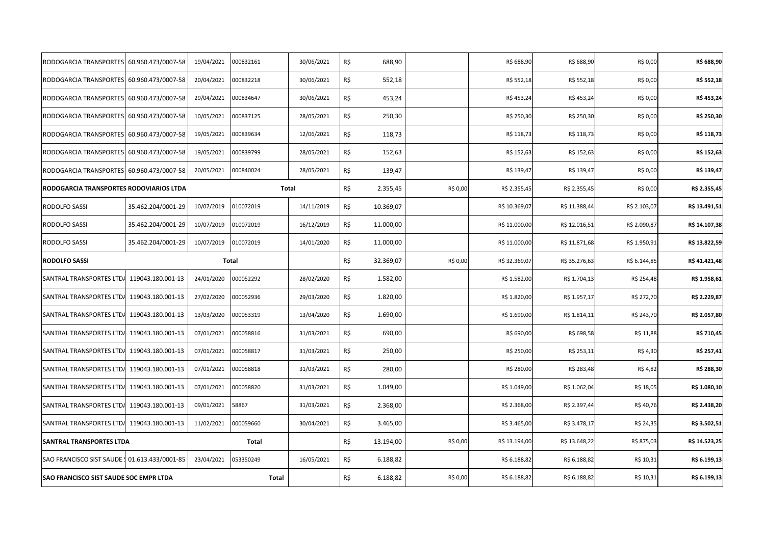| RODOGARCIA TRANSPORTES 60.960.473/0007-58     |                    | 19/04/2021 | 000832161    | 30/06/2021 | R\$ | 688,90    |          | R\$ 688,90    | R\$ 688,90    | R\$ 0,00     | R\$ 688,90    |
|-----------------------------------------------|--------------------|------------|--------------|------------|-----|-----------|----------|---------------|---------------|--------------|---------------|
| RODOGARCIA TRANSPORTES 60.960.473/0007-58     |                    | 20/04/2021 | 000832218    | 30/06/2021 | R\$ | 552,18    |          | R\$ 552,18    | R\$ 552,18    | R\$ 0,00     | R\$ 552,18    |
| RODOGARCIA TRANSPORTES 60.960.473/0007-58     |                    | 29/04/2021 | 000834647    | 30/06/2021 | R\$ | 453,24    |          | R\$453,24     | R\$ 453,24    | R\$ 0,00     | R\$ 453,24    |
| RODOGARCIA TRANSPORTES 60.960.473/0007-58     |                    | 10/05/2021 | 000837125    | 28/05/2021 | R\$ | 250,30    |          | R\$ 250,30    | R\$ 250,30    | R\$ 0,00     | R\$ 250,30    |
| RODOGARCIA TRANSPORTES 60.960.473/0007-58     |                    | 19/05/2021 | 000839634    | 12/06/2021 | R\$ | 118,73    |          | R\$ 118,73    | R\$ 118,73    | R\$ 0,00     | R\$ 118,73    |
| RODOGARCIA TRANSPORTES 60.960.473/0007-58     |                    | 19/05/2021 | 000839799    | 28/05/2021 | R\$ | 152,63    |          | R\$ 152,63    | R\$ 152,63    | R\$ 0,00     | R\$ 152,63    |
| RODOGARCIA TRANSPORTES 60.960.473/0007-58     |                    | 20/05/2021 | 000840024    | 28/05/2021 | R\$ | 139,47    |          | R\$ 139,47    | R\$ 139,47    | R\$ 0,00     | R\$ 139,47    |
| RODOGARCIA TRANSPORTES RODOVIARIOS LTDA       |                    |            | Total        |            | R\$ | 2.355,45  | R\$ 0,00 | R\$ 2.355,45  | R\$ 2.355,45  | R\$ 0,00     | R\$ 2.355,45  |
| <b>RODOLFO SASSI</b>                          | 35.462.204/0001-29 | 10/07/2019 | 010072019    | 14/11/2019 | R\$ | 10.369,07 |          | R\$ 10.369,07 | R\$ 11.388,44 | R\$ 2.103,07 | R\$ 13.491,51 |
| RODOLFO SASSI                                 | 35.462.204/0001-29 | 10/07/2019 | 010072019    | 16/12/2019 | R\$ | 11.000,00 |          | R\$ 11.000,00 | R\$ 12.016,51 | R\$ 2.090,87 | R\$ 14.107,38 |
| RODOLFO SASSI                                 | 35.462.204/0001-29 | 10/07/2019 | 010072019    | 14/01/2020 | R\$ | 11.000,00 |          | R\$ 11.000,00 | R\$ 11.871,68 | R\$ 1.950,91 | R\$ 13.822,59 |
| <b>RODOLFO SASSI</b>                          |                    | Total      |              |            | R\$ | 32.369,07 | R\$ 0,00 | R\$ 32.369,07 | R\$ 35.276,63 | R\$ 6.144,85 | R\$41.421,48  |
| SANTRAL TRANSPORTES LTDA 119043.180.001-13    |                    | 24/01/2020 | 000052292    | 28/02/2020 | R\$ | 1.582,00  |          | R\$ 1.582,00  | R\$ 1.704,13  | R\$ 254,48   | R\$ 1.958,61  |
| SANTRAL TRANSPORTES LTDA 119043.180.001-13    |                    | 27/02/2020 | 000052936    | 29/03/2020 | R\$ | 1.820,00  |          | R\$ 1.820,00  | R\$ 1.957,17  | R\$ 272,70   | R\$ 2.229,87  |
| SANTRAL TRANSPORTES LTDA 119043.180.001-13    |                    | 13/03/2020 | 000053319    | 13/04/2020 | R\$ | 1.690,00  |          | R\$ 1.690,00  | R\$ 1.814,11  | R\$ 243,70   | R\$ 2.057,80  |
| SANTRAL TRANSPORTES LTDA 119043.180.001-13    |                    | 07/01/2021 | 000058816    | 31/03/2021 | R\$ | 690,00    |          | R\$ 690,00    | R\$ 698,58    | R\$ 11,88    | R\$ 710,45    |
| SANTRAL TRANSPORTES LTDA                      | 119043.180.001-13  | 07/01/2021 | 000058817    | 31/03/2021 | R\$ | 250,00    |          | R\$ 250,00    | R\$ 253,11    | R\$ 4,30     | R\$ 257,41    |
| SANTRAL TRANSPORTES LTDA                      | 119043.180.001-13  | 07/01/2021 | 000058818    | 31/03/2021 | R\$ | 280,00    |          | R\$ 280,00    | R\$ 283,48    | R\$ 4,82     | R\$ 288,30    |
| SANTRAL TRANSPORTES LTDA 119043.180.001-13    |                    | 07/01/2021 | 000058820    | 31/03/2021 | R\$ | 1.049,00  |          | R\$ 1.049,00  | R\$ 1.062,04  | R\$ 18,05    | R\$ 1.080,10  |
| SANTRAL TRANSPORTES LTDA 119043.180.001-13    |                    | 09/01/2021 | 58867        | 31/03/2021 | R\$ | 2.368,00  |          | R\$ 2.368,00  | R\$ 2.397,44  | R\$40,76     | R\$ 2.438,20  |
| SANTRAL TRANSPORTES LTDA 119043.180.001-13    |                    | 11/02/2021 | 000059660    | 30/04/2021 | R\$ | 3.465,00  |          | R\$ 3.465,00  | R\$ 3.478,17  | R\$ 24,35    | R\$ 3.502,51  |
| <b>SANTRAL TRANSPORTES LTDA</b>               |                    |            | Total        |            | R\$ | 13.194,00 | R\$ 0,00 | R\$ 13.194,00 | R\$ 13.648,22 | R\$ 875,03   | R\$ 14.523,25 |
| SAO FRANCISCO SIST SAUDE 1 01.613.433/0001-85 |                    | 23/04/2021 | 053350249    | 16/05/2021 | R\$ | 6.188,82  |          | R\$ 6.188,82  | R\$ 6.188,82  | R\$ 10,31    | R\$ 6.199,13  |
| <b>SAO FRANCISCO SIST SAUDE SOC EMPR LTDA</b> |                    |            | <b>Total</b> |            | R\$ | 6.188,82  | R\$ 0,00 | R\$ 6.188,82  | R\$ 6.188,82  | R\$ 10,31    | R\$ 6.199,13  |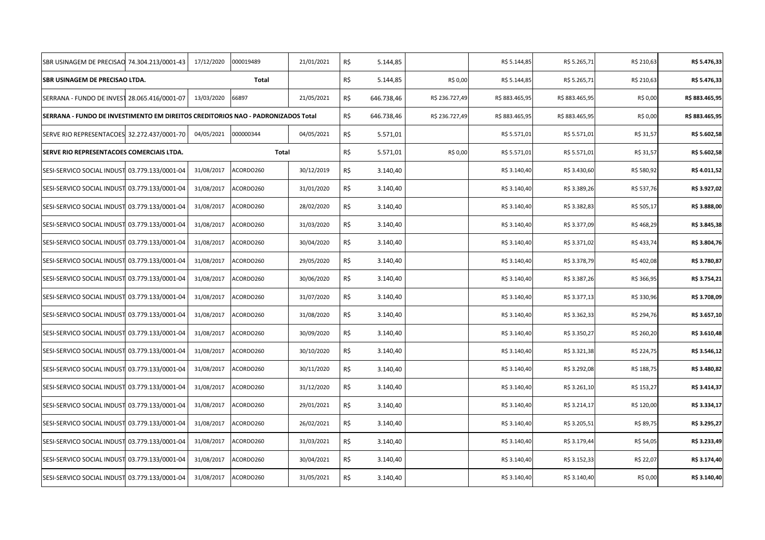| SBR USINAGEM DE PRECISAO 74.304.213/0001-43                                      |                    | 17/12/2020 | 000019489    | 21/01/2021 | R\$ | 5.144,85   |                | R\$ 5.144,85   | R\$ 5.265,71   | R\$ 210,63 | R\$ 5.476,33   |
|----------------------------------------------------------------------------------|--------------------|------------|--------------|------------|-----|------------|----------------|----------------|----------------|------------|----------------|
| SBR USINAGEM DE PRECISAO LTDA.                                                   |                    |            | <b>Total</b> |            | R\$ | 5.144,85   | R\$ 0,00       | R\$ 5.144,85   | R\$ 5.265,71   | R\$ 210,63 | R\$ 5.476,33   |
| SERRANA - FUNDO DE INVEST 28.065.416/0001-07                                     |                    | 13/03/2020 | 66897        | 21/05/2021 | R\$ | 646.738,46 | R\$ 236.727,49 | R\$ 883.465,95 | R\$ 883.465,95 | R\$ 0,00   | R\$ 883.465,95 |
| SERRANA - FUNDO DE INVESTIMENTO EM DIREITOS CREDITORIOS NAO - PADRONIZADOS Total |                    |            |              |            | R\$ | 646.738,46 | R\$ 236.727,49 | R\$ 883.465,95 | R\$ 883.465,95 | R\$ 0,00   | R\$ 883.465,95 |
| SERVE RIO REPRESENTACOES 32.272.437/0001-70                                      |                    | 04/05/2021 | 000000344    | 04/05/2021 | R\$ | 5.571,01   |                | R\$ 5.571,01   | R\$ 5.571,01   | R\$ 31,57  | R\$ 5.602,58   |
| SERVE RIO REPRESENTACOES COMERCIAIS LTDA.                                        |                    |            | Total        |            | R\$ | 5.571,01   | R\$ 0,00       | R\$ 5.571,01   | R\$ 5.571,01   | R\$ 31,57  | R\$ 5.602,58   |
| SESI-SERVICO SOCIAL INDUST 03.779.133/0001-04                                    |                    | 31/08/2017 | ACORDO260    | 30/12/2019 | R\$ | 3.140,40   |                | R\$ 3.140,40   | R\$ 3.430,60   | R\$ 580,92 | R\$4.011,52    |
| SESI-SERVICO SOCIAL INDUST 03.779.133/0001-04                                    |                    | 31/08/2017 | ACORDO260    | 31/01/2020 | R\$ | 3.140,40   |                | R\$ 3.140,40   | R\$ 3.389,26   | R\$ 537,76 | R\$ 3.927,02   |
| SESI-SERVICO SOCIAL INDUST 03.779.133/0001-04                                    |                    | 31/08/2017 | ACORDO260    | 28/02/2020 | R\$ | 3.140,40   |                | R\$ 3.140,40   | R\$ 3.382,83   | R\$ 505,17 | R\$ 3.888,00   |
| SESI-SERVICO SOCIAL INDUST 03.779.133/0001-04                                    |                    | 31/08/2017 | ACORDO260    | 31/03/2020 | R\$ | 3.140,40   |                | R\$ 3.140,40   | R\$ 3.377,09   | R\$ 468,29 | R\$ 3.845,38   |
| SESI-SERVICO SOCIAL INDUST 03.779.133/0001-04                                    |                    | 31/08/2017 | ACORDO260    | 30/04/2020 | R\$ | 3.140,40   |                | R\$ 3.140,40   | R\$ 3.371,02   | R\$ 433,74 | R\$ 3.804,76   |
| SESI-SERVICO SOCIAL INDUST 03.779.133/0001-04                                    |                    | 31/08/2017 | ACORDO260    | 29/05/2020 | R\$ | 3.140,40   |                | R\$ 3.140,40   | R\$ 3.378,79   | R\$ 402,08 | R\$ 3.780,87   |
| SESI-SERVICO SOCIAL INDUST 03.779.133/0001-04                                    |                    | 31/08/2017 | ACORDO260    | 30/06/2020 | R\$ | 3.140,40   |                | R\$ 3.140,40   | R\$ 3.387,26   | R\$ 366,95 | R\$ 3.754,21   |
| SESI-SERVICO SOCIAL INDUST 03.779.133/0001-04                                    |                    | 31/08/2017 | ACORDO260    | 31/07/2020 | R\$ | 3.140,40   |                | R\$ 3.140,40   | R\$ 3.377,13   | R\$ 330,96 | R\$ 3.708,09   |
| SESI-SERVICO SOCIAL INDUST 03.779.133/0001-04                                    |                    | 31/08/2017 | ACORDO260    | 31/08/2020 | R\$ | 3.140,40   |                | R\$ 3.140,40   | R\$ 3.362,33   | R\$ 294,76 | R\$ 3.657,10   |
| SESI-SERVICO SOCIAL INDUST 03.779.133/0001-04                                    |                    | 31/08/2017 | ACORDO260    | 30/09/2020 | R\$ | 3.140,40   |                | R\$ 3.140,40   | R\$ 3.350,27   | R\$ 260,20 | R\$ 3.610,48   |
| SESI-SERVICO SOCIAL INDUST 03.779.133/0001-04                                    |                    | 31/08/2017 | ACORDO260    | 30/10/2020 | R\$ | 3.140,40   |                | R\$ 3.140,40   | R\$ 3.321,38   | R\$ 224,75 | R\$ 3.546,12   |
| SESI-SERVICO SOCIAL INDUST 03.779.133/0001-04                                    |                    | 31/08/2017 | ACORDO260    | 30/11/2020 | R\$ | 3.140,40   |                | R\$ 3.140,40   | R\$ 3.292,08   | R\$ 188,75 | R\$ 3.480,82   |
| SESI-SERVICO SOCIAL INDUST 03.779.133/0001-04                                    |                    | 31/08/2017 | ACORDO260    | 31/12/2020 | R\$ | 3.140,40   |                | R\$ 3.140,40   | R\$ 3.261,10   | R\$ 153,27 | R\$ 3.414,37   |
| SESI-SERVICO SOCIAL INDUST 03.779.133/0001-04                                    |                    | 31/08/2017 | ACORDO260    | 29/01/2021 | R\$ | 3.140,40   |                | R\$ 3.140,40   | R\$ 3.214,17   | R\$ 120,00 | R\$ 3.334,17   |
| SESI-SERVICO SOCIAL INDUST 03.779.133/0001-04                                    |                    | 31/08/2017 | ACORDO260    | 26/02/2021 | R\$ | 3.140,40   |                | R\$ 3.140,40   | R\$ 3.205,51   | R\$ 89,75  | R\$ 3.295,27   |
| SESI-SERVICO SOCIAL INDUST 03.779.133/0001-04                                    |                    | 31/08/2017 | ACORDO260    | 31/03/2021 | R\$ | 3.140,40   |                | R\$ 3.140,40   | R\$ 3.179,44   | R\$ 54,05  | R\$ 3.233,49   |
| SESI-SERVICO SOCIAL INDUST                                                       | 03.779.133/0001-04 | 31/08/2017 | ACORDO260    | 30/04/2021 | R\$ | 3.140,40   |                | R\$ 3.140,40   | R\$ 3.152,33   | R\$ 22,07  | R\$ 3.174,40   |
| SESI-SERVICO SOCIAL INDUST 03.779.133/0001-04                                    |                    | 31/08/2017 | ACORDO260    | 31/05/2021 | R\$ | 3.140,40   |                | R\$ 3.140,40   | R\$ 3.140,40   | R\$ 0,00   | R\$ 3.140,40   |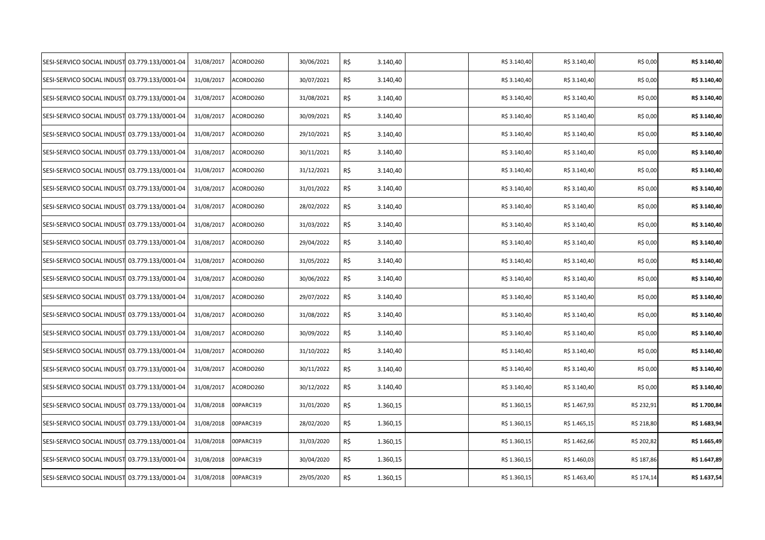| SESI-SERVICO SOCIAL INDUST 03.779.133/0001-04 | 31/08/2017 | ACORDO260 | 30/06/2021 | R\$ | 3.140,40 | R\$ 3.140,40 | R\$ 3.140,40 | R\$ 0,00   | R\$ 3.140,40 |
|-----------------------------------------------|------------|-----------|------------|-----|----------|--------------|--------------|------------|--------------|
| SESI-SERVICO SOCIAL INDUST 03.779.133/0001-04 | 31/08/2017 | ACORDO260 | 30/07/2021 | R\$ | 3.140,40 | R\$ 3.140,40 | R\$ 3.140,40 | R\$ 0,00   | R\$ 3.140,40 |
| SESI-SERVICO SOCIAL INDUST 03.779.133/0001-04 | 31/08/2017 | ACORDO260 | 31/08/2021 | R\$ | 3.140,40 | R\$ 3.140,40 | R\$ 3.140,40 | R\$ 0,00   | R\$ 3.140,40 |
| SESI-SERVICO SOCIAL INDUST 03.779.133/0001-04 | 31/08/2017 | ACORDO260 | 30/09/2021 | R\$ | 3.140,40 | R\$ 3.140,40 | R\$ 3.140,40 | R\$ 0,00   | R\$ 3.140,40 |
| SESI-SERVICO SOCIAL INDUST 03.779.133/0001-04 | 31/08/2017 | ACORDO260 | 29/10/2021 | R\$ | 3.140,40 | R\$ 3.140,40 | R\$ 3.140,40 | R\$ 0,00   | R\$ 3.140,40 |
| SESI-SERVICO SOCIAL INDUST 03.779.133/0001-04 | 31/08/2017 | ACORDO260 | 30/11/2021 | R\$ | 3.140,40 | R\$ 3.140,40 | R\$ 3.140,40 | R\$ 0,00   | R\$ 3.140,40 |
| SESI-SERVICO SOCIAL INDUST 03.779.133/0001-04 | 31/08/2017 | ACORDO260 | 31/12/2021 | R\$ | 3.140,40 | R\$ 3.140,40 | R\$ 3.140,40 | R\$ 0,00   | R\$ 3.140,40 |
| SESI-SERVICO SOCIAL INDUST 03.779.133/0001-04 | 31/08/2017 | ACORDO260 | 31/01/2022 | R\$ | 3.140,40 | R\$ 3.140,40 | R\$ 3.140,40 | R\$ 0,00   | R\$ 3.140,40 |
| SESI-SERVICO SOCIAL INDUST 03.779.133/0001-04 | 31/08/2017 | ACORDO260 | 28/02/2022 | R\$ | 3.140,40 | R\$ 3.140,40 | R\$ 3.140,40 | R\$ 0,00   | R\$ 3.140,40 |
| SESI-SERVICO SOCIAL INDUST 03.779.133/0001-04 | 31/08/2017 | ACORDO260 | 31/03/2022 | R\$ | 3.140,40 | R\$ 3.140,40 | R\$ 3.140,40 | R\$ 0,00   | R\$ 3.140,40 |
| SESI-SERVICO SOCIAL INDUST 03.779.133/0001-04 | 31/08/2017 | ACORDO260 | 29/04/2022 | R\$ | 3.140,40 | R\$ 3.140,40 | R\$ 3.140,40 | R\$ 0,00   | R\$ 3.140,40 |
| SESI-SERVICO SOCIAL INDUST 03.779.133/0001-04 | 31/08/2017 | ACORDO260 | 31/05/2022 | R\$ | 3.140,40 | R\$ 3.140,40 | R\$ 3.140,40 | R\$ 0,00   | R\$ 3.140,40 |
| SESI-SERVICO SOCIAL INDUST 03.779.133/0001-04 | 31/08/2017 | ACORDO260 | 30/06/2022 | R\$ | 3.140,40 | R\$ 3.140,40 | R\$ 3.140,40 | R\$ 0,00   | R\$ 3.140,40 |
| SESI-SERVICO SOCIAL INDUST 03.779.133/0001-04 | 31/08/2017 | ACORDO260 | 29/07/2022 | R\$ | 3.140,40 | R\$ 3.140,40 | R\$ 3.140,40 | R\$ 0,00   | R\$ 3.140,40 |
| SESI-SERVICO SOCIAL INDUST 03.779.133/0001-04 | 31/08/2017 | ACORDO260 | 31/08/2022 | R\$ | 3.140,40 | R\$ 3.140,40 | R\$ 3.140,40 | R\$ 0,00   | R\$ 3.140,40 |
| SESI-SERVICO SOCIAL INDUST 03.779.133/0001-04 | 31/08/2017 | ACORDO260 | 30/09/2022 | R\$ | 3.140,40 | R\$ 3.140,40 | R\$ 3.140,40 | R\$ 0,00   | R\$ 3.140,40 |
| SESI-SERVICO SOCIAL INDUST 03.779.133/0001-04 | 31/08/2017 | ACORDO260 | 31/10/2022 | R\$ | 3.140,40 | R\$ 3.140,40 | R\$ 3.140,40 | R\$ 0,00   | R\$ 3.140,40 |
| SESI-SERVICO SOCIAL INDUST 03.779.133/0001-04 | 31/08/2017 | ACORDO260 | 30/11/2022 | R\$ | 3.140,40 | R\$ 3.140,40 | R\$ 3.140,40 | R\$ 0,00   | R\$ 3.140,40 |
| SESI-SERVICO SOCIAL INDUST 03.779.133/0001-04 | 31/08/2017 | ACORDO260 | 30/12/2022 | R\$ | 3.140,40 | R\$ 3.140,40 | R\$ 3.140,40 | R\$ 0,00   | R\$ 3.140,40 |
| SESI-SERVICO SOCIAL INDUST 03.779.133/0001-04 | 31/08/2018 | 00PARC319 | 31/01/2020 | R\$ | 1.360,15 | R\$ 1.360,15 | R\$ 1.467,93 | R\$ 232,91 | R\$ 1.700,84 |
| SESI-SERVICO SOCIAL INDUST 03.779.133/0001-04 | 31/08/2018 | 00PARC319 | 28/02/2020 | R\$ | 1.360,15 | R\$ 1.360,15 | R\$ 1.465,15 | R\$ 218,80 | R\$ 1.683,94 |
| SESI-SERVICO SOCIAL INDUST 03.779.133/0001-04 | 31/08/2018 | 00PARC319 | 31/03/2020 | R\$ | 1.360,15 | R\$ 1.360,15 | R\$ 1.462,66 | R\$ 202,82 | R\$ 1.665,49 |
| SESI-SERVICO SOCIAL INDUST 03.779.133/0001-04 | 31/08/2018 | 00PARC319 | 30/04/2020 | R\$ | 1.360,15 | R\$ 1.360,15 | R\$ 1.460,03 | R\$ 187,86 | R\$ 1.647,89 |
| SESI-SERVICO SOCIAL INDUST 03.779.133/0001-04 | 31/08/2018 | 00PARC319 | 29/05/2020 | R\$ | 1.360,15 | R\$ 1.360,15 | R\$ 1.463,40 | R\$ 174,14 | R\$ 1.637,54 |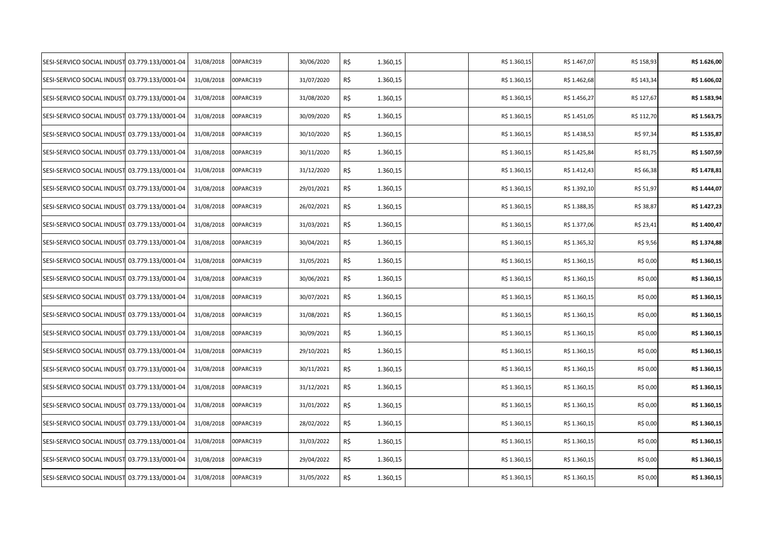| SESI-SERVICO SOCIAL INDUST 03.779.133/0001-04 | 31/08/2018 | 00PARC319 | 30/06/2020 | R\$ | 1.360,15 | R\$ 1.360,15 | R\$ 1.467,07 | R\$ 158,93 | R\$ 1.626,00 |
|-----------------------------------------------|------------|-----------|------------|-----|----------|--------------|--------------|------------|--------------|
| SESI-SERVICO SOCIAL INDUST 03.779.133/0001-04 | 31/08/2018 | 00PARC319 | 31/07/2020 | R\$ | 1.360,15 | R\$ 1.360,15 | R\$ 1.462,68 | R\$ 143,34 | R\$ 1.606,02 |
| SESI-SERVICO SOCIAL INDUST 03.779.133/0001-04 | 31/08/2018 | 00PARC319 | 31/08/2020 | R\$ | 1.360,15 | R\$ 1.360,15 | R\$ 1.456,27 | R\$ 127,67 | R\$ 1.583,94 |
| SESI-SERVICO SOCIAL INDUST 03.779.133/0001-04 | 31/08/2018 | 00PARC319 | 30/09/2020 | R\$ | 1.360,15 | R\$ 1.360,15 | R\$ 1.451,05 | R\$ 112,70 | R\$ 1.563,75 |
| SESI-SERVICO SOCIAL INDUST 03.779.133/0001-04 | 31/08/2018 | 00PARC319 | 30/10/2020 | R\$ | 1.360,15 | R\$ 1.360,15 | R\$ 1.438,53 | R\$ 97,34  | R\$ 1.535,87 |
| SESI-SERVICO SOCIAL INDUST 03.779.133/0001-04 | 31/08/2018 | 00PARC319 | 30/11/2020 | R\$ | 1.360,15 | R\$ 1.360,15 | R\$ 1.425,84 | R\$ 81,75  | R\$ 1.507,59 |
| SESI-SERVICO SOCIAL INDUST 03.779.133/0001-04 | 31/08/2018 | 00PARC319 | 31/12/2020 | R\$ | 1.360,15 | R\$ 1.360,15 | R\$ 1.412,43 | R\$ 66,38  | R\$ 1.478,81 |
| SESI-SERVICO SOCIAL INDUST 03.779.133/0001-04 | 31/08/2018 | 00PARC319 | 29/01/2021 | R\$ | 1.360,15 | R\$ 1.360,15 | R\$ 1.392,10 | R\$ 51,97  | R\$ 1.444,07 |
| SESI-SERVICO SOCIAL INDUST 03.779.133/0001-04 | 31/08/2018 | 00PARC319 | 26/02/2021 | R\$ | 1.360,15 | R\$ 1.360,15 | R\$ 1.388,35 | R\$ 38,87  | R\$ 1.427,23 |
| SESI-SERVICO SOCIAL INDUST 03.779.133/0001-04 | 31/08/2018 | 00PARC319 | 31/03/2021 | R\$ | 1.360,15 | R\$ 1.360,15 | R\$ 1.377,06 | R\$ 23,41  | R\$ 1.400,47 |
| SESI-SERVICO SOCIAL INDUST 03.779.133/0001-04 | 31/08/2018 | 00PARC319 | 30/04/2021 | R\$ | 1.360,15 | R\$ 1.360,15 | R\$ 1.365,32 | R\$ 9,56   | R\$ 1.374,88 |
| SESI-SERVICO SOCIAL INDUST 03.779.133/0001-04 | 31/08/2018 | 00PARC319 | 31/05/2021 | R\$ | 1.360,15 | R\$ 1.360,15 | R\$ 1.360,15 | R\$ 0,00   | R\$ 1.360,15 |
| SESI-SERVICO SOCIAL INDUST 03.779.133/0001-04 | 31/08/2018 | 00PARC319 | 30/06/2021 | R\$ | 1.360,15 | R\$ 1.360,15 | R\$ 1.360,15 | R\$ 0,00   | R\$ 1.360,15 |
| SESI-SERVICO SOCIAL INDUST 03.779.133/0001-04 | 31/08/2018 | 00PARC319 | 30/07/2021 | R\$ | 1.360,15 | R\$ 1.360,15 | R\$ 1.360,15 | R\$ 0,00   | R\$ 1.360,15 |
| SESI-SERVICO SOCIAL INDUST 03.779.133/0001-04 | 31/08/2018 | 00PARC319 | 31/08/2021 | R\$ | 1.360,15 | R\$ 1.360,15 | R\$ 1.360,15 | R\$ 0,00   | R\$ 1.360,15 |
| SESI-SERVICO SOCIAL INDUST 03.779.133/0001-04 | 31/08/2018 | 00PARC319 | 30/09/2021 | R\$ | 1.360,15 | R\$ 1.360,15 | R\$ 1.360,15 | R\$ 0,00   | R\$ 1.360,15 |
| SESI-SERVICO SOCIAL INDUST 03.779.133/0001-04 | 31/08/2018 | 00PARC319 | 29/10/2021 | R\$ | 1.360,15 | R\$ 1.360,15 | R\$ 1.360,15 | R\$ 0,00   | R\$ 1.360,15 |
| SESI-SERVICO SOCIAL INDUST 03.779.133/0001-04 | 31/08/2018 | 00PARC319 | 30/11/2021 | R\$ | 1.360,15 | R\$ 1.360,15 | R\$ 1.360,15 | R\$ 0,00   | R\$ 1.360,15 |
| SESI-SERVICO SOCIAL INDUST 03.779.133/0001-04 | 31/08/2018 | 00PARC319 | 31/12/2021 | R\$ | 1.360,15 | R\$ 1.360,15 | R\$ 1.360,15 | R\$ 0,00   | R\$ 1.360,15 |
| SESI-SERVICO SOCIAL INDUST 03.779.133/0001-04 | 31/08/2018 | 00PARC319 | 31/01/2022 | R\$ | 1.360,15 | R\$ 1.360,15 | R\$ 1.360,15 | R\$ 0,00   | R\$ 1.360,15 |
| SESI-SERVICO SOCIAL INDUST 03.779.133/0001-04 | 31/08/2018 | 00PARC319 | 28/02/2022 | R\$ | 1.360,15 | R\$ 1.360,15 | R\$ 1.360,15 | R\$ 0,00   | R\$ 1.360,15 |
| SESI-SERVICO SOCIAL INDUST 03.779.133/0001-04 | 31/08/2018 | 00PARC319 | 31/03/2022 | R\$ | 1.360,15 | R\$ 1.360,15 | R\$ 1.360,15 | R\$ 0,00   | R\$ 1.360,15 |
| SESI-SERVICO SOCIAL INDUST 03.779.133/0001-04 | 31/08/2018 | 00PARC319 | 29/04/2022 | R\$ | 1.360,15 | R\$ 1.360,15 | R\$ 1.360,15 | R\$ 0,00   | R\$ 1.360,15 |
| SESI-SERVICO SOCIAL INDUST 03.779.133/0001-04 | 31/08/2018 | 00PARC319 | 31/05/2022 | R\$ | 1.360,15 | R\$ 1.360,15 | R\$ 1.360,15 | R\$ 0,00   | R\$ 1.360,15 |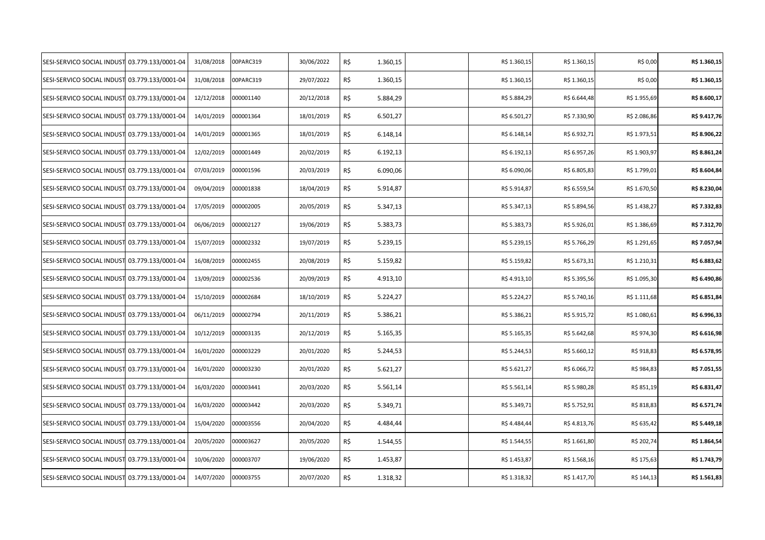| SESI-SERVICO SOCIAL INDUST 03.779.133/0001-04 | 31/08/2018 | 00PARC319 | 30/06/2022 | R\$ | 1.360,15 | R\$ 1.360,15 | R\$ 1.360,15 | R\$ 0,00     | R\$ 1.360,15 |
|-----------------------------------------------|------------|-----------|------------|-----|----------|--------------|--------------|--------------|--------------|
| SESI-SERVICO SOCIAL INDUST 03.779.133/0001-04 | 31/08/2018 | 00PARC319 | 29/07/2022 | R\$ | 1.360,15 | R\$ 1.360,15 | R\$ 1.360,15 | R\$ 0,00     | R\$ 1.360,15 |
| SESI-SERVICO SOCIAL INDUST 03.779.133/0001-04 | 12/12/2018 | 000001140 | 20/12/2018 | R\$ | 5.884,29 | R\$ 5.884,29 | R\$ 6.644,48 | R\$ 1.955,69 | R\$ 8.600,17 |
| SESI-SERVICO SOCIAL INDUST 03.779.133/0001-04 | 14/01/2019 | 000001364 | 18/01/2019 | R\$ | 6.501,27 | R\$ 6.501,27 | R\$ 7.330,90 | R\$ 2.086,86 | R\$ 9.417,76 |
| SESI-SERVICO SOCIAL INDUST 03.779.133/0001-04 | 14/01/2019 | 000001365 | 18/01/2019 | R\$ | 6.148,14 | R\$ 6.148,14 | R\$ 6.932,71 | R\$ 1.973,51 | R\$ 8.906,22 |
| SESI-SERVICO SOCIAL INDUST 03.779.133/0001-04 | 12/02/2019 | 000001449 | 20/02/2019 | R\$ | 6.192,13 | R\$ 6.192,13 | R\$ 6.957,26 | R\$ 1.903,97 | R\$ 8.861,24 |
| SESI-SERVICO SOCIAL INDUST 03.779.133/0001-04 | 07/03/2019 | 000001596 | 20/03/2019 | R\$ | 6.090,06 | R\$ 6.090,06 | R\$ 6.805,83 | R\$ 1.799,01 | R\$ 8.604,84 |
| SESI-SERVICO SOCIAL INDUST 03.779.133/0001-04 | 09/04/2019 | 000001838 | 18/04/2019 | R\$ | 5.914,87 | R\$ 5.914,87 | R\$ 6.559,54 | R\$ 1.670,50 | R\$ 8.230,04 |
| SESI-SERVICO SOCIAL INDUST 03.779.133/0001-04 | 17/05/2019 | 000002005 | 20/05/2019 | R\$ | 5.347,13 | R\$ 5.347,13 | R\$ 5.894,56 | R\$ 1.438,27 | R\$ 7.332,83 |
| SESI-SERVICO SOCIAL INDUST 03.779.133/0001-04 | 06/06/2019 | 000002127 | 19/06/2019 | R\$ | 5.383,73 | R\$ 5.383,73 | R\$ 5.926,01 | R\$ 1.386,69 | R\$ 7.312,70 |
| SESI-SERVICO SOCIAL INDUST 03.779.133/0001-04 | 15/07/2019 | 000002332 | 19/07/2019 | R\$ | 5.239,15 | R\$ 5.239,15 | R\$ 5.766,29 | R\$ 1.291,65 | R\$ 7.057,94 |
| SESI-SERVICO SOCIAL INDUST 03.779.133/0001-04 | 16/08/2019 | 000002455 | 20/08/2019 | R\$ | 5.159,82 | R\$ 5.159,82 | R\$ 5.673,31 | R\$ 1.210,31 | R\$ 6.883,62 |
| SESI-SERVICO SOCIAL INDUST 03.779.133/0001-04 | 13/09/2019 | 000002536 | 20/09/2019 | R\$ | 4.913,10 | R\$4.913,10  | R\$ 5.395,56 | R\$ 1.095,30 | R\$ 6.490,86 |
| SESI-SERVICO SOCIAL INDUST 03.779.133/0001-04 | 15/10/2019 | 000002684 | 18/10/2019 | R\$ | 5.224,27 | R\$ 5.224,27 | R\$ 5.740,16 | R\$ 1.111,68 | R\$ 6.851,84 |
| SESI-SERVICO SOCIAL INDUST 03.779.133/0001-04 | 06/11/2019 | 000002794 | 20/11/2019 | R\$ | 5.386,21 | R\$ 5.386,21 | R\$ 5.915,72 | R\$ 1.080,61 | R\$ 6.996,33 |
| SESI-SERVICO SOCIAL INDUST 03.779.133/0001-04 | 10/12/2019 | 000003135 | 20/12/2019 | R\$ | 5.165,35 | R\$ 5.165,35 | R\$ 5.642,68 | R\$ 974,30   | R\$ 6.616,98 |
| SESI-SERVICO SOCIAL INDUST 03.779.133/0001-04 | 16/01/2020 | 000003229 | 20/01/2020 | R\$ | 5.244,53 | R\$ 5.244,53 | R\$ 5.660,12 | R\$ 918,83   | R\$ 6.578,95 |
| SESI-SERVICO SOCIAL INDUST 03.779.133/0001-04 | 16/01/2020 | 000003230 | 20/01/2020 | R\$ | 5.621,27 | R\$ 5.621,27 | R\$ 6.066,72 | R\$ 984,83   | R\$ 7.051,55 |
| SESI-SERVICO SOCIAL INDUST 03.779.133/0001-04 | 16/03/2020 | 000003441 | 20/03/2020 | R\$ | 5.561,14 | R\$ 5.561,14 | R\$ 5.980,28 | R\$ 851,19   | R\$ 6.831,47 |
| SESI-SERVICO SOCIAL INDUST 03.779.133/0001-04 | 16/03/2020 | 000003442 | 20/03/2020 | R\$ | 5.349,71 | R\$ 5.349,71 | R\$ 5.752,91 | R\$ 818,83   | R\$ 6.571,74 |
| SESI-SERVICO SOCIAL INDUST 03.779.133/0001-04 | 15/04/2020 | 000003556 | 20/04/2020 | R\$ | 4.484,44 | R\$4.484,44  | R\$4.813,76  | R\$ 635,42   | R\$ 5.449,18 |
| SESI-SERVICO SOCIAL INDUST 03.779.133/0001-04 | 20/05/2020 | 000003627 | 20/05/2020 | R\$ | 1.544,55 | R\$ 1.544,55 | R\$ 1.661,80 | R\$ 202,74   | R\$ 1.864,54 |
| SESI-SERVICO SOCIAL INDUST 03.779.133/0001-04 | 10/06/2020 | 000003707 | 19/06/2020 | R\$ | 1.453,87 | R\$ 1.453,87 | R\$ 1.568,16 | R\$ 175,63   | R\$ 1.743,79 |
| SESI-SERVICO SOCIAL INDUST 03.779.133/0001-04 | 14/07/2020 | 000003755 | 20/07/2020 | R\$ | 1.318,32 | R\$ 1.318,32 | R\$ 1.417,70 | R\$ 144,13   | R\$ 1.561,83 |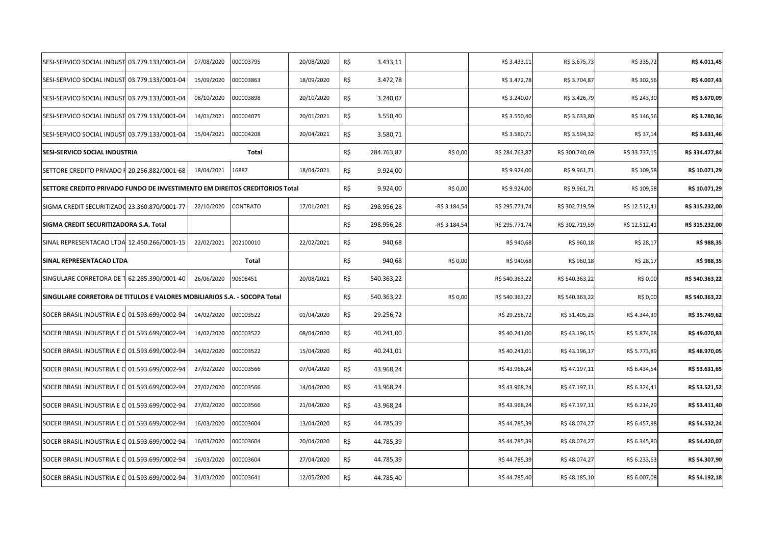| SESI-SERVICO SOCIAL INDUST                                                  | 03.779.133/0001-04 | 07/08/2020 | 000003795       | 20/08/2020 | R\$ | 3.433,11   |               | R\$ 3.433,11   | R\$ 3.675,73   | R\$ 335,72    | R\$ 4.011,45   |
|-----------------------------------------------------------------------------|--------------------|------------|-----------------|------------|-----|------------|---------------|----------------|----------------|---------------|----------------|
| SESI-SERVICO SOCIAL INDUST                                                  | 03.779.133/0001-04 | 15/09/2020 | 000003863       | 18/09/2020 | R\$ | 3.472,78   |               | R\$ 3.472,78   | R\$ 3.704,87   | R\$ 302,56    | R\$4.007,43    |
| SESI-SERVICO SOCIAL INDUST 03.779.133/0001-04                               |                    | 08/10/2020 | 000003898       | 20/10/2020 | R\$ | 3.240,07   |               | R\$ 3.240,07   | R\$ 3.426,79   | R\$ 243,30    | R\$ 3.670,09   |
| SESI-SERVICO SOCIAL INDUST 03.779.133/0001-04                               |                    | 14/01/2021 | 000004075       | 20/01/2021 | R\$ | 3.550,40   |               | R\$ 3.550,40   | R\$ 3.633,80   | R\$ 146,56    | R\$ 3.780,36   |
| SESI-SERVICO SOCIAL INDUST 03.779.133/0001-04                               |                    | 15/04/2021 | 000004208       | 20/04/2021 | R\$ | 3.580,71   |               | R\$ 3.580,71   | R\$ 3.594,32   | R\$ 37,14     | R\$ 3.631,46   |
| SESI-SERVICO SOCIAL INDUSTRIA                                               |                    |            | Total           |            | R\$ | 284.763,87 | R\$ 0,00      | R\$ 284.763,87 | R\$ 300.740,69 | R\$ 33.737,15 | R\$ 334.477,84 |
| SETTORE CREDITO PRIVADO F                                                   | 20.256.882/0001-68 | 18/04/2021 | 16887           | 18/04/2021 | R\$ | 9.924,00   |               | R\$9.924,00    | R\$ 9.961,71   | R\$ 109,58    | R\$ 10.071,29  |
| SETTORE CREDITO PRIVADO FUNDO DE INVESTIMENTO EM DIREITOS CREDITORIOS Total |                    |            |                 |            | R\$ | 9.924,00   | R\$ 0,00      | R\$9.924,00    | R\$ 9.961,71   | R\$ 109,58    | R\$ 10.071,29  |
| SIGMA CREDIT SECURITIZADO 23.360.870/0001-77                                |                    | 22/10/2020 | <b>CONTRATO</b> | 17/01/2021 | R\$ | 298.956,28 | -R\$ 3.184,54 | R\$ 295.771,74 | R\$ 302.719,59 | R\$ 12.512,41 | R\$ 315.232,00 |
| SIGMA CREDIT SECURITIZADORA S.A. Total                                      |                    |            |                 |            | R\$ | 298.956,28 | -R\$ 3.184,54 | R\$ 295.771,74 | R\$ 302.719,59 | R\$ 12.512,41 | R\$ 315.232,00 |
| SINAL REPRESENTACAO LTDA 12.450.266/0001-15                                 |                    | 22/02/2021 | 202100010       | 22/02/2021 | R\$ | 940,68     |               | R\$ 940,68     | R\$ 960,18     | R\$ 28,17     | R\$ 988,35     |
| SINAL REPRESENTACAO LTDA                                                    |                    |            | Total           |            | R\$ | 940,68     | R\$ 0,00      | R\$ 940,68     | R\$ 960,18     | R\$ 28,17     | R\$ 988,35     |
| SINGULARE CORRETORA DE 1 62.285.390/0001-40                                 |                    | 26/06/2020 | 90608451        | 20/08/2021 | R\$ | 540.363,22 |               | R\$ 540.363,22 | R\$ 540.363,22 | R\$ 0,00      | R\$ 540.363,22 |
| SINGULARE CORRETORA DE TITULOS E VALORES MOBILIARIOS S.A. - SOCOPA Total    |                    |            |                 |            | R\$ | 540.363,22 | R\$ 0,00      | R\$ 540.363,22 | R\$ 540.363,22 | R\$ 0,00      | R\$ 540.363,22 |
| SOCER BRASIL INDUSTRIA E C 01.593.699/0002-94                               |                    | 14/02/2020 | 000003522       | 01/04/2020 | R\$ | 29.256,72  |               | R\$ 29.256,72  | R\$ 31.405,23  | R\$4.344,39   | R\$ 35.749,62  |
| SOCER BRASIL INDUSTRIA E C 01.593.699/0002-94                               |                    | 14/02/2020 | 000003522       | 08/04/2020 | R\$ | 40.241,00  |               | R\$40.241,00   | R\$43.196,15   | R\$ 5.874,68  | R\$49.070,83   |
| SOCER BRASIL INDUSTRIA E C 01.593.699/0002-94                               |                    | 14/02/2020 | 000003522       | 15/04/2020 | R\$ | 40.241,01  |               | R\$40.241,01   | R\$43.196,17   | R\$ 5.773,89  | R\$48.970,05   |
| SOCER BRASIL INDUSTRIA E C 01.593.699/0002-94                               |                    | 27/02/2020 | 000003566       | 07/04/2020 | R\$ | 43.968,24  |               | R\$43.968,24   | R\$47.197,11   | R\$ 6.434,54  | R\$ 53.631,65  |
| SOCER BRASIL INDUSTRIA E C 01.593.699/0002-94                               |                    | 27/02/2020 | 000003566       | 14/04/2020 | R\$ | 43.968,24  |               | R\$43.968,24   | R\$47.197,11   | R\$ 6.324,41  | R\$ 53.521,52  |
| SOCER BRASIL INDUSTRIA E C 01.593.699/0002-94                               |                    | 27/02/2020 | 000003566       | 21/04/2020 | R\$ | 43.968,24  |               | R\$43.968,24   | R\$47.197,11   | R\$ 6.214,29  | R\$ 53.411,40  |
| SOCER BRASIL INDUSTRIA E C 01.593.699/0002-94                               |                    | 16/03/2020 | 000003604       | 13/04/2020 | R\$ | 44.785,39  |               | R\$44.785,39   | R\$48.074,27   | R\$ 6.457,98  | R\$ 54.532,24  |
| SOCER BRASIL INDUSTRIA E C 01.593.699/0002-94                               |                    | 16/03/2020 | 000003604       | 20/04/2020 | R\$ | 44.785,39  |               | R\$44.785,39   | R\$48.074,27   | R\$ 6.345,80  | R\$ 54.420,07  |
| SOCER BRASIL INDUSTRIA E C 01.593.699/0002-94                               |                    | 16/03/2020 | 000003604       | 27/04/2020 | R\$ | 44.785,39  |               | R\$44.785,39   | R\$48.074,27   | R\$ 6.233,63  | R\$ 54.307,90  |
| SOCER BRASIL INDUSTRIA E C 01.593.699/0002-94                               |                    | 31/03/2020 | 000003641       | 12/05/2020 | R\$ | 44.785,40  |               | R\$44.785,40   | R\$48.185,10   | R\$ 6.007,08  | R\$ 54.192,18  |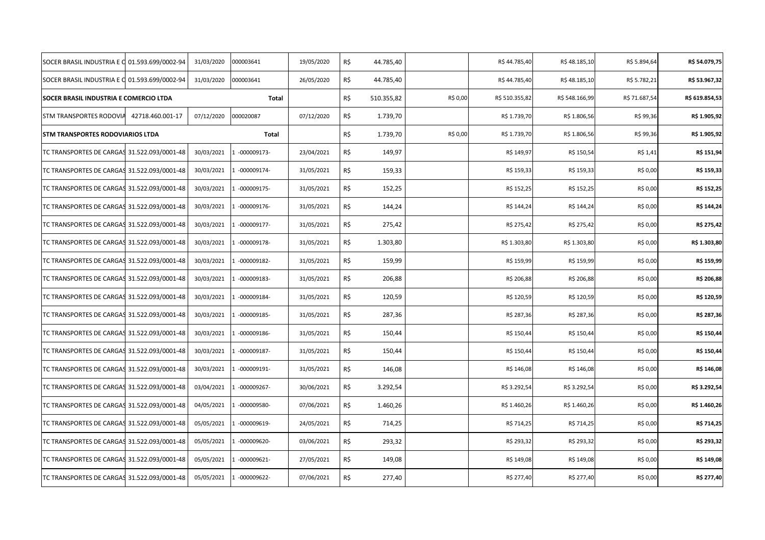| SOCER BRASIL INDUSTRIA E C                    | 01.593.699/0002-94 | 31/03/2020 | 000003641     | 19/05/2020 | R\$ | 44.785,40  |          | R\$44.785,40   | R\$48.185,10   | R\$ 5.894,64  | R\$ 54.079,75  |
|-----------------------------------------------|--------------------|------------|---------------|------------|-----|------------|----------|----------------|----------------|---------------|----------------|
| SOCER BRASIL INDUSTRIA E C 01.593.699/0002-94 |                    | 31/03/2020 | 000003641     | 26/05/2020 | R\$ | 44.785,40  |          | R\$44.785,40   | R\$48.185,10   | R\$ 5.782,21  | R\$ 53.967,32  |
| SOCER BRASIL INDUSTRIA E COMERCIO LTDA        |                    |            | Total         |            | R\$ | 510.355,82 | R\$ 0,00 | R\$ 510.355,82 | R\$ 548.166,99 | R\$ 71.687,54 | R\$ 619.854,53 |
| STM TRANSPORTES RODOVIA                       | 42718.460.001-17   | 07/12/2020 | 000020087     | 07/12/2020 | R\$ | 1.739,70   |          | R\$ 1.739,70   | R\$ 1.806,56   | R\$ 99,36     | R\$ 1.905,92   |
| STM TRANSPORTES RODOVIARIOS LTDA              |                    |            | Total         |            | R\$ | 1.739,70   | R\$ 0,00 | R\$ 1.739,70   | R\$ 1.806,56   | R\$ 99,36     | R\$ 1.905,92   |
| TC TRANSPORTES DE CARGAS 31.522.093/0001-48   |                    | 30/03/2021 | 1 -000009173- | 23/04/2021 | R\$ | 149,97     |          | R\$ 149,97     | R\$ 150,54     | R\$ 1,41      | R\$ 151,94     |
| TC TRANSPORTES DE CARGAS 31.522.093/0001-48   |                    | 30/03/2021 | 1 -000009174- | 31/05/2021 | R\$ | 159,33     |          | R\$ 159,33     | R\$ 159,33     | R\$ 0,00      | R\$ 159,33     |
| TC TRANSPORTES DE CARGAS 31.522.093/0001-48   |                    | 30/03/2021 | 1 -000009175- | 31/05/2021 | R\$ | 152,25     |          | R\$ 152,25     | R\$ 152,25     | R\$ 0,00      | R\$ 152,25     |
| TC TRANSPORTES DE CARGAS 31.522.093/0001-48   |                    | 30/03/2021 | $-000009176-$ | 31/05/2021 | R\$ | 144,24     |          | R\$ 144,24     | R\$ 144,24     | R\$ 0,00      | R\$ 144,24     |
| TC TRANSPORTES DE CARGAS 31.522.093/0001-48   |                    | 30/03/2021 | 1 -000009177- | 31/05/2021 | R\$ | 275,42     |          | R\$ 275,42     | R\$ 275,42     | R\$ 0,00      | R\$ 275,42     |
| TC TRANSPORTES DE CARGAS 31.522.093/0001-48   |                    | 30/03/2021 | 1 -000009178- | 31/05/2021 | R\$ | 1.303,80   |          | R\$ 1.303,80   | R\$ 1.303,80   | R\$ 0,00      | R\$ 1.303,80   |
| TC TRANSPORTES DE CARGAS 31.522.093/0001-48   |                    | 30/03/2021 | 1 -000009182- | 31/05/2021 | R\$ | 159,99     |          | R\$ 159,99     | R\$ 159,99     | R\$ 0,00      | R\$ 159,99     |
| TC TRANSPORTES DE CARGAS 31.522.093/0001-48   |                    | 30/03/2021 | 1 -000009183- | 31/05/2021 | R\$ | 206,88     |          | R\$ 206,88     | R\$ 206,88     | R\$ 0,00      | R\$ 206,88     |
| TC TRANSPORTES DE CARGAS 31.522.093/0001-48   |                    | 30/03/2021 | 1 -000009184- | 31/05/2021 | R\$ | 120,59     |          | R\$ 120,59     | R\$ 120,59     | R\$ 0,00      | R\$ 120,59     |
| TC TRANSPORTES DE CARGAS 31.522.093/0001-48   |                    | 30/03/2021 | 1 -000009185- | 31/05/2021 | R\$ | 287,36     |          | R\$ 287,36     | R\$ 287,36     | R\$ 0,00      | R\$ 287,36     |
| TC TRANSPORTES DE CARGAS 31.522.093/0001-48   |                    | 30/03/2021 | 1 -000009186- | 31/05/2021 | R\$ | 150,44     |          | R\$ 150,44     | R\$ 150,44     | R\$ 0,00      | R\$ 150,44     |
| TC TRANSPORTES DE CARGAS 31.522.093/0001-48   |                    | 30/03/2021 | 1 -000009187- | 31/05/2021 | R\$ | 150,44     |          | R\$ 150,44     | R\$ 150,44     | R\$ 0,00      | R\$ 150,44     |
| TC TRANSPORTES DE CARGAS 31.522.093/0001-48   |                    | 30/03/2021 | $-000009191-$ | 31/05/2021 | R\$ | 146,08     |          | R\$ 146,08     | R\$ 146,08     | R\$ 0,00      | R\$ 146,08     |
| TC TRANSPORTES DE CARGAS 31.522.093/0001-48   |                    | 03/04/2021 | 1 -000009267- | 30/06/2021 | R\$ | 3.292,54   |          | R\$ 3.292,54   | R\$ 3.292,54   | R\$ 0,00      | R\$ 3.292,54   |
| TC TRANSPORTES DE CARGAS 31.522.093/0001-48   |                    | 04/05/2021 | 1 -000009580- | 07/06/2021 | R\$ | 1.460,26   |          | R\$ 1.460,26   | R\$ 1.460,26   | R\$ 0,00      | R\$ 1.460,26   |
| TC TRANSPORTES DE CARGAS 31.522.093/0001-48   |                    | 05/05/2021 | 1 -000009619- | 24/05/2021 | R\$ | 714,25     |          | R\$ 714,25     | R\$ 714,25     | R\$ 0,00      | R\$ 714,25     |
| TC TRANSPORTES DE CARGAS 31.522.093/0001-48   |                    | 05/05/2021 | 1 -000009620- | 03/06/2021 | R\$ | 293,32     |          | R\$ 293,32     | R\$ 293,32     | R\$ 0,00      | R\$ 293,32     |
| TC TRANSPORTES DE CARGAS 31.522.093/0001-48   |                    | 05/05/2021 | 1 -000009621- | 27/05/2021 | R\$ | 149,08     |          | R\$ 149,08     | R\$ 149,08     | R\$ 0,00      | R\$ 149,08     |
| TC TRANSPORTES DE CARGAS 31.522.093/0001-48   |                    | 05/05/2021 | 1 -000009622- | 07/06/2021 | R\$ | 277,40     |          | R\$ 277,40     | R\$ 277,40     | R\$ 0,00      | R\$ 277,40     |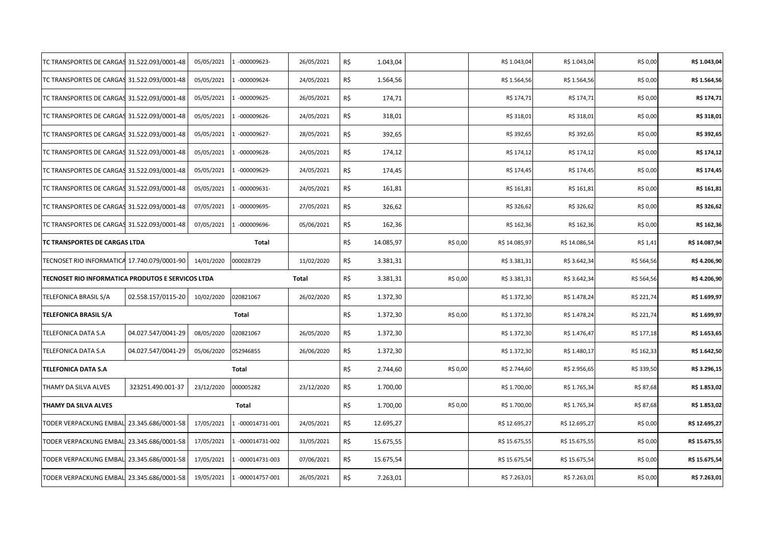| TC TRANSPORTES DE CARGAS 31.522.093/0001-48       |                    | 05/05/2021 | $-000009623-$    | 26/05/2021 | R\$ | 1.043,04  |          | R\$ 1.043,04  | R\$ 1.043,04  | R\$ 0,00   | R\$ 1.043,04  |
|---------------------------------------------------|--------------------|------------|------------------|------------|-----|-----------|----------|---------------|---------------|------------|---------------|
| TC TRANSPORTES DE CARGAS 31.522.093/0001-48       |                    | 05/05/2021 | $-000009624-$    | 24/05/2021 | R\$ | 1.564,56  |          | R\$ 1.564,56  | R\$ 1.564,56  | R\$ 0,00   | R\$ 1.564,56  |
| TC TRANSPORTES DE CARGAS 31.522.093/0001-48       |                    | 05/05/2021 | $-000009625-$    | 26/05/2021 | R\$ | 174,71    |          | R\$ 174,71    | R\$ 174,71    | R\$ 0,00   | R\$ 174,71    |
| TC TRANSPORTES DE CARGAS 31.522.093/0001-48       |                    | 05/05/2021 | 1 -000009626-    | 24/05/2021 | R\$ | 318,01    |          | R\$ 318,01    | R\$ 318,01    | R\$ 0,00   | R\$ 318,01    |
| TC TRANSPORTES DE CARGAS 31.522.093/0001-48       |                    | 05/05/2021 | $-000009627-$    | 28/05/2021 | R\$ | 392,65    |          | R\$ 392,65    | R\$ 392,65    | R\$ 0,00   | R\$ 392,65    |
| TC TRANSPORTES DE CARGAS 31.522.093/0001-48       |                    | 05/05/2021 | $-000009628-$    | 24/05/2021 | R\$ | 174,12    |          | R\$ 174,12    | R\$ 174,12    | R\$ 0,00   | R\$ 174,12    |
| TC TRANSPORTES DE CARGAS 31.522.093/0001-48       |                    | 05/05/2021 | -000009629-      | 24/05/2021 | R\$ | 174,45    |          | R\$ 174,45    | R\$ 174,45    | R\$ 0,00   | R\$ 174,45    |
| TC TRANSPORTES DE CARGAS 31.522.093/0001-48       |                    | 05/05/2021 | $-000009631-$    | 24/05/2021 | R\$ | 161,81    |          | R\$ 161,81    | R\$ 161,81    | R\$ 0,00   | R\$ 161,81    |
| TC TRANSPORTES DE CARGAS 31.522.093/0001-48       |                    | 07/05/2021 | -000009695-      | 27/05/2021 | R\$ | 326,62    |          | R\$ 326,62    | R\$ 326,62    | R\$ 0,00   | R\$ 326,62    |
| TC TRANSPORTES DE CARGAS 31.522.093/0001-48       |                    | 07/05/2021 | $-000009696-$    | 05/06/2021 | R\$ | 162,36    |          | R\$ 162,36    | R\$ 162,36    | R\$ 0,00   | R\$ 162,36    |
| TC TRANSPORTES DE CARGAS LTDA                     |                    |            | Total            |            | R\$ | 14.085,97 | R\$ 0,00 | R\$ 14.085,97 | R\$ 14.086,54 | R\$ 1,41   | R\$ 14.087,94 |
| TECNOSET RIO INFORMATICA 17.740.079/0001-90       |                    | 14/01/2020 | 000028729        | 11/02/2020 | R\$ | 3.381,31  |          | R\$ 3.381,31  | R\$ 3.642,34  | R\$ 564,56 | R\$4.206,90   |
| TECNOSET RIO INFORMATICA PRODUTOS E SERVICOS LTDA |                    |            |                  | Total      | R\$ | 3.381,31  | R\$ 0,00 | R\$ 3.381,31  | R\$ 3.642,34  | R\$ 564,56 | R\$4.206,90   |
| TELEFONICA BRASIL S/A                             | 02.558.157/0115-20 | 10/02/2020 | 020821067        | 26/02/2020 | R\$ | 1.372,30  |          | R\$ 1.372,30  | R\$ 1.478,24  | R\$ 221,74 | R\$ 1.699,97  |
| <b>TELEFONICA BRASIL S/A</b>                      |                    |            | Total            |            | R\$ | 1.372,30  |          | R\$ 1.372,30  | R\$ 1.478,24  | R\$ 221,74 | R\$ 1.699,97  |
|                                                   |                    |            |                  |            |     |           | R\$ 0,00 |               |               |            |               |
| TELEFONICA DATA S.A                               | 04.027.547/0041-29 | 08/05/2020 | 020821067        | 26/05/2020 | R\$ | 1.372,30  |          | R\$ 1.372,30  | R\$ 1.476,47  | R\$ 177,18 | R\$ 1.653,65  |
| TELEFONICA DATA S.A                               | 04.027.547/0041-29 | 05/06/2020 | 052946855        | 26/06/2020 | R\$ | 1.372,30  |          | R\$ 1.372,30  | R\$ 1.480,17  | R\$ 162,33 | R\$ 1.642,50  |
| <b>TELEFONICA DATA S.A</b>                        |                    |            | Total            |            | R\$ | 2.744,60  | R\$ 0,00 | R\$ 2.744,60  | R\$ 2.956,65  | R\$ 339,50 | R\$ 3.296,15  |
| THAMY DA SILVA ALVES                              | 323251.490.001-37  | 23/12/2020 | 000005282        | 23/12/2020 | R\$ | 1.700,00  |          | R\$ 1.700,00  | R\$ 1.765,34  | R\$ 87,68  | R\$ 1.853,02  |
| THAMY DA SILVA ALVES                              |                    |            | Total            |            | R\$ | 1.700,00  | R\$ 0,00 | R\$ 1.700,00  | R\$ 1.765,34  | R\$ 87,68  | R\$ 1.853,02  |
| TODER VERPACKUNG EMBAL 23.345.686/0001-58         |                    | 17/05/2021 | -000014731-001   | 24/05/2021 | R\$ | 12.695,27 |          | R\$ 12.695,27 | R\$ 12.695,27 | R\$ 0,00   | R\$ 12.695,27 |
| TODER VERPACKUNG EMBAL 23.345.686/0001-58         |                    | 17/05/2021 | 1 -000014731-002 | 31/05/2021 | R\$ | 15.675,55 |          | R\$ 15.675,55 | R\$ 15.675,55 | R\$ 0,00   | R\$ 15.675,55 |
| TODER VERPACKUNG EMBAL 23.345.686/0001-58         |                    | 17/05/2021 | -000014731-003   | 07/06/2021 | R\$ | 15.675,54 |          | R\$ 15.675,54 | R\$ 15.675,54 | R\$ 0,00   | R\$ 15.675,54 |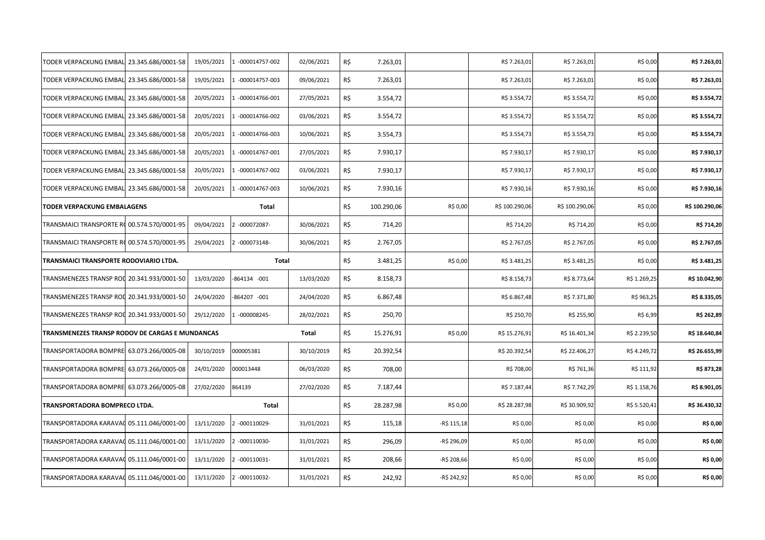| TODER VERPACKUNG EMBAL 23.345.686/0001-58       | 19/05/2021 | -000014757-002     | 02/06/2021 | R\$ | 7.263,01   |             | R\$ 7.263,01   | R\$ 7.263,01   | R\$ 0,00     | R\$ 7.263,01   |
|-------------------------------------------------|------------|--------------------|------------|-----|------------|-------------|----------------|----------------|--------------|----------------|
| TODER VERPACKUNG EMBAL 23.345.686/0001-58       | 19/05/2021 | $-000014757-003$   | 09/06/2021 | R\$ | 7.263,01   |             | R\$ 7.263,01   | R\$ 7.263,01   | R\$ 0,00     | R\$ 7.263,01   |
| TODER VERPACKUNG EMBAL 23.345.686/0001-58       | 20/05/2021 | -000014766-001     | 27/05/2021 | R\$ | 3.554,72   |             | R\$ 3.554,72   | R\$ 3.554,72   | R\$ 0,00     | R\$ 3.554,72   |
| TODER VERPACKUNG EMBAL 23.345.686/0001-58       | 20/05/2021 | -000014766-002     | 03/06/2021 | R\$ | 3.554,72   |             | R\$ 3.554,72   | R\$ 3.554,72   | R\$ 0,00     | R\$ 3.554,72   |
| TODER VERPACKUNG EMBAL 23.345.686/0001-58       | 20/05/2021 | -000014766-003     | 10/06/2021 | R\$ | 3.554,73   |             | R\$ 3.554,73   | R\$ 3.554,73   | R\$ 0,00     | R\$ 3.554,73   |
| TODER VERPACKUNG EMBAL 23.345.686/0001-58       | 20/05/2021 | -000014767-001     | 27/05/2021 | R\$ | 7.930,17   |             | R\$ 7.930,17   | R\$ 7.930,17   | R\$ 0,00     | R\$ 7.930,17   |
| TODER VERPACKUNG EMBAL 23.345.686/0001-58       | 20/05/2021 | $-000014767 - 002$ | 03/06/2021 | R\$ | 7.930,17   |             | R\$ 7.930,17   | R\$ 7.930,17   | R\$ 0,00     | R\$ 7.930,17   |
| TODER VERPACKUNG EMBAL 23.345.686/0001-58       | 20/05/2021 | -000014767-003     | 10/06/2021 | R\$ | 7.930,16   |             | R\$ 7.930,16   | R\$ 7.930,16   | R\$ 0,00     | R\$ 7.930,16   |
| <b>TODER VERPACKUNG EMBALAGENS</b>              |            | Total              |            | R\$ | 100.290,06 | R\$ 0,00    | R\$ 100.290,06 | R\$ 100.290,06 | R\$ 0,00     | R\$ 100.290,06 |
| TRANSMAICI TRANSPORTE R0 00.574.570/0001-95     | 09/04/2021 | $-000072087-$      | 30/06/2021 | R\$ | 714,20     |             | R\$ 714,20     | R\$ 714,20     | R\$ 0,00     | R\$ 714,20     |
| TRANSMAICI TRANSPORTE R0 00.574.570/0001-95     | 29/04/2021 | 2 -000073148-      | 30/06/2021 | R\$ | 2.767,05   |             | R\$ 2.767,05   | R\$ 2.767,05   | R\$ 0,00     | R\$ 2.767,05   |
| TRANSMAICI TRANSPORTE RODOVIARIO LTDA.          |            | Total              |            | R\$ | 3.481,25   | R\$ 0,00    | R\$ 3.481,25   | R\$ 3.481,25   | R\$ 0,00     | R\$ 3.481,25   |
| TRANSMENEZES TRANSP ROL 20.341.933/0001-50      | 13/03/2020 | -864134 -001       | 13/03/2020 | R\$ | 8.158,73   |             | R\$ 8.158,73   | R\$ 8.773,64   | R\$ 1.269,25 | R\$ 10.042,90  |
| TRANSMENEZES TRANSP ROL 20.341.933/0001-50      | 24/04/2020 | -864207 -001       | 24/04/2020 | R\$ | 6.867,48   |             | R\$ 6.867,48   | R\$ 7.371,80   | R\$ 963,25   | R\$ 8.335,05   |
| TRANSMENEZES TRANSP ROL 20.341.933/0001-50      | 29/12/2020 | $-000008245-$      | 28/02/2021 | R\$ | 250,70     |             | R\$ 250,70     | R\$ 255,90     | R\$ 6,99     | R\$ 262,89     |
| TRANSMENEZES TRANSP RODOV DE CARGAS E MUNDANCAS |            |                    | Total      | R\$ | 15.276,91  | R\$ 0,00    | R\$ 15.276,91  | R\$ 16.401,34  | R\$ 2.239,50 | R\$ 18.640,84  |
| TRANSPORTADORA BOMPRE 63.073.266/0005-08        | 30/10/2019 | 000005381          | 30/10/2019 | R\$ | 20.392,54  |             | R\$ 20.392,54  | R\$ 22.406,27  | R\$4.249,72  | R\$ 26.655,99  |
| TRANSPORTADORA BOMPRE 63.073.266/0005-08        | 24/01/2020 | 000013448          | 06/03/2020 | R\$ | 708,00     |             | R\$ 708,00     | R\$ 761,36     | R\$ 111,92   | R\$ 873,28     |
| TRANSPORTADORA BOMPRE 63.073.266/0005-08        | 27/02/2020 | 864139             | 27/02/2020 | R\$ | 7.187,44   |             | R\$ 7.187,44   | R\$ 7.742,29   | R\$ 1.158,76 | R\$ 8.901,05   |
| TRANSPORTADORA BOMPRECO LTDA.                   |            | Total              |            | R\$ | 28.287,98  | R\$ 0,00    | R\$ 28.287,98  | R\$ 30.909,92  | R\$ 5.520,41 | R\$ 36.430,32  |
| TRANSPORTADORA KARAVAC 05.111.046/0001-00       | 13/11/2020 | 2 -000110029-      | 31/01/2021 | R\$ | 115,18     | -R\$ 115,18 | R\$ 0,00       | R\$ 0,00       | R\$ 0,00     | R\$ 0,00       |
| TRANSPORTADORA KARAVA( 05.111.046/0001-00       | 13/11/2020 | 2 -000110030-      | 31/01/2021 | R\$ | 296,09     | -R\$ 296,09 | R\$ 0,00       | R\$ 0,00       | R\$ 0,00     | R\$ 0,00       |
| TRANSPORTADORA KARAVAC 05.111.046/0001-00       | 13/11/2020 | $-000110031-$      | 31/01/2021 | R\$ | 208,66     | -R\$ 208,66 | R\$ 0,00       | R\$ 0,00       | R\$ 0,00     | R\$ 0,00       |
|                                                 |            |                    |            |     |            |             |                |                |              |                |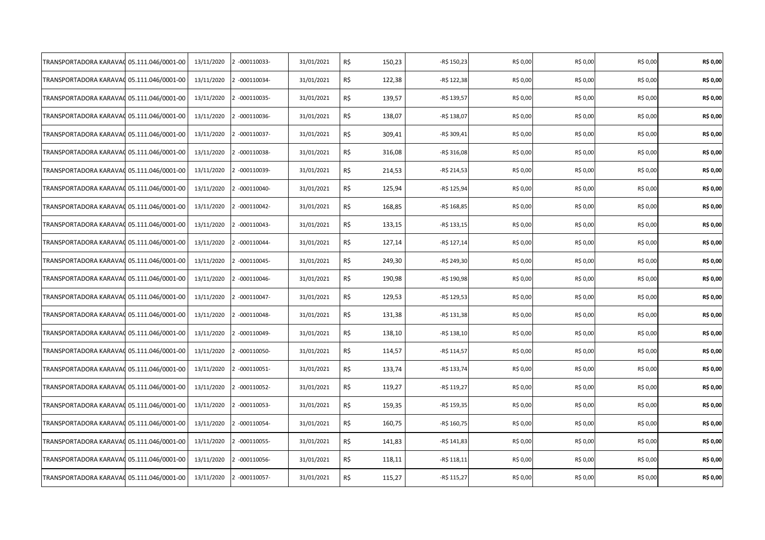| TRANSPORTADORA KARAVAC                    | 05.111.046/0001-00 | 13/11/2020 | 2 -000110033- | 31/01/2021 | R\$<br>150,23 | -R\$ 150,23  | R\$ 0,00 | R\$ 0,00 | R\$ 0,00 | R\$ 0,00 |
|-------------------------------------------|--------------------|------------|---------------|------------|---------------|--------------|----------|----------|----------|----------|
| TRANSPORTADORA KARAVAC                    | 05.111.046/0001-00 | 13/11/2020 | 2 -000110034- | 31/01/2021 | R\$<br>122,38 | -R\$ 122,38  | R\$ 0,00 | R\$ 0,00 | R\$ 0,00 | R\$ 0,00 |
| TRANSPORTADORA KARAVAC 05.111.046/0001-00 |                    | 13/11/2020 | 2 -000110035- | 31/01/2021 | R\$<br>139,57 | -R\$ 139,57  | R\$ 0,00 | R\$ 0,00 | R\$ 0,00 | R\$ 0,00 |
| TRANSPORTADORA KARAVAC                    | 05.111.046/0001-00 | 13/11/2020 | 2 -000110036- | 31/01/2021 | R\$<br>138,07 | -R\$ 138,07  | R\$ 0,00 | R\$ 0,00 | R\$ 0,00 | R\$ 0,00 |
| TRANSPORTADORA KARAVAC                    | 05.111.046/0001-00 | 13/11/2020 | 2 -000110037- | 31/01/2021 | R\$<br>309,41 | -R\$ 309,41  | R\$ 0,00 | R\$ 0,00 | R\$ 0,00 | R\$ 0,00 |
| TRANSPORTADORA KARAVAC                    | 05.111.046/0001-00 | 13/11/2020 | 2 -000110038- | 31/01/2021 | R\$<br>316,08 | $-R$316,08$  | R\$ 0,00 | R\$ 0,00 | R\$ 0,00 | R\$ 0,00 |
| TRANSPORTADORA KARAVA(                    | 05.111.046/0001-00 | 13/11/2020 | 2 -000110039- | 31/01/2021 | R\$<br>214,53 | -R\$ 214,53  | R\$ 0,00 | R\$ 0,00 | R\$ 0,00 | R\$ 0,00 |
| TRANSPORTADORA KARAVAC                    | 05.111.046/0001-00 | 13/11/2020 | 2 -000110040- | 31/01/2021 | R\$<br>125,94 | -R\$ 125,94  | R\$ 0,00 | R\$ 0,00 | R\$ 0,00 | R\$ 0,00 |
| TRANSPORTADORA KARAVAC                    | 05.111.046/0001-00 | 13/11/2020 | 2 -000110042- | 31/01/2021 | R\$<br>168,85 | -R\$ 168,85  | R\$ 0,00 | R\$ 0,00 | R\$ 0,00 | R\$ 0,00 |
| TRANSPORTADORA KARAVAC                    | 05.111.046/0001-00 | 13/11/2020 | 2 -000110043- | 31/01/2021 | R\$<br>133,15 | -R\$ 133,15  | R\$ 0,00 | R\$ 0,00 | R\$ 0,00 | R\$ 0,00 |
| TRANSPORTADORA KARAVAC                    | 05.111.046/0001-00 | 13/11/2020 | 2 -000110044- | 31/01/2021 | R\$<br>127,14 | -R\$ 127,14  | R\$ 0,00 | R\$ 0,00 | R\$ 0,00 | R\$ 0,00 |
| TRANSPORTADORA KARAVAC                    | 05.111.046/0001-00 | 13/11/2020 | 2 -000110045- | 31/01/2021 | R\$<br>249,30 | -R\$ 249,30  | R\$ 0,00 | R\$ 0,00 | R\$ 0,00 | R\$ 0,00 |
| TRANSPORTADORA KARAVAC 05.111.046/0001-00 |                    | 13/11/2020 | 2 -000110046- | 31/01/2021 | R\$<br>190,98 | -R\$ 190,98  | R\$ 0,00 | R\$ 0,00 | R\$ 0,00 | R\$ 0,00 |
| TRANSPORTADORA KARAVAC                    | 05.111.046/0001-00 | 13/11/2020 | 2 -000110047- | 31/01/2021 | R\$<br>129,53 | -R\$ 129,53  | R\$ 0,00 | R\$ 0,00 | R\$ 0,00 | R\$ 0,00 |
| TRANSPORTADORA KARAVAC                    | 05.111.046/0001-00 | 13/11/2020 | 2 -000110048- | 31/01/2021 | R\$<br>131,38 | $-R$ 131,38$ | R\$ 0,00 | R\$ 0,00 | R\$ 0,00 | R\$ 0,00 |
| TRANSPORTADORA KARAVAC                    | 05.111.046/0001-00 | 13/11/2020 | 2 -000110049- | 31/01/2021 | R\$<br>138,10 | -R\$ 138,10  | R\$ 0,00 | R\$ 0,00 | R\$ 0,00 | R\$ 0,00 |
| TRANSPORTADORA KARAVAC                    | 05.111.046/0001-00 | 13/11/2020 | 2 -000110050- | 31/01/2021 | R\$<br>114,57 | -R\$ 114,57  | R\$ 0,00 | R\$ 0,00 | R\$ 0,00 | R\$ 0,00 |
| TRANSPORTADORA KARAVAC                    | 05.111.046/0001-00 | 13/11/2020 | 2 -000110051- | 31/01/2021 | R\$<br>133,74 | -R\$ 133,74  | R\$ 0,00 | R\$ 0,00 | R\$ 0,00 | R\$ 0,00 |
| TRANSPORTADORA KARAVAC                    | 05.111.046/0001-00 | 13/11/2020 | 2 -000110052- | 31/01/2021 | R\$<br>119,27 | -R\$ 119,27  | R\$ 0,00 | R\$ 0,00 | R\$ 0,00 | R\$ 0,00 |
| TRANSPORTADORA KARAVAC                    | 05.111.046/0001-00 | 13/11/2020 | 2 -000110053- | 31/01/2021 | R\$<br>159,35 | -R\$ 159,35  | R\$ 0,00 | R\$ 0,00 | R\$ 0,00 | R\$ 0,00 |
| TRANSPORTADORA KARAVAC                    | 05.111.046/0001-00 | 13/11/2020 | 2 -000110054- | 31/01/2021 | R\$<br>160,75 | -R\$ 160,75  | R\$ 0,00 | R\$ 0,00 | R\$ 0,00 | R\$ 0,00 |
| TRANSPORTADORA KARAVAC                    | 05.111.046/0001-00 | 13/11/2020 | 2 -000110055- | 31/01/2021 | R\$<br>141,83 | -R\$ 141,83  | R\$ 0,00 | R\$ 0,00 | R\$ 0,00 | R\$ 0,00 |
| TRANSPORTADORA KARAVAC                    | 05.111.046/0001-00 | 13/11/2020 | 2 -000110056- | 31/01/2021 | R\$<br>118,11 | -R\$ 118,11  | R\$ 0,00 | R\$ 0,00 | R\$ 0,00 | R\$ 0,00 |
| TRANSPORTADORA KARAVAC                    | 05.111.046/0001-00 | 13/11/2020 | 2 -000110057- | 31/01/2021 | R\$<br>115,27 | -R\$ 115,27  | R\$ 0,00 | R\$ 0,00 | R\$ 0,00 | R\$ 0,00 |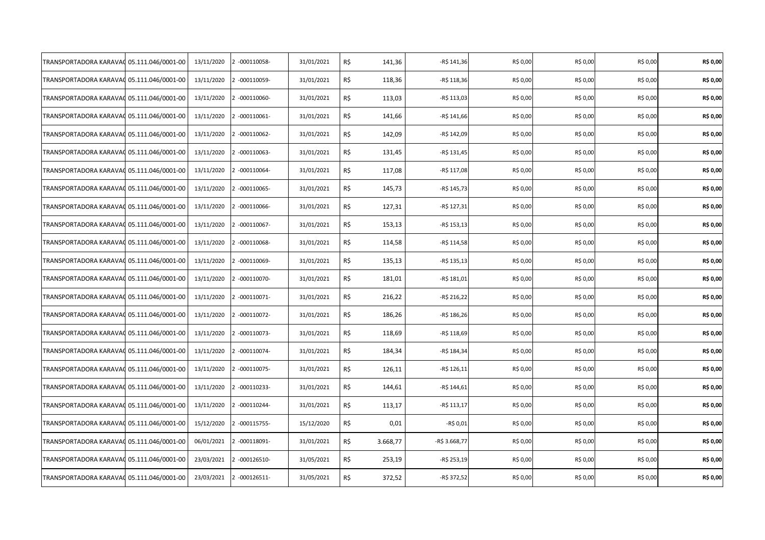| TRANSPORTADORA KARAVAC                    | 05.111.046/0001-00 | 13/11/2020 | 2 -000110058- | 31/01/2021 | R\$ | 141,36   | -R\$ 141,36   | R\$ 0,00 | R\$ 0,00 | R\$ 0,00 | R\$ 0,00 |
|-------------------------------------------|--------------------|------------|---------------|------------|-----|----------|---------------|----------|----------|----------|----------|
| TRANSPORTADORA KARAVAC                    | 05.111.046/0001-00 | 13/11/2020 | 2 -000110059- | 31/01/2021 | R\$ | 118,36   | -R\$ 118,36   | R\$ 0,00 | R\$ 0,00 | R\$ 0,00 | R\$ 0,00 |
| TRANSPORTADORA KARAVAC 05.111.046/0001-00 |                    | 13/11/2020 | 2 -000110060- | 31/01/2021 | R\$ | 113,03   | -R\$ 113,03   | R\$ 0,00 | R\$ 0,00 | R\$ 0,00 | R\$ 0,00 |
| TRANSPORTADORA KARAVAC                    | 05.111.046/0001-00 | 13/11/2020 | 2 -000110061- | 31/01/2021 | R\$ | 141,66   | $-R$ 141,66$  | R\$ 0,00 | R\$ 0,00 | R\$ 0,00 | R\$ 0,00 |
| TRANSPORTADORA KARAVAC                    | 05.111.046/0001-00 | 13/11/2020 | 2 -000110062- | 31/01/2021 | R\$ | 142,09   | -R\$ 142,09   | R\$ 0,00 | R\$ 0,00 | R\$ 0,00 | R\$ 0,00 |
| TRANSPORTADORA KARAVAC                    | 05.111.046/0001-00 | 13/11/2020 | 2 -000110063- | 31/01/2021 | R\$ | 131,45   | -R\$ 131,45   | R\$ 0,00 | R\$ 0,00 | R\$ 0,00 | R\$ 0,00 |
| TRANSPORTADORA KARAVA(                    | 05.111.046/0001-00 | 13/11/2020 | 2 -000110064- | 31/01/2021 | R\$ | 117,08   | -R\$ 117,08   | R\$ 0,00 | R\$ 0,00 | R\$ 0,00 | R\$ 0,00 |
| TRANSPORTADORA KARAVAC                    | 05.111.046/0001-00 | 13/11/2020 | 2 -000110065- | 31/01/2021 | R\$ | 145,73   | -R\$ 145,73   | R\$ 0,00 | R\$ 0,00 | R\$ 0,00 | R\$ 0,00 |
| TRANSPORTADORA KARAVA(                    | 05.111.046/0001-00 | 13/11/2020 | 2 -000110066- | 31/01/2021 | R\$ | 127,31   | -R\$ 127,31   | R\$ 0,00 | R\$ 0,00 | R\$ 0,00 | R\$ 0,00 |
| TRANSPORTADORA KARAVAC                    | 05.111.046/0001-00 | 13/11/2020 | 2 -000110067- | 31/01/2021 | R\$ | 153,13   | -R\$ 153,13   | R\$ 0,00 | R\$ 0,00 | R\$ 0,00 | R\$ 0,00 |
| TRANSPORTADORA KARAVAC                    | 05.111.046/0001-00 | 13/11/2020 | 2 -000110068- | 31/01/2021 | R\$ | 114,58   | -R\$ 114,58   | R\$ 0,00 | R\$ 0,00 | R\$ 0,00 | R\$ 0,00 |
| TRANSPORTADORA KARAVAC                    | 05.111.046/0001-00 | 13/11/2020 | 2 -000110069- | 31/01/2021 | R\$ | 135,13   | -R\$ 135,13   | R\$ 0,00 | R\$ 0,00 | R\$ 0,00 | R\$ 0,00 |
| TRANSPORTADORA KARAVAC                    | 05.111.046/0001-00 | 13/11/2020 | 2 -000110070- | 31/01/2021 | R\$ | 181,01   | $-R$ 181,01$  | R\$ 0,00 | R\$ 0,00 | R\$ 0,00 | R\$ 0,00 |
| TRANSPORTADORA KARAVAC                    | 05.111.046/0001-00 | 13/11/2020 | 2 -000110071- | 31/01/2021 | R\$ | 216,22   | -R\$ 216,22   | R\$ 0,00 | R\$ 0,00 | R\$ 0,00 | R\$ 0,00 |
| TRANSPORTADORA KARAVAC                    | 05.111.046/0001-00 | 13/11/2020 | 2 -000110072- | 31/01/2021 | R\$ | 186,26   | -R\$ 186,26   | R\$ 0,00 | R\$ 0,00 | R\$ 0,00 | R\$ 0,00 |
| TRANSPORTADORA KARAVAC                    | 05.111.046/0001-00 | 13/11/2020 | 2 -000110073- | 31/01/2021 | R\$ | 118,69   | -R\$ 118,69   | R\$ 0,00 | R\$ 0,00 | R\$ 0,00 | R\$ 0,00 |
| TRANSPORTADORA KARAVAC                    | 05.111.046/0001-00 | 13/11/2020 | 2 -000110074- | 31/01/2021 | R\$ | 184,34   | -R\$ 184,34   | R\$ 0,00 | R\$ 0,00 | R\$ 0,00 | R\$ 0,00 |
| TRANSPORTADORA KARAVAC                    | 05.111.046/0001-00 | 13/11/2020 | 2 -000110075- | 31/01/2021 | R\$ | 126,11   | -R\$ 126,11   | R\$ 0,00 | R\$ 0,00 | R\$ 0,00 | R\$ 0,00 |
| TRANSPORTADORA KARAVAC                    | 05.111.046/0001-00 | 13/11/2020 | 2 -000110233- | 31/01/2021 | R\$ | 144,61   | -R\$ 144,61   | R\$ 0,00 | R\$ 0,00 | R\$ 0,00 | R\$ 0,00 |
| TRANSPORTADORA KARAVAC                    | 05.111.046/0001-00 | 13/11/2020 | 2 -000110244- | 31/01/2021 | R\$ | 113,17   | $-R$ 113,17$  | R\$ 0,00 | R\$ 0,00 | R\$ 0,00 | R\$ 0,00 |
| TRANSPORTADORA KARAVAC                    | 05.111.046/0001-00 | 15/12/2020 | 2 -000115755- | 15/12/2020 | R\$ | 0,01     | -R\$ 0,01     | R\$ 0,00 | R\$ 0,00 | R\$ 0,00 | R\$ 0,00 |
| TRANSPORTADORA KARAVAC                    | 05.111.046/0001-00 | 06/01/2021 | 2 -000118091- | 31/01/2021 | R\$ | 3.668,77 | -R\$ 3.668,77 | R\$ 0,00 | R\$ 0,00 | R\$ 0,00 | R\$ 0,00 |
| TRANSPORTADORA KARAVAC                    | 05.111.046/0001-00 | 23/03/2021 | 2 -000126510- | 31/05/2021 | R\$ | 253,19   | -R\$ 253,19   | R\$ 0,00 | R\$ 0,00 | R\$ 0,00 | R\$ 0,00 |
| TRANSPORTADORA KARAVAC                    | 05.111.046/0001-00 | 23/03/2021 | 2 -000126511- | 31/05/2021 | R\$ | 372,52   | -R\$ 372,52   | R\$ 0,00 | R\$ 0,00 | R\$ 0,00 | R\$ 0,00 |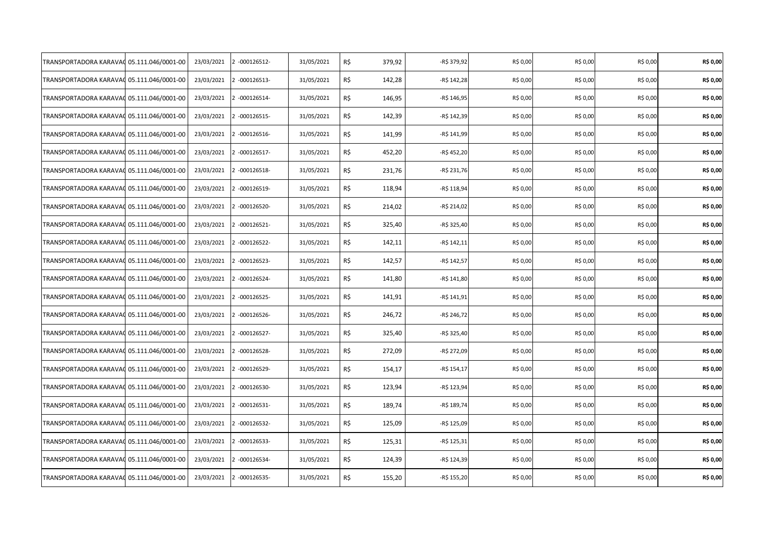| TRANSPORTADORA KARAVAO                    | 05.111.046/0001-00 | 23/03/2021 | 2 -000126512- | 31/05/2021 | R\$<br>379,92 | -R\$ 379,92  | R\$ 0,00 | R\$ 0,00 | R\$ 0,00 | R\$ 0,00 |
|-------------------------------------------|--------------------|------------|---------------|------------|---------------|--------------|----------|----------|----------|----------|
| TRANSPORTADORA KARAVAC                    | 05.111.046/0001-00 | 23/03/2021 | 2 -000126513- | 31/05/2021 | R\$<br>142,28 | -R\$ 142,28  | R\$ 0,00 | R\$ 0,00 | R\$ 0,00 | R\$ 0,00 |
| TRANSPORTADORA KARAVAC 05.111.046/0001-00 |                    | 23/03/2021 | 2 -000126514- | 31/05/2021 | R\$<br>146,95 | -R\$ 146,95  | R\$ 0,00 | R\$ 0,00 | R\$ 0,00 | R\$ 0,00 |
| TRANSPORTADORA KARAVAC                    | 05.111.046/0001-00 | 23/03/2021 | 2 -000126515- | 31/05/2021 | R\$<br>142,39 | -R\$ 142,39  | R\$ 0,00 | R\$ 0,00 | R\$ 0,00 | R\$ 0,00 |
| TRANSPORTADORA KARAVAC                    | 05.111.046/0001-00 | 23/03/2021 | 2 -000126516- | 31/05/2021 | R\$<br>141,99 | -R\$ 141,99  | R\$ 0,00 | R\$ 0,00 | R\$ 0,00 | R\$ 0,00 |
| TRANSPORTADORA KARAVAC                    | 05.111.046/0001-00 | 23/03/2021 | 2 -000126517- | 31/05/2021 | R\$<br>452,20 | -R\$ 452,20  | R\$ 0,00 | R\$ 0,00 | R\$ 0,00 | R\$ 0,00 |
| TRANSPORTADORA KARAVA(                    | 05.111.046/0001-00 | 23/03/2021 | 2 -000126518- | 31/05/2021 | R\$<br>231,76 | -R\$ 231,76  | R\$ 0,00 | R\$ 0,00 | R\$ 0,00 | R\$ 0,00 |
| TRANSPORTADORA KARAVAC                    | 05.111.046/0001-00 | 23/03/2021 | 2 -000126519- | 31/05/2021 | R\$<br>118,94 | -R\$ 118,94  | R\$ 0,00 | R\$ 0,00 | R\$ 0,00 | R\$ 0,00 |
| TRANSPORTADORA KARAVA(                    | 05.111.046/0001-00 | 23/03/2021 | 2 -000126520- | 31/05/2021 | R\$<br>214,02 | -R\$ 214,02  | R\$ 0,00 | R\$ 0,00 | R\$ 0,00 | R\$ 0,00 |
| TRANSPORTADORA KARAVAC                    | 05.111.046/0001-00 | 23/03/2021 | 2 -000126521- | 31/05/2021 | R\$<br>325,40 | -R\$ 325,40  | R\$ 0,00 | R\$ 0,00 | R\$ 0,00 | R\$ 0,00 |
| TRANSPORTADORA KARAVAC                    | 05.111.046/0001-00 | 23/03/2021 | 2 -000126522- | 31/05/2021 | R\$<br>142,11 | -R\$ 142,11  | R\$ 0,00 | R\$ 0,00 | R\$ 0,00 | R\$ 0,00 |
| TRANSPORTADORA KARAVAC                    | 05.111.046/0001-00 | 23/03/2021 | 2 -000126523- | 31/05/2021 | R\$<br>142,57 | -R\$ 142,57  | R\$ 0,00 | R\$ 0,00 | R\$ 0,00 | R\$ 0,00 |
| TRANSPORTADORA KARAVAC                    | 05.111.046/0001-00 | 23/03/2021 | 2 -000126524- | 31/05/2021 | R\$<br>141,80 | $-R$ 141,80$ | R\$ 0,00 | R\$ 0,00 | R\$ 0,00 | R\$ 0,00 |
| TRANSPORTADORA KARAVAC                    | 05.111.046/0001-00 | 23/03/2021 | 2 -000126525- | 31/05/2021 | R\$<br>141,91 | -R\$ 141,91  | R\$ 0,00 | R\$ 0,00 | R\$ 0,00 | R\$ 0,00 |
| TRANSPORTADORA KARAVA(                    | 05.111.046/0001-00 | 23/03/2021 | 2 -000126526- | 31/05/2021 | R\$<br>246,72 | -R\$ 246,72  | R\$ 0,00 | R\$ 0,00 | R\$ 0,00 | R\$ 0,00 |
| TRANSPORTADORA KARAVAC                    | 05.111.046/0001-00 | 23/03/2021 | 2 -000126527- | 31/05/2021 | R\$<br>325,40 | -R\$ 325,40  | R\$ 0,00 | R\$ 0,00 | R\$ 0,00 | R\$ 0,00 |
| TRANSPORTADORA KARAVAC                    | 05.111.046/0001-00 | 23/03/2021 | 2 -000126528- | 31/05/2021 | R\$<br>272,09 | -R\$ 272,09  | R\$ 0,00 | R\$ 0,00 | R\$ 0,00 | R\$ 0,00 |
| TRANSPORTADORA KARAVAC                    | 05.111.046/0001-00 | 23/03/2021 | 2 -000126529- | 31/05/2021 | R\$<br>154,17 | -R\$ 154,17  | R\$ 0,00 | R\$ 0,00 | R\$ 0,00 | R\$ 0,00 |
| TRANSPORTADORA KARAVAC                    | 05.111.046/0001-00 | 23/03/2021 | 2 -000126530- | 31/05/2021 | R\$<br>123,94 | -R\$ 123,94  | R\$ 0,00 | R\$ 0,00 | R\$ 0,00 | R\$ 0,00 |
| TRANSPORTADORA KARAVAC                    | 05.111.046/0001-00 | 23/03/2021 | 2 -000126531- | 31/05/2021 | R\$<br>189,74 | -R\$ 189,74  | R\$ 0,00 | R\$ 0,00 | R\$ 0,00 | R\$ 0,00 |
| TRANSPORTADORA KARAVAC                    | 05.111.046/0001-00 | 23/03/2021 | 2 -000126532- | 31/05/2021 | R\$<br>125,09 | -R\$ 125,09  | R\$ 0,00 | R\$ 0,00 | R\$ 0,00 | R\$ 0,00 |
| TRANSPORTADORA KARAVAC                    | 05.111.046/0001-00 | 23/03/2021 | 2 -000126533- | 31/05/2021 | R\$<br>125,31 | $-R$ 125,31$ | R\$ 0,00 | R\$ 0,00 | R\$ 0,00 | R\$ 0,00 |
| TRANSPORTADORA KARAVAC                    | 05.111.046/0001-00 | 23/03/2021 | 2 -000126534- | 31/05/2021 | R\$<br>124,39 | -R\$ 124,39  | R\$ 0,00 | R\$ 0,00 | R\$ 0,00 | R\$ 0,00 |
| TRANSPORTADORA KARAVAC                    | 05.111.046/0001-00 | 23/03/2021 | 2 -000126535- | 31/05/2021 | R\$<br>155,20 | -R\$ 155,20  | R\$ 0,00 | R\$ 0,00 | R\$ 0,00 | R\$ 0,00 |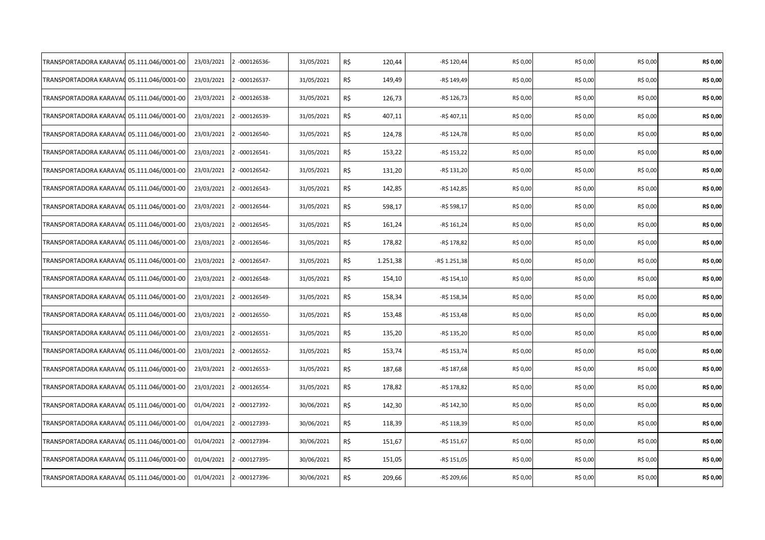| TRANSPORTADORA KARAVAO                    | 05.111.046/0001-00 | 23/03/2021 | 2 -000126536- | 31/05/2021 | R\$ | 120,44   | -R\$ 120,44   | R\$ 0,00 | R\$ 0,00 | R\$ 0,00 | R\$ 0,00 |
|-------------------------------------------|--------------------|------------|---------------|------------|-----|----------|---------------|----------|----------|----------|----------|
| TRANSPORTADORA KARAVAC                    | 05.111.046/0001-00 | 23/03/2021 | 2 -000126537- | 31/05/2021 | R\$ | 149,49   | -R\$ 149,49   | R\$ 0,00 | R\$ 0,00 | R\$ 0,00 | R\$ 0,00 |
| TRANSPORTADORA KARAVAC 05.111.046/0001-00 |                    | 23/03/2021 | 2 -000126538- | 31/05/2021 | R\$ | 126,73   | -R\$ 126,73   | R\$ 0,00 | R\$ 0,00 | R\$ 0,00 | R\$ 0,00 |
| TRANSPORTADORA KARAVAC                    | 05.111.046/0001-00 | 23/03/2021 | 2 -000126539- | 31/05/2021 | R\$ | 407,11   | $-R$407,11$   | R\$ 0,00 | R\$ 0,00 | R\$ 0,00 | R\$ 0,00 |
| TRANSPORTADORA KARAVAC                    | 05.111.046/0001-00 | 23/03/2021 | 2 -000126540- | 31/05/2021 | R\$ | 124,78   | -R\$ 124,78   | R\$ 0,00 | R\$ 0,00 | R\$ 0,00 | R\$ 0,00 |
| TRANSPORTADORA KARAVAC                    | 05.111.046/0001-00 | 23/03/2021 | 2 -000126541- | 31/05/2021 | R\$ | 153,22   | -R\$ 153,22   | R\$ 0,00 | R\$ 0,00 | R\$ 0,00 | R\$ 0,00 |
| TRANSPORTADORA KARAVA(                    | 05.111.046/0001-00 | 23/03/2021 | 2 -000126542- | 31/05/2021 | R\$ | 131,20   | -R\$ 131,20   | R\$ 0,00 | R\$ 0,00 | R\$ 0,00 | R\$ 0,00 |
| TRANSPORTADORA KARAVAC                    | 05.111.046/0001-00 | 23/03/2021 | 2 -000126543- | 31/05/2021 | R\$ | 142,85   | -R\$ 142,85   | R\$ 0,00 | R\$ 0,00 | R\$ 0,00 | R\$ 0,00 |
| TRANSPORTADORA KARAVA(                    | 05.111.046/0001-00 | 23/03/2021 | 2 -000126544- | 31/05/2021 | R\$ | 598,17   | -R\$ 598,17   | R\$ 0,00 | R\$ 0,00 | R\$ 0,00 | R\$ 0,00 |
| TRANSPORTADORA KARAVAC                    | 05.111.046/0001-00 | 23/03/2021 | 2 -000126545- | 31/05/2021 | R\$ | 161,24   | -R\$ 161,24   | R\$ 0,00 | R\$ 0,00 | R\$ 0,00 | R\$ 0,00 |
| TRANSPORTADORA KARAVAO                    | 05.111.046/0001-00 | 23/03/2021 | 2 -000126546- | 31/05/2021 | R\$ | 178,82   | -R\$ 178,82   | R\$ 0,00 | R\$ 0,00 | R\$ 0,00 | R\$ 0,00 |
| TRANSPORTADORA KARAVAC                    | 05.111.046/0001-00 | 23/03/2021 | 2 -000126547- | 31/05/2021 | R\$ | 1.251,38 | -R\$ 1.251,38 | R\$ 0,00 | R\$ 0,00 | R\$ 0,00 | R\$ 0,00 |
| TRANSPORTADORA KARAVAC                    | 05.111.046/0001-00 | 23/03/2021 | 2 -000126548- | 31/05/2021 | R\$ | 154,10   | -R\$ 154,10   | R\$ 0,00 | R\$ 0,00 | R\$ 0,00 | R\$ 0,00 |
| TRANSPORTADORA KARAVAC                    | 05.111.046/0001-00 | 23/03/2021 | 2 -000126549- | 31/05/2021 | R\$ | 158,34   | -R\$ 158,34   | R\$ 0,00 | R\$ 0,00 | R\$ 0,00 | R\$ 0,00 |
| TRANSPORTADORA KARAVA(                    | 05.111.046/0001-00 | 23/03/2021 | 2 -000126550- | 31/05/2021 | R\$ | 153,48   | $-R$ 153,48$  | R\$ 0,00 | R\$ 0,00 | R\$ 0,00 | R\$ 0,00 |
| TRANSPORTADORA KARAVAC                    | 05.111.046/0001-00 | 23/03/2021 | 2 -000126551- | 31/05/2021 | R\$ | 135,20   | -R\$ 135,20   | R\$ 0,00 | R\$ 0,00 | R\$ 0,00 | R\$ 0,00 |
| TRANSPORTADORA KARAVAC                    | 05.111.046/0001-00 | 23/03/2021 | 2 -000126552- | 31/05/2021 | R\$ | 153,74   | -R\$ 153,74   | R\$ 0,00 | R\$ 0,00 | R\$ 0,00 | R\$ 0,00 |
| TRANSPORTADORA KARAVAC                    | 05.111.046/0001-00 | 23/03/2021 | 2 -000126553- | 31/05/2021 | R\$ | 187,68   | -R\$ 187,68   | R\$ 0,00 | R\$ 0,00 | R\$ 0,00 | R\$ 0,00 |
| TRANSPORTADORA KARAVAC                    | 05.111.046/0001-00 | 23/03/2021 | 2 -000126554- | 31/05/2021 | R\$ | 178,82   | -R\$ 178,82   | R\$ 0,00 | R\$ 0,00 | R\$ 0,00 | R\$ 0,00 |
| TRANSPORTADORA KARAVAC                    | 05.111.046/0001-00 | 01/04/2021 | 2 -000127392- | 30/06/2021 | R\$ | 142,30   | -R\$ 142,30   | R\$ 0,00 | R\$ 0,00 | R\$ 0,00 | R\$ 0,00 |
| TRANSPORTADORA KARAVAC                    | 05.111.046/0001-00 | 01/04/2021 | 2 -000127393- | 30/06/2021 | R\$ | 118,39   | -R\$ 118,39   | R\$ 0,00 | R\$ 0,00 | R\$ 0,00 | R\$ 0,00 |
| TRANSPORTADORA KARAVAC                    | 05.111.046/0001-00 | 01/04/2021 | 2 -000127394- | 30/06/2021 | R\$ | 151,67   | -R\$ 151,67   | R\$ 0,00 | R\$ 0,00 | R\$ 0,00 | R\$ 0,00 |
| TRANSPORTADORA KARAVAC                    | 05.111.046/0001-00 | 01/04/2021 | 2 -000127395- | 30/06/2021 | R\$ | 151,05   | -R\$ 151,05   | R\$ 0,00 | R\$ 0,00 | R\$ 0,00 | R\$ 0,00 |
| TRANSPORTADORA KARAVAC                    | 05.111.046/0001-00 | 01/04/2021 | 2 -000127396- | 30/06/2021 | R\$ | 209,66   | -R\$ 209,66   | R\$ 0,00 | R\$ 0,00 | R\$ 0,00 | R\$ 0,00 |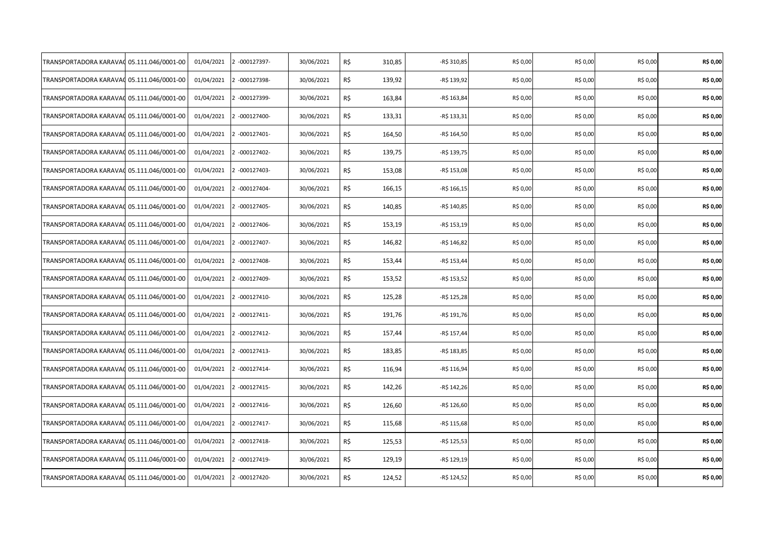| TRANSPORTADORA KARAVAO | 05.111.046/0001-00 | 01/04/2021 | 2 -000127397- | 30/06/2021 | R\$<br>310,85 | -R\$ 310,85  | R\$ 0,00 | R\$ 0,00 | R\$ 0,00 | R\$ 0,00 |
|------------------------|--------------------|------------|---------------|------------|---------------|--------------|----------|----------|----------|----------|
| TRANSPORTADORA KARAVAC | 05.111.046/0001-00 | 01/04/2021 | 2 -000127398- | 30/06/2021 | R\$<br>139,92 | -R\$ 139,92  | R\$ 0,00 | R\$ 0,00 | R\$ 0,00 | R\$ 0,00 |
| TRANSPORTADORA KARAVAC | 05.111.046/0001-00 | 01/04/2021 | 2 -000127399- | 30/06/2021 | R\$<br>163,84 | -R\$ 163,84  | R\$ 0,00 | R\$ 0,00 | R\$ 0,00 | R\$ 0,00 |
| TRANSPORTADORA KARAVAC | 05.111.046/0001-00 | 01/04/2021 | 2 -000127400- | 30/06/2021 | R\$<br>133,31 | -R\$ 133,31  | R\$ 0,00 | R\$ 0,00 | R\$ 0,00 | R\$ 0,00 |
| TRANSPORTADORA KARAVAC | 05.111.046/0001-00 | 01/04/2021 | 2 -000127401- | 30/06/2021 | R\$<br>164,50 | -R\$ 164,50  | R\$ 0,00 | R\$ 0,00 | R\$ 0,00 | R\$ 0,00 |
| TRANSPORTADORA KARAVAC | 05.111.046/0001-00 | 01/04/2021 | 2 -000127402- | 30/06/2021 | R\$<br>139,75 | -R\$ 139,75  | R\$ 0,00 | R\$ 0,00 | R\$ 0,00 | R\$ 0,00 |
| TRANSPORTADORA KARAVAO | 05.111.046/0001-00 | 01/04/2021 | 2 -000127403- | 30/06/2021 | R\$<br>153,08 | -R\$ 153,08  | R\$ 0,00 | R\$ 0,00 | R\$ 0,00 | R\$ 0,00 |
| TRANSPORTADORA KARAVAC | 05.111.046/0001-00 | 01/04/2021 | 2 -000127404- | 30/06/2021 | R\$<br>166,15 | $-R$ 166,15$ | R\$ 0,00 | R\$ 0,00 | R\$ 0,00 | R\$ 0,00 |
| TRANSPORTADORA KARAVAC | 05.111.046/0001-00 | 01/04/2021 | 2 -000127405- | 30/06/2021 | R\$<br>140,85 | -R\$ 140,85  | R\$ 0,00 | R\$ 0,00 | R\$ 0,00 | R\$ 0,00 |
| TRANSPORTADORA KARAVAC | 05.111.046/0001-00 | 01/04/2021 | 2 -000127406- | 30/06/2021 | R\$<br>153,19 | -R\$ 153,19  | R\$ 0,00 | R\$ 0,00 | R\$ 0,00 | R\$ 0,00 |
| TRANSPORTADORA KARAVAC | 05.111.046/0001-00 | 01/04/2021 | 2 -000127407- | 30/06/2021 | R\$<br>146,82 | -R\$ 146,82  | R\$ 0,00 | R\$ 0,00 | R\$ 0,00 | R\$ 0,00 |
| TRANSPORTADORA KARAVAC | 05.111.046/0001-00 | 01/04/2021 | 2 -000127408- | 30/06/2021 | R\$<br>153,44 | -R\$ 153,44  | R\$ 0,00 | R\$ 0,00 | R\$ 0,00 | R\$ 0,00 |
| TRANSPORTADORA KARAVAC | 05.111.046/0001-00 | 01/04/2021 | 2 -000127409- | 30/06/2021 | R\$<br>153,52 | -R\$ 153,52  | R\$ 0,00 | R\$ 0,00 | R\$ 0,00 | R\$ 0,00 |
| TRANSPORTADORA KARAVAC | 05.111.046/0001-00 | 01/04/2021 | 2 -000127410- | 30/06/2021 | R\$<br>125,28 | -R\$ 125,28  | R\$ 0,00 | R\$ 0,00 | R\$ 0,00 | R\$ 0,00 |
| TRANSPORTADORA KARAVAG | 05.111.046/0001-00 | 01/04/2021 | 2 -000127411- | 30/06/2021 | R\$<br>191,76 | -R\$ 191,76  | R\$ 0,00 | R\$ 0,00 | R\$ 0,00 | R\$ 0,00 |
| TRANSPORTADORA KARAVAO | 05.111.046/0001-00 | 01/04/2021 | 2 -000127412- | 30/06/2021 | R\$<br>157,44 | -R\$ 157,44  | R\$ 0,00 | R\$ 0,00 | R\$ 0,00 | R\$ 0,00 |
| TRANSPORTADORA KARAVAC | 05.111.046/0001-00 | 01/04/2021 | 2 -000127413- | 30/06/2021 | R\$<br>183,85 | -R\$ 183,85  | R\$ 0,00 | R\$ 0,00 | R\$ 0,00 | R\$ 0,00 |
| TRANSPORTADORA KARAVAC | 05.111.046/0001-00 | 01/04/2021 | 2 -000127414- | 30/06/2021 | R\$<br>116,94 | -R\$ 116,94  | R\$ 0,00 | R\$ 0,00 | R\$ 0,00 | R\$ 0,00 |
| TRANSPORTADORA KARAVAC | 05.111.046/0001-00 | 01/04/2021 | 2 -000127415- | 30/06/2021 | R\$<br>142,26 | -R\$ 142,26  | R\$ 0,00 | R\$ 0,00 | R\$ 0,00 | R\$ 0,00 |
| TRANSPORTADORA KARAVAC | 05.111.046/0001-00 | 01/04/2021 | 2 -000127416- | 30/06/2021 | R\$<br>126,60 | -R\$ 126,60  | R\$ 0,00 | R\$ 0,00 | R\$ 0,00 | R\$ 0,00 |
| TRANSPORTADORA KARAVAC | 05.111.046/0001-00 | 01/04/2021 | 2 -000127417- | 30/06/2021 | R\$<br>115,68 | -R\$ 115,68  | R\$ 0,00 | R\$ 0,00 | R\$ 0,00 | R\$ 0,00 |
| TRANSPORTADORA KARAVAC | 05.111.046/0001-00 | 01/04/2021 | 2 -000127418- | 30/06/2021 | R\$<br>125,53 | -R\$ 125,53  | R\$ 0,00 | R\$ 0,00 | R\$ 0,00 | R\$ 0,00 |
| TRANSPORTADORA KARAVA( | 05.111.046/0001-00 | 01/04/2021 | 2 -000127419- | 30/06/2021 | R\$<br>129,19 | -R\$ 129,19  | R\$ 0,00 | R\$ 0,00 | R\$ 0,00 | R\$ 0,00 |
| TRANSPORTADORA KARAVA( | 05.111.046/0001-00 | 01/04/2021 | 2 -000127420- | 30/06/2021 | R\$<br>124,52 | -R\$ 124,52  | R\$ 0,00 | R\$ 0,00 | R\$ 0,00 | R\$ 0,00 |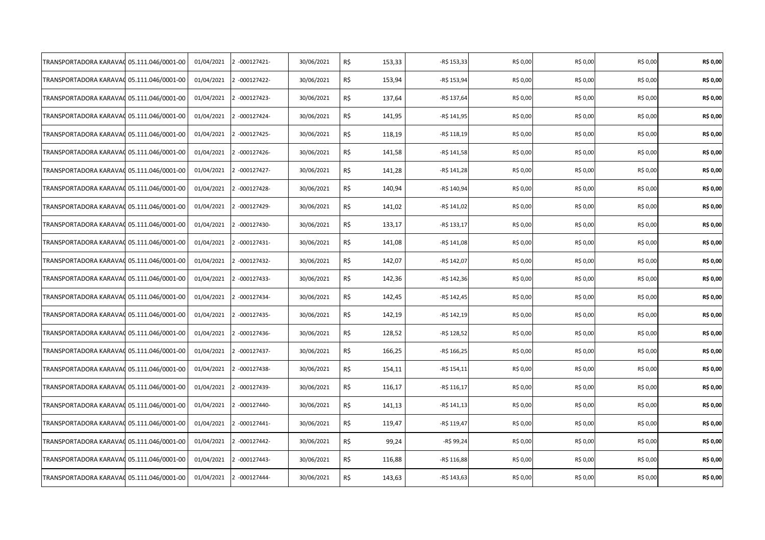| TRANSPORTADORA KARAVAO | 05.111.046/0001-00 | 01/04/2021 | 2 -000127421- | 30/06/2021 | R\$<br>153,33 | -R\$ 153,33  | R\$ 0,00 | R\$ 0,00 | R\$ 0,00 | R\$ 0,00 |
|------------------------|--------------------|------------|---------------|------------|---------------|--------------|----------|----------|----------|----------|
| TRANSPORTADORA KARAVAC | 05.111.046/0001-00 | 01/04/2021 | 2 -000127422- | 30/06/2021 | R\$<br>153,94 | -R\$ 153,94  | R\$ 0,00 | R\$ 0,00 | R\$ 0,00 | R\$ 0,00 |
| TRANSPORTADORA KARAVAC | 05.111.046/0001-00 | 01/04/2021 | 2 -000127423- | 30/06/2021 | R\$<br>137,64 | -R\$ 137,64  | R\$ 0,00 | R\$ 0,00 | R\$ 0,00 | R\$ 0,00 |
| TRANSPORTADORA KARAVAC | 05.111.046/0001-00 | 01/04/2021 | 2 -000127424- | 30/06/2021 | R\$<br>141,95 | -R\$ 141,95  | R\$ 0,00 | R\$ 0,00 | R\$ 0,00 | R\$ 0,00 |
| TRANSPORTADORA KARAVAC | 05.111.046/0001-00 | 01/04/2021 | 2 -000127425- | 30/06/2021 | R\$<br>118,19 | $-R$ 118,19$ | R\$ 0,00 | R\$ 0,00 | R\$ 0,00 | R\$ 0,00 |
| TRANSPORTADORA KARAVAC | 05.111.046/0001-00 | 01/04/2021 | 2 -000127426- | 30/06/2021 | R\$<br>141,58 | -R\$ 141,58  | R\$ 0,00 | R\$ 0,00 | R\$ 0,00 | R\$ 0,00 |
| TRANSPORTADORA KARAVAO | 05.111.046/0001-00 | 01/04/2021 | 2 -000127427- | 30/06/2021 | R\$<br>141,28 | $-R$ 141,28$ | R\$ 0,00 | R\$ 0,00 | R\$ 0,00 | R\$ 0,00 |
| TRANSPORTADORA KARAVAC | 05.111.046/0001-00 | 01/04/2021 | 2 -000127428- | 30/06/2021 | R\$<br>140,94 | -R\$ 140,94  | R\$ 0,00 | R\$ 0,00 | R\$ 0,00 | R\$ 0,00 |
| TRANSPORTADORA KARAVAC | 05.111.046/0001-00 | 01/04/2021 | 2 -000127429- | 30/06/2021 | R\$<br>141,02 | -R\$ 141,02  | R\$ 0,00 | R\$ 0,00 | R\$ 0,00 | R\$ 0,00 |
| TRANSPORTADORA KARAVAC | 05.111.046/0001-00 | 01/04/2021 | 2 -000127430- | 30/06/2021 | R\$<br>133,17 | -R\$ 133,17  | R\$ 0,00 | R\$ 0,00 | R\$ 0,00 | R\$ 0,00 |
| TRANSPORTADORA KARAVAC | 05.111.046/0001-00 | 01/04/2021 | 2 -000127431- | 30/06/2021 | R\$<br>141,08 | -R\$ 141,08  | R\$ 0,00 | R\$ 0,00 | R\$ 0,00 | R\$ 0,00 |
| TRANSPORTADORA KARAVAC | 05.111.046/0001-00 | 01/04/2021 | 2 -000127432- | 30/06/2021 | R\$<br>142,07 | -R\$ 142,07  | R\$ 0,00 | R\$ 0,00 | R\$ 0,00 | R\$ 0,00 |
| TRANSPORTADORA KARAVAC | 05.111.046/0001-00 | 01/04/2021 | 2 -000127433- | 30/06/2021 | R\$<br>142,36 | -R\$ 142,36  | R\$ 0,00 | R\$ 0,00 | R\$ 0,00 | R\$ 0,00 |
| TRANSPORTADORA KARAVAC | 05.111.046/0001-00 | 01/04/2021 | 2 -000127434- | 30/06/2021 | R\$<br>142,45 | -R\$ 142,45  | R\$ 0,00 | R\$ 0,00 | R\$ 0,00 | R\$ 0,00 |
| TRANSPORTADORA KARAVAG | 05.111.046/0001-00 | 01/04/2021 | 2 -000127435- | 30/06/2021 | R\$<br>142,19 | -R\$ 142,19  | R\$ 0,00 | R\$ 0,00 | R\$ 0,00 | R\$ 0,00 |
| TRANSPORTADORA KARAVAO | 05.111.046/0001-00 | 01/04/2021 | 2 -000127436- | 30/06/2021 | R\$<br>128,52 | -R\$ 128,52  | R\$ 0,00 | R\$ 0,00 | R\$ 0,00 | R\$ 0,00 |
| TRANSPORTADORA KARAVAC | 05.111.046/0001-00 | 01/04/2021 | 2 -000127437- | 30/06/2021 | R\$<br>166,25 | -R\$ 166,25  | R\$ 0,00 | R\$ 0,00 | R\$ 0,00 | R\$ 0,00 |
| TRANSPORTADORA KARAVAC | 05.111.046/0001-00 | 01/04/2021 | 2 -000127438- | 30/06/2021 | R\$<br>154,11 | -R\$ 154,11  | R\$ 0,00 | R\$ 0,00 | R\$ 0,00 | R\$ 0,00 |
| TRANSPORTADORA KARAVAC | 05.111.046/0001-00 | 01/04/2021 | 2 -000127439- | 30/06/2021 | R\$<br>116,17 | $-R$ 116,17$ | R\$ 0,00 | R\$ 0,00 | R\$ 0,00 | R\$ 0,00 |
| TRANSPORTADORA KARAVAC | 05.111.046/0001-00 | 01/04/2021 | 2 -000127440- | 30/06/2021 | R\$<br>141,13 | -R\$ 141,13  | R\$ 0,00 | R\$ 0,00 | R\$ 0,00 | R\$ 0,00 |
| TRANSPORTADORA KARAVAC | 05.111.046/0001-00 | 01/04/2021 | 2 -000127441- | 30/06/2021 | R\$<br>119,47 | -R\$ 119,47  | R\$ 0,00 | R\$ 0,00 | R\$ 0,00 | R\$ 0,00 |
| TRANSPORTADORA KARAVAC | 05.111.046/0001-00 | 01/04/2021 | 2 -000127442- | 30/06/2021 | R\$<br>99,24  | -R\$ 99,24   | R\$ 0,00 | R\$ 0,00 | R\$ 0,00 | R\$ 0,00 |
| TRANSPORTADORA KARAVA( | 05.111.046/0001-00 | 01/04/2021 | 2 -000127443- | 30/06/2021 | R\$<br>116,88 | -R\$ 116,88  | R\$ 0,00 | R\$ 0,00 | R\$ 0,00 | R\$ 0,00 |
| TRANSPORTADORA KARAVA( | 05.111.046/0001-00 | 01/04/2021 | 2 -000127444- | 30/06/2021 | R\$<br>143,63 | -R\$ 143,63  | R\$ 0,00 | R\$ 0,00 | R\$ 0,00 | R\$ 0,00 |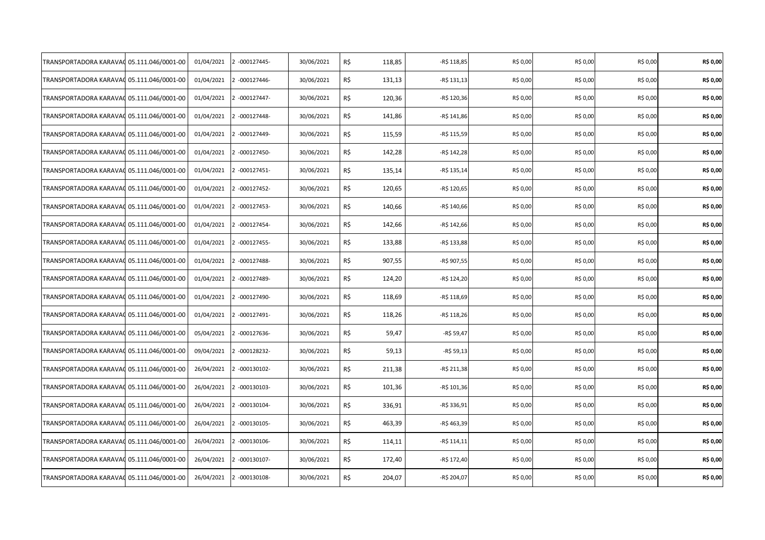| TRANSPORTADORA KARAVAO                    | 05.111.046/0001-00 | 01/04/2021 | 2 -000127445- | 30/06/2021 | R\$<br>118,85 | -R\$ 118,85  | R\$ 0,00 | R\$ 0,00 | R\$ 0,00 | R\$ 0,00 |
|-------------------------------------------|--------------------|------------|---------------|------------|---------------|--------------|----------|----------|----------|----------|
| TRANSPORTADORA KARAVAC                    | 05.111.046/0001-00 | 01/04/2021 | 2 -000127446- | 30/06/2021 | R\$<br>131,13 | -R\$ 131,13  | R\$ 0,00 | R\$ 0,00 | R\$ 0,00 | R\$ 0,00 |
| TRANSPORTADORA KARAVAC 05.111.046/0001-00 |                    | 01/04/2021 | 2 -000127447- | 30/06/2021 | R\$<br>120,36 | -R\$ 120,36  | R\$ 0,00 | R\$ 0,00 | R\$ 0,00 | R\$ 0,00 |
| TRANSPORTADORA KARAVAC                    | 05.111.046/0001-00 | 01/04/2021 | 2 -000127448- | 30/06/2021 | R\$<br>141,86 | $-R$ 141,86$ | R\$ 0,00 | R\$ 0,00 | R\$ 0,00 | R\$ 0,00 |
| TRANSPORTADORA KARAVAC                    | 05.111.046/0001-00 | 01/04/2021 | 2 -000127449- | 30/06/2021 | R\$<br>115,59 | -R\$ 115,59  | R\$ 0,00 | R\$ 0,00 | R\$ 0,00 | R\$ 0,00 |
| TRANSPORTADORA KARAVAC                    | 05.111.046/0001-00 | 01/04/2021 | 2 -000127450- | 30/06/2021 | R\$<br>142,28 | -R\$ 142,28  | R\$ 0,00 | R\$ 0,00 | R\$ 0,00 | R\$ 0,00 |
| TRANSPORTADORA KARAVA(                    | 05.111.046/0001-00 | 01/04/2021 | 2 -000127451- | 30/06/2021 | R\$<br>135,14 | -R\$ 135,14  | R\$ 0,00 | R\$ 0,00 | R\$ 0,00 | R\$ 0,00 |
| TRANSPORTADORA KARAVAC                    | 05.111.046/0001-00 | 01/04/2021 | 2 -000127452- | 30/06/2021 | R\$<br>120,65 | -R\$ 120,65  | R\$ 0,00 | R\$ 0,00 | R\$ 0,00 | R\$ 0,00 |
| TRANSPORTADORA KARAVA(                    | 05.111.046/0001-00 | 01/04/2021 | 2 -000127453- | 30/06/2021 | R\$<br>140,66 | -R\$ 140,66  | R\$ 0,00 | R\$ 0,00 | R\$ 0,00 | R\$ 0,00 |
| TRANSPORTADORA KARAVAC                    | 05.111.046/0001-00 | 01/04/2021 | 2 -000127454- | 30/06/2021 | R\$<br>142,66 | -R\$ 142,66  | R\$ 0,00 | R\$ 0,00 | R\$ 0,00 | R\$ 0,00 |
| TRANSPORTADORA KARAVAC                    | 05.111.046/0001-00 | 01/04/2021 | 2 -000127455- | 30/06/2021 | R\$<br>133,88 | -R\$ 133,88  | R\$ 0,00 | R\$ 0,00 | R\$ 0,00 | R\$ 0,00 |
| TRANSPORTADORA KARAVAC                    | 05.111.046/0001-00 | 01/04/2021 | 2 -000127488- | 30/06/2021 | R\$<br>907,55 | -R\$ 907,55  | R\$ 0,00 | R\$ 0,00 | R\$ 0,00 | R\$ 0,00 |
| TRANSPORTADORA KARAVAC                    | 05.111.046/0001-00 | 01/04/2021 | 2 -000127489- | 30/06/2021 | R\$<br>124,20 | -R\$ 124,20  | R\$ 0,00 | R\$ 0,00 | R\$ 0,00 | R\$ 0,00 |
| TRANSPORTADORA KARAVAC                    | 05.111.046/0001-00 | 01/04/2021 | 2 -000127490- | 30/06/2021 | R\$<br>118,69 | -R\$ 118,69  | R\$ 0,00 | R\$ 0,00 | R\$ 0,00 | R\$ 0,00 |
| TRANSPORTADORA KARAVA(                    | 05.111.046/0001-00 | 01/04/2021 | 2 -000127491- | 30/06/2021 | R\$<br>118,26 | -R\$ 118,26  | R\$ 0,00 | R\$ 0,00 | R\$ 0,00 | R\$ 0,00 |
| TRANSPORTADORA KARAVAC                    | 05.111.046/0001-00 | 05/04/2021 | 2 -000127636- | 30/06/2021 | R\$<br>59,47  | -R\$ 59,47   | R\$ 0,00 | R\$ 0,00 | R\$ 0,00 | R\$ 0,00 |
| TRANSPORTADORA KARAVAC                    | 05.111.046/0001-00 | 09/04/2021 | 2 -000128232- | 30/06/2021 | R\$<br>59,13  | -R\$ 59,13   | R\$ 0,00 | R\$ 0,00 | R\$ 0,00 | R\$ 0,00 |
| TRANSPORTADORA KARAVAC                    | 05.111.046/0001-00 | 26/04/2021 | 2 -000130102- | 30/06/2021 | R\$<br>211,38 | -R\$ 211,38  | R\$ 0,00 | R\$ 0,00 | R\$ 0,00 | R\$ 0,00 |
| TRANSPORTADORA KARAVAC                    | 05.111.046/0001-00 | 26/04/2021 | 2 -000130103- | 30/06/2021 | R\$<br>101,36 | -R\$ 101,36  | R\$ 0,00 | R\$ 0,00 | R\$ 0,00 | R\$ 0,00 |
| TRANSPORTADORA KARAVAC                    | 05.111.046/0001-00 | 26/04/2021 | 2 -000130104- | 30/06/2021 | R\$<br>336,91 | -R\$ 336,91  | R\$ 0,00 | R\$ 0,00 | R\$ 0,00 | R\$ 0,00 |
| TRANSPORTADORA KARAVAC                    | 05.111.046/0001-00 | 26/04/2021 | 2 -000130105- | 30/06/2021 | R\$<br>463,39 | -R\$ 463,39  | R\$ 0,00 | R\$ 0,00 | R\$ 0,00 | R\$ 0,00 |
| TRANSPORTADORA KARAVAC                    | 05.111.046/0001-00 | 26/04/2021 | 2 -000130106- | 30/06/2021 | R\$<br>114,11 | -R\$ 114,11  | R\$ 0,00 | R\$ 0,00 | R\$ 0,00 | R\$ 0,00 |
| TRANSPORTADORA KARAVAC                    | 05.111.046/0001-00 | 26/04/2021 | 2 -000130107- | 30/06/2021 | R\$<br>172,40 | -R\$ 172,40  | R\$ 0,00 | R\$ 0,00 | R\$ 0,00 | R\$ 0,00 |
| TRANSPORTADORA KARAVAC                    | 05.111.046/0001-00 | 26/04/2021 | 2 -000130108- | 30/06/2021 | R\$<br>204,07 | -R\$ 204,07  | R\$ 0,00 | R\$ 0,00 | R\$ 0,00 | R\$ 0,00 |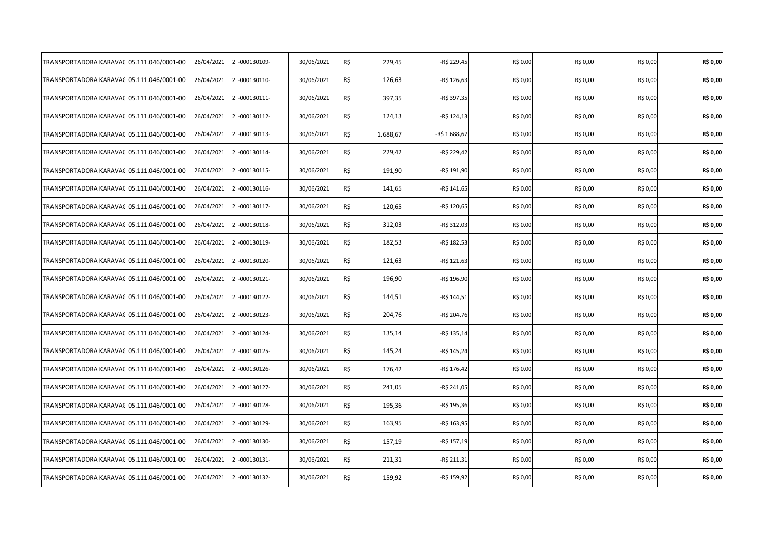| TRANSPORTADORA KARAVAO | 05.111.046/0001-00 | 26/04/2021 | 2 -000130109- | 30/06/2021 | R\$ | 229,45   | -R\$ 229,45   | R\$ 0,00 | R\$ 0,00 | R\$ 0,00 | R\$ 0,00 |
|------------------------|--------------------|------------|---------------|------------|-----|----------|---------------|----------|----------|----------|----------|
| TRANSPORTADORA KARAVAC | 05.111.046/0001-00 | 26/04/2021 | 2 -000130110- | 30/06/2021 | R\$ | 126,63   | -R\$ 126,63   | R\$ 0,00 | R\$ 0,00 | R\$ 0,00 | R\$ 0,00 |
| TRANSPORTADORA KARAVAC | 05.111.046/0001-00 | 26/04/2021 | 2 -000130111- | 30/06/2021 | R\$ | 397,35   | -R\$ 397,35   | R\$ 0,00 | R\$ 0,00 | R\$ 0,00 | R\$ 0,00 |
| TRANSPORTADORA KARAVAC | 05.111.046/0001-00 | 26/04/2021 | 2 -000130112- | 30/06/2021 | R\$ | 124,13   | $-R$ 124,13$  | R\$ 0,00 | R\$ 0,00 | R\$ 0,00 | R\$ 0,00 |
| TRANSPORTADORA KARAVAC | 05.111.046/0001-00 | 26/04/2021 | 2 -000130113- | 30/06/2021 | R\$ | 1.688,67 | -R\$ 1.688,67 | R\$ 0,00 | R\$ 0,00 | R\$ 0,00 | R\$ 0,00 |
| TRANSPORTADORA KARAVAC | 05.111.046/0001-00 | 26/04/2021 | 2 -000130114- | 30/06/2021 | R\$ | 229,42   | -R\$ 229,42   | R\$ 0,00 | R\$ 0,00 | R\$ 0,00 | R\$ 0,00 |
| TRANSPORTADORA KARAVA( | 05.111.046/0001-00 | 26/04/2021 | 2 -000130115- | 30/06/2021 | R\$ | 191,90   | -R\$ 191,90   | R\$ 0,00 | R\$ 0,00 | R\$ 0,00 | R\$ 0,00 |
| TRANSPORTADORA KARAVAC | 05.111.046/0001-00 | 26/04/2021 | 2 -000130116- | 30/06/2021 | R\$ | 141,65   | $-R$ 141,65$  | R\$ 0,00 | R\$ 0,00 | R\$ 0,00 | R\$ 0,00 |
| TRANSPORTADORA KARAVA( | 05.111.046/0001-00 | 26/04/2021 | 2 -000130117- | 30/06/2021 | R\$ | 120,65   | -R\$ 120,65   | R\$ 0,00 | R\$ 0,00 | R\$ 0,00 | R\$ 0,00 |
| TRANSPORTADORA KARAVAC | 05.111.046/0001-00 | 26/04/2021 | 2 -000130118- | 30/06/2021 | R\$ | 312,03   | -R\$ 312,03   | R\$ 0,00 | R\$ 0,00 | R\$ 0,00 | R\$ 0,00 |
| TRANSPORTADORA KARAVAO | 05.111.046/0001-00 | 26/04/2021 | 2 -000130119- | 30/06/2021 | R\$ | 182,53   | -R\$ 182,53   | R\$ 0,00 | R\$ 0,00 | R\$ 0,00 | R\$ 0,00 |
| TRANSPORTADORA KARAVAC | 05.111.046/0001-00 | 26/04/2021 | 2 -000130120- | 30/06/2021 | R\$ | 121,63   | -R\$ 121,63   | R\$ 0,00 | R\$ 0,00 | R\$ 0,00 | R\$ 0,00 |
| TRANSPORTADORA KARAVAC | 05.111.046/0001-00 | 26/04/2021 | 2 -000130121- | 30/06/2021 | R\$ | 196,90   | -R\$ 196,90   | R\$ 0,00 | R\$ 0,00 | R\$ 0,00 | R\$ 0,00 |
| TRANSPORTADORA KARAVAC | 05.111.046/0001-00 | 26/04/2021 | 2 -000130122- | 30/06/2021 | R\$ | 144,51   | -R\$ 144,51   | R\$ 0,00 | R\$ 0,00 | R\$ 0,00 | R\$ 0,00 |
| TRANSPORTADORA KARAVA( | 05.111.046/0001-00 | 26/04/2021 | 2 -000130123- | 30/06/2021 | R\$ | 204,76   | -R\$ 204,76   | R\$ 0,00 | R\$ 0,00 | R\$ 0,00 | R\$ 0,00 |
| TRANSPORTADORA KARAVAC | 05.111.046/0001-00 | 26/04/2021 | 2 -000130124- | 30/06/2021 | R\$ | 135,14   | $-R$ 135,14$  | R\$ 0,00 | R\$ 0,00 | R\$ 0,00 | R\$ 0,00 |
| TRANSPORTADORA KARAVAC | 05.111.046/0001-00 | 26/04/2021 | 2 -000130125- | 30/06/2021 | R\$ | 145,24   | -R\$ 145,24   | R\$ 0,00 | R\$ 0,00 | R\$ 0,00 | R\$ 0,00 |
| TRANSPORTADORA KARAVAC | 05.111.046/0001-00 | 26/04/2021 | 2 -000130126- | 30/06/2021 | R\$ | 176,42   | -R\$ 176,42   | R\$ 0,00 | R\$ 0,00 | R\$ 0,00 | R\$ 0,00 |
| TRANSPORTADORA KARAVAC | 05.111.046/0001-00 | 26/04/2021 | 2 -000130127- | 30/06/2021 | R\$ | 241,05   | -R\$ 241,05   | R\$ 0,00 | R\$ 0,00 | R\$ 0,00 | R\$ 0,00 |
| TRANSPORTADORA KARAVAC | 05.111.046/0001-00 | 26/04/2021 | 2 -000130128- | 30/06/2021 | R\$ | 195,36   | -R\$ 195,36   | R\$ 0,00 | R\$ 0,00 | R\$ 0,00 | R\$ 0,00 |
| TRANSPORTADORA KARAVAC | 05.111.046/0001-00 | 26/04/2021 | 2 -000130129- | 30/06/2021 | R\$ | 163,95   | -R\$ 163,95   | R\$ 0,00 | R\$ 0,00 | R\$ 0,00 | R\$ 0,00 |
| TRANSPORTADORA KARAVAC | 05.111.046/0001-00 | 26/04/2021 | 2 -000130130- | 30/06/2021 | R\$ | 157,19   | -R\$ 157,19   | R\$ 0,00 | R\$ 0,00 | R\$ 0,00 | R\$ 0,00 |
| TRANSPORTADORA KARAVAC | 05.111.046/0001-00 | 26/04/2021 | 2 -000130131- | 30/06/2021 | R\$ | 211,31   | -R\$ 211,31   | R\$ 0,00 | R\$ 0,00 | R\$ 0,00 | R\$ 0,00 |
| TRANSPORTADORA KARAVAC | 05.111.046/0001-00 | 26/04/2021 | 2 -000130132- | 30/06/2021 | R\$ | 159,92   | -R\$ 159,92   | R\$ 0,00 | R\$ 0,00 | R\$ 0,00 | R\$ 0,00 |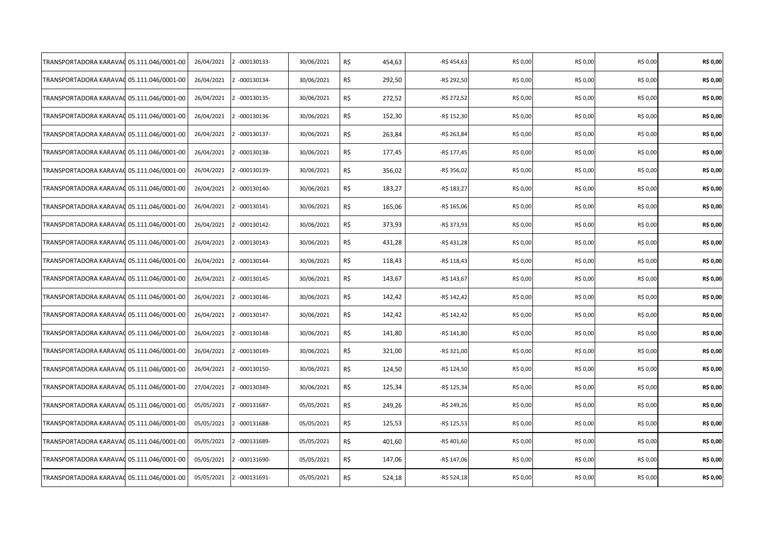| TRANSPORTADORA KARAVAO                    | 05.111.046/0001-00 | 26/04/2021 | 2 -000130133- | 30/06/2021 | R\$<br>454,63 | -R\$ 454,63  | R\$ 0,00 | R\$ 0,00 | R\$ 0,00 | R\$ 0,00 |
|-------------------------------------------|--------------------|------------|---------------|------------|---------------|--------------|----------|----------|----------|----------|
| TRANSPORTADORA KARAVAC                    | 05.111.046/0001-00 | 26/04/2021 | 2 -000130134- | 30/06/2021 | R\$<br>292,50 | -R\$ 292,50  | R\$ 0,00 | R\$ 0,00 | R\$ 0,00 | R\$ 0,00 |
| TRANSPORTADORA KARAVAC 05.111.046/0001-00 |                    | 26/04/2021 | 2 -000130135- | 30/06/2021 | R\$<br>272,52 | -R\$ 272,52  | R\$ 0,00 | R\$ 0,00 | R\$ 0,00 | R\$ 0,00 |
| TRANSPORTADORA KARAVAC                    | 05.111.046/0001-00 | 26/04/2021 | 2 -000130136- | 30/06/2021 | R\$<br>152,30 | -R\$ 152,30  | R\$ 0,00 | R\$ 0,00 | R\$ 0,00 | R\$ 0,00 |
| TRANSPORTADORA KARAVAC                    | 05.111.046/0001-00 | 26/04/2021 | 2 -000130137- | 30/06/2021 | R\$<br>263,84 | -R\$ 263,84  | R\$ 0,00 | R\$ 0,00 | R\$ 0,00 | R\$ 0,00 |
| TRANSPORTADORA KARAVAC                    | 05.111.046/0001-00 | 26/04/2021 | 2 -000130138- | 30/06/2021 | R\$<br>177,45 | -R\$ 177,45  | R\$ 0,00 | R\$ 0,00 | R\$ 0,00 | R\$ 0,00 |
| TRANSPORTADORA KARAVA(                    | 05.111.046/0001-00 | 26/04/2021 | 2 -000130139- | 30/06/2021 | R\$<br>356,02 | -R\$ 356,02  | R\$ 0,00 | R\$ 0,00 | R\$ 0,00 | R\$ 0,00 |
| TRANSPORTADORA KARAVAC                    | 05.111.046/0001-00 | 26/04/2021 | 2 -000130140- | 30/06/2021 | R\$<br>183,27 | -R\$ 183,27  | R\$ 0,00 | R\$ 0,00 | R\$ 0,00 | R\$ 0,00 |
| TRANSPORTADORA KARAVA(                    | 05.111.046/0001-00 | 26/04/2021 | 2 -000130141- | 30/06/2021 | R\$<br>165,06 | -R\$ 165,06  | R\$ 0,00 | R\$ 0,00 | R\$ 0,00 | R\$ 0,00 |
| TRANSPORTADORA KARAVAC                    | 05.111.046/0001-00 | 26/04/2021 | 2 -000130142- | 30/06/2021 | R\$<br>373,93 | -R\$ 373,93  | R\$ 0,00 | R\$ 0,00 | R\$ 0,00 | R\$ 0,00 |
| TRANSPORTADORA KARAVAC                    | 05.111.046/0001-00 | 26/04/2021 | 2 -000130143- | 30/06/2021 | R\$<br>431,28 | -R\$ 431,28  | R\$ 0,00 | R\$ 0,00 | R\$ 0,00 | R\$ 0,00 |
| TRANSPORTADORA KARAVAC                    | 05.111.046/0001-00 | 26/04/2021 | 2 -000130144- | 30/06/2021 | R\$<br>118,43 | -R\$ 118,43  | R\$ 0,00 | R\$ 0,00 | R\$ 0,00 | R\$ 0,00 |
| TRANSPORTADORA KARAVAC                    | 05.111.046/0001-00 | 26/04/2021 | 2 -000130145- | 30/06/2021 | R\$<br>143,67 | -R\$ 143,67  | R\$ 0,00 | R\$ 0,00 | R\$ 0,00 | R\$ 0,00 |
| TRANSPORTADORA KARAVAC                    | 05.111.046/0001-00 | 26/04/2021 | 2 -000130146- | 30/06/2021 | R\$<br>142,42 | -R\$ 142,42  | R\$ 0,00 | R\$ 0,00 | R\$ 0,00 | R\$ 0,00 |
| TRANSPORTADORA KARAVA(                    | 05.111.046/0001-00 | 26/04/2021 | 2 -000130147- | 30/06/2021 | R\$<br>142,42 | $-R$ 142,42$ | R\$ 0,00 | R\$ 0,00 | R\$ 0,00 | R\$ 0,00 |
| TRANSPORTADORA KARAVAC                    | 05.111.046/0001-00 | 26/04/2021 | 2 -000130148- | 30/06/2021 | R\$<br>141,80 | $-R$ 141,80$ | R\$ 0,00 | R\$ 0,00 | R\$ 0,00 | R\$ 0,00 |
| TRANSPORTADORA KARAVAC                    | 05.111.046/0001-00 | 26/04/2021 | 2 -000130149- | 30/06/2021 | R\$<br>321,00 | -R\$ 321,00  | R\$ 0,00 | R\$ 0,00 | R\$ 0,00 | R\$ 0,00 |
| TRANSPORTADORA KARAVAC                    | 05.111.046/0001-00 | 26/04/2021 | 2 -000130150- | 30/06/2021 | R\$<br>124,50 | -R\$ 124,50  | R\$ 0,00 | R\$ 0,00 | R\$ 0,00 | R\$ 0,00 |
| TRANSPORTADORA KARAVAC                    | 05.111.046/0001-00 | 27/04/2021 | 2 -000130349- | 30/06/2021 | R\$<br>125,34 | -R\$ 125,34  | R\$ 0,00 | R\$ 0,00 | R\$ 0,00 | R\$ 0,00 |
| TRANSPORTADORA KARAVAC                    | 05.111.046/0001-00 | 05/05/2021 | 2 -000131687- | 05/05/2021 | R\$<br>249,26 | -R\$ 249,26  | R\$ 0,00 | R\$ 0,00 | R\$ 0,00 | R\$ 0,00 |
| TRANSPORTADORA KARAVAC                    | 05.111.046/0001-00 | 05/05/2021 | 2 -000131688- | 05/05/2021 | R\$<br>125,53 | -R\$ 125,53  | R\$ 0,00 | R\$ 0,00 | R\$ 0,00 | R\$ 0,00 |
| TRANSPORTADORA KARAVAC                    | 05.111.046/0001-00 | 05/05/2021 | 2 -000131689- | 05/05/2021 | R\$<br>401,60 | -R\$ 401,60  | R\$ 0,00 | R\$ 0,00 | R\$ 0,00 | R\$ 0,00 |
| TRANSPORTADORA KARAVAC                    | 05.111.046/0001-00 | 05/05/2021 | 2 -000131690- | 05/05/2021 | R\$<br>147,06 | -R\$ 147,06  | R\$ 0,00 | R\$ 0,00 | R\$ 0,00 | R\$ 0,00 |
| TRANSPORTADORA KARAVAC                    | 05.111.046/0001-00 | 05/05/2021 | 2 -000131691- | 05/05/2021 | R\$<br>524,18 | -R\$ 524,18  | R\$ 0,00 | R\$ 0,00 | R\$ 0,00 | R\$ 0,00 |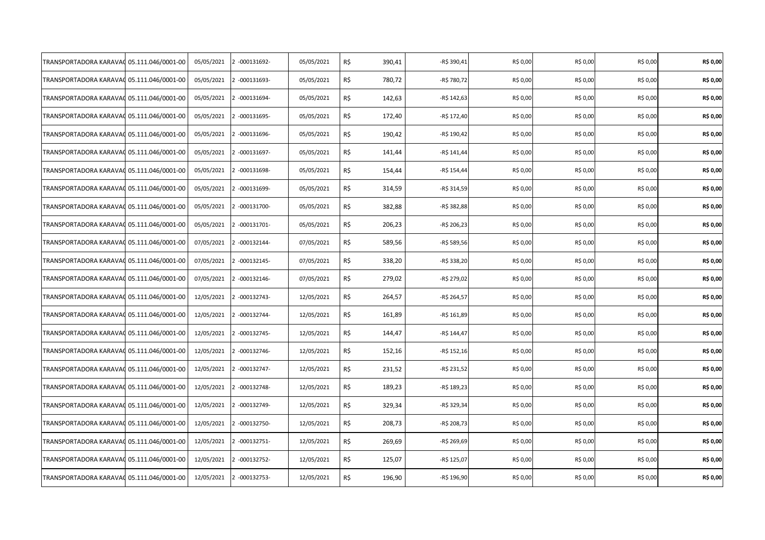| TRANSPORTADORA KARAVAO                    | 05.111.046/0001-00 | 05/05/2021 | 2 -000131692- | 05/05/2021 | R\$<br>390,41 | -R\$ 390,41  | R\$ 0,00 | R\$ 0,00 | R\$ 0,00 | R\$ 0,00 |
|-------------------------------------------|--------------------|------------|---------------|------------|---------------|--------------|----------|----------|----------|----------|
| TRANSPORTADORA KARAVAC                    | 05.111.046/0001-00 | 05/05/2021 | 2 -000131693- | 05/05/2021 | R\$<br>780,72 | -R\$ 780,72  | R\$ 0,00 | R\$ 0,00 | R\$ 0,00 | R\$ 0,00 |
| TRANSPORTADORA KARAVAC 05.111.046/0001-00 |                    | 05/05/2021 | 2 -000131694- | 05/05/2021 | R\$<br>142,63 | -R\$ 142,63  | R\$ 0,00 | R\$ 0,00 | R\$ 0,00 | R\$ 0,00 |
| TRANSPORTADORA KARAVAC                    | 05.111.046/0001-00 | 05/05/2021 | 2 -000131695- | 05/05/2021 | R\$<br>172,40 | -R\$ 172,40  | R\$ 0,00 | R\$ 0,00 | R\$ 0,00 | R\$ 0,00 |
| TRANSPORTADORA KARAVAC                    | 05.111.046/0001-00 | 05/05/2021 | 2 -000131696- | 05/05/2021 | R\$<br>190,42 | -R\$ 190,42  | R\$ 0,00 | R\$ 0,00 | R\$ 0,00 | R\$ 0,00 |
| TRANSPORTADORA KARAVAC                    | 05.111.046/0001-00 | 05/05/2021 | 2 -000131697- | 05/05/2021 | R\$<br>141,44 | $-R$ 141,44$ | R\$ 0,00 | R\$ 0,00 | R\$ 0,00 | R\$ 0,00 |
| TRANSPORTADORA KARAVA(                    | 05.111.046/0001-00 | 05/05/2021 | 2 -000131698- | 05/05/2021 | R\$<br>154,44 | -R\$ 154,44  | R\$ 0,00 | R\$ 0,00 | R\$ 0,00 | R\$ 0,00 |
| TRANSPORTADORA KARAVAC                    | 05.111.046/0001-00 | 05/05/2021 | 2 -000131699- | 05/05/2021 | R\$<br>314,59 | -R\$ 314,59  | R\$ 0,00 | R\$ 0,00 | R\$ 0,00 | R\$ 0,00 |
| TRANSPORTADORA KARAVA(                    | 05.111.046/0001-00 | 05/05/2021 | 2 -000131700- | 05/05/2021 | R\$<br>382,88 | -R\$ 382,88  | R\$ 0,00 | R\$ 0,00 | R\$ 0,00 | R\$ 0,00 |
| TRANSPORTADORA KARAVAC                    | 05.111.046/0001-00 | 05/05/2021 | 2 -000131701- | 05/05/2021 | R\$<br>206,23 | -R\$ 206,23  | R\$ 0,00 | R\$ 0,00 | R\$ 0,00 | R\$ 0,00 |
| TRANSPORTADORA KARAVAC                    | 05.111.046/0001-00 | 07/05/2021 | 2 -000132144- | 07/05/2021 | R\$<br>589,56 | -R\$ 589,56  | R\$ 0,00 | R\$ 0,00 | R\$ 0,00 | R\$ 0,00 |
| TRANSPORTADORA KARAVAC                    | 05.111.046/0001-00 | 07/05/2021 | 2 -000132145- | 07/05/2021 | R\$<br>338,20 | -R\$ 338,20  | R\$ 0,00 | R\$ 0,00 | R\$ 0,00 | R\$ 0,00 |
| TRANSPORTADORA KARAVAC                    | 05.111.046/0001-00 | 07/05/2021 | 2 -000132146- | 07/05/2021 | R\$<br>279,02 | -R\$ 279,02  | R\$ 0,00 | R\$ 0,00 | R\$ 0,00 | R\$ 0,00 |
| TRANSPORTADORA KARAVAC                    | 05.111.046/0001-00 | 12/05/2021 | 2 -000132743- | 12/05/2021 | R\$<br>264,57 | -R\$ 264,57  | R\$ 0,00 | R\$ 0,00 | R\$ 0,00 | R\$ 0,00 |
| TRANSPORTADORA KARAVAC                    | 05.111.046/0001-00 | 12/05/2021 | 2 -000132744- | 12/05/2021 | R\$<br>161,89 | -R\$ 161,89  | R\$ 0,00 | R\$ 0,00 | R\$ 0,00 | R\$ 0,00 |
| TRANSPORTADORA KARAVAC                    | 05.111.046/0001-00 | 12/05/2021 | 2 -000132745- | 12/05/2021 | R\$<br>144,47 | -R\$ 144,47  | R\$ 0,00 | R\$ 0,00 | R\$ 0,00 | R\$ 0,00 |
| TRANSPORTADORA KARAVAC                    | 05.111.046/0001-00 | 12/05/2021 | 2 -000132746- | 12/05/2021 | R\$<br>152,16 | -R\$ 152,16  | R\$ 0,00 | R\$ 0,00 | R\$ 0,00 | R\$ 0,00 |
| TRANSPORTADORA KARAVAC                    | 05.111.046/0001-00 | 12/05/2021 | 2 -000132747- | 12/05/2021 | R\$<br>231,52 | -R\$ 231,52  | R\$ 0,00 | R\$ 0,00 | R\$ 0,00 | R\$ 0,00 |
| TRANSPORTADORA KARAVAC                    | 05.111.046/0001-00 | 12/05/2021 | 2 -000132748- | 12/05/2021 | R\$<br>189,23 | -R\$ 189,23  | R\$ 0,00 | R\$ 0,00 | R\$ 0,00 | R\$ 0,00 |
| TRANSPORTADORA KARAVAC                    | 05.111.046/0001-00 | 12/05/2021 | 2 -000132749- | 12/05/2021 | R\$<br>329,34 | -R\$ 329,34  | R\$ 0,00 | R\$ 0,00 | R\$ 0,00 | R\$ 0,00 |
| TRANSPORTADORA KARAVAC                    | 05.111.046/0001-00 | 12/05/2021 | 2 -000132750- | 12/05/2021 | R\$<br>208,73 | -R\$ 208,73  | R\$ 0,00 | R\$ 0,00 | R\$ 0,00 | R\$ 0,00 |
| TRANSPORTADORA KARAVAC                    | 05.111.046/0001-00 | 12/05/2021 | 2 -000132751- | 12/05/2021 | R\$<br>269,69 | -R\$ 269,69  | R\$ 0,00 | R\$ 0,00 | R\$ 0,00 | R\$ 0,00 |
| TRANSPORTADORA KARAVAC                    | 05.111.046/0001-00 | 12/05/2021 | 2 -000132752- | 12/05/2021 | R\$<br>125,07 | -R\$ 125,07  | R\$ 0,00 | R\$ 0,00 | R\$ 0,00 | R\$ 0,00 |
| TRANSPORTADORA KARAVAC                    | 05.111.046/0001-00 | 12/05/2021 | 2 -000132753- | 12/05/2021 | R\$<br>196,90 | -R\$ 196,90  | R\$ 0,00 | R\$ 0,00 | R\$ 0,00 | R\$ 0,00 |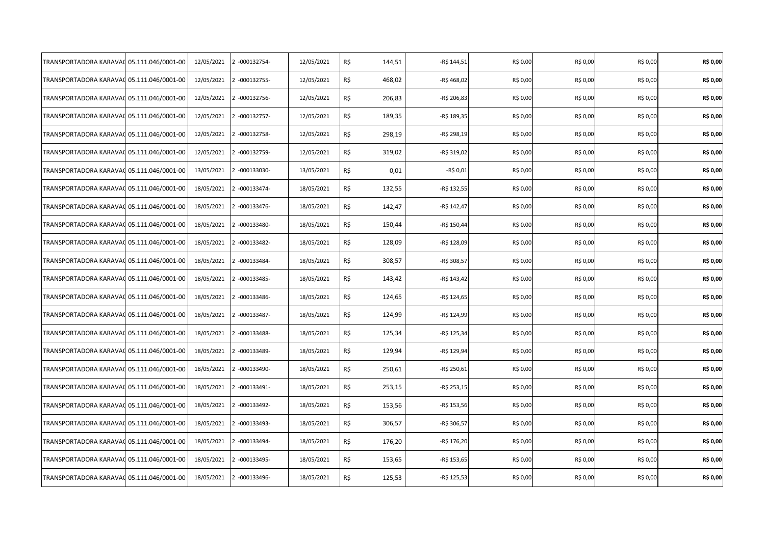| TRANSPORTADORA KARAVAC                    | 05.111.046/0001-00 | 12/05/2021 | 2 -000132754- | 12/05/2021 | R\$<br>144,51 | -R\$ 144,51  | R\$ 0,00 | R\$ 0,00 | R\$ 0,00 | R\$ 0,00 |
|-------------------------------------------|--------------------|------------|---------------|------------|---------------|--------------|----------|----------|----------|----------|
| TRANSPORTADORA KARAVAC                    | 05.111.046/0001-00 | 12/05/2021 | 2 -000132755- | 12/05/2021 | R\$<br>468,02 | -R\$ 468,02  | R\$ 0,00 | R\$ 0,00 | R\$ 0,00 | R\$ 0,00 |
| TRANSPORTADORA KARAVAC 05.111.046/0001-00 |                    | 12/05/2021 | 2 -000132756- | 12/05/2021 | R\$<br>206,83 | -R\$ 206,83  | R\$ 0,00 | R\$ 0,00 | R\$ 0,00 | R\$ 0,00 |
| TRANSPORTADORA KARAVAC                    | 05.111.046/0001-00 | 12/05/2021 | 2 -000132757- | 12/05/2021 | R\$<br>189,35 | -R\$ 189,35  | R\$ 0,00 | R\$ 0,00 | R\$ 0,00 | R\$ 0,00 |
| TRANSPORTADORA KARAVAC                    | 05.111.046/0001-00 | 12/05/2021 | 2 -000132758- | 12/05/2021 | R\$<br>298,19 | -R\$ 298,19  | R\$ 0,00 | R\$ 0,00 | R\$ 0,00 | R\$ 0,00 |
| TRANSPORTADORA KARAVAC                    | 05.111.046/0001-00 | 12/05/2021 | 2 -000132759- | 12/05/2021 | R\$<br>319,02 | -R\$ 319,02  | R\$ 0,00 | R\$ 0,00 | R\$ 0,00 | R\$ 0,00 |
| TRANSPORTADORA KARAVA(                    | 05.111.046/0001-00 | 13/05/2021 | 2 -000133030- | 13/05/2021 | R\$<br>0,01   | -R\$ 0,01    | R\$ 0,00 | R\$ 0,00 | R\$ 0,00 | R\$ 0,00 |
| TRANSPORTADORA KARAVAC                    | 05.111.046/0001-00 | 18/05/2021 | 2 -000133474- | 18/05/2021 | R\$<br>132,55 | -R\$ 132,55  | R\$ 0,00 | R\$ 0,00 | R\$ 0,00 | R\$ 0,00 |
| TRANSPORTADORA KARAVA(                    | 05.111.046/0001-00 | 18/05/2021 | 2 -000133476- | 18/05/2021 | R\$<br>142,47 | -R\$ 142,47  | R\$ 0,00 | R\$ 0,00 | R\$ 0,00 | R\$ 0,00 |
| TRANSPORTADORA KARAVAC                    | 05.111.046/0001-00 | 18/05/2021 | 2 -000133480- | 18/05/2021 | R\$<br>150,44 | -R\$ 150,44  | R\$ 0,00 | R\$ 0,00 | R\$ 0,00 | R\$ 0,00 |
| TRANSPORTADORA KARAVAC                    | 05.111.046/0001-00 | 18/05/2021 | 2 -000133482- | 18/05/2021 | R\$<br>128,09 | -R\$ 128,09  | R\$ 0,00 | R\$ 0,00 | R\$ 0,00 | R\$ 0,00 |
| TRANSPORTADORA KARAVAC                    | 05.111.046/0001-00 | 18/05/2021 | 2 -000133484- | 18/05/2021 | R\$<br>308,57 | -R\$ 308,57  | R\$ 0,00 | R\$ 0,00 | R\$ 0,00 | R\$ 0,00 |
| TRANSPORTADORA KARAVAC                    | 05.111.046/0001-00 | 18/05/2021 | 2 -000133485- | 18/05/2021 | R\$<br>143,42 | $-R$ 143,42$ | R\$ 0,00 | R\$ 0,00 | R\$ 0,00 | R\$ 0,00 |
| TRANSPORTADORA KARAVAC                    | 05.111.046/0001-00 | 18/05/2021 | 2 -000133486- | 18/05/2021 | R\$<br>124,65 | -R\$ 124,65  | R\$ 0,00 | R\$ 0,00 | R\$ 0,00 | R\$ 0,00 |
| TRANSPORTADORA KARAVAC                    | 05.111.046/0001-00 | 18/05/2021 | 2 -000133487- | 18/05/2021 | R\$<br>124,99 | -R\$ 124,99  | R\$ 0,00 | R\$ 0,00 | R\$ 0,00 | R\$ 0,00 |
| TRANSPORTADORA KARAVAC                    | 05.111.046/0001-00 | 18/05/2021 | 2 -000133488- | 18/05/2021 | R\$<br>125,34 | -R\$ 125,34  | R\$ 0,00 | R\$ 0,00 | R\$ 0,00 | R\$ 0,00 |
| TRANSPORTADORA KARAVAC                    | 05.111.046/0001-00 | 18/05/2021 | 2 -000133489- | 18/05/2021 | R\$<br>129,94 | -R\$ 129,94  | R\$ 0,00 | R\$ 0,00 | R\$ 0,00 | R\$ 0,00 |
| TRANSPORTADORA KARAVAC                    | 05.111.046/0001-00 | 18/05/2021 | 2 -000133490- | 18/05/2021 | R\$<br>250,61 | -R\$ 250,61  | R\$ 0,00 | R\$ 0,00 | R\$ 0,00 | R\$ 0,00 |
| TRANSPORTADORA KARAVAC                    | 05.111.046/0001-00 | 18/05/2021 | 2 -000133491- | 18/05/2021 | R\$<br>253,15 | -R\$ 253,15  | R\$ 0,00 | R\$ 0,00 | R\$ 0,00 | R\$ 0,00 |
| TRANSPORTADORA KARAVAC                    | 05.111.046/0001-00 | 18/05/2021 | 2 -000133492- | 18/05/2021 | R\$<br>153,56 | -R\$ 153,56  | R\$ 0,00 | R\$ 0,00 | R\$ 0,00 | R\$ 0,00 |
| TRANSPORTADORA KARAVAC                    | 05.111.046/0001-00 | 18/05/2021 | 2 -000133493- | 18/05/2021 | R\$<br>306,57 | -R\$ 306,57  | R\$ 0,00 | R\$ 0,00 | R\$ 0,00 | R\$ 0,00 |
| TRANSPORTADORA KARAVAC                    | 05.111.046/0001-00 | 18/05/2021 | 2 -000133494- | 18/05/2021 | R\$<br>176,20 | -R\$ 176,20  | R\$ 0,00 | R\$ 0,00 | R\$ 0,00 | R\$ 0,00 |
| TRANSPORTADORA KARAVAC                    | 05.111.046/0001-00 | 18/05/2021 | 2 -000133495- | 18/05/2021 | R\$<br>153,65 | -R\$ 153,65  | R\$ 0,00 | R\$ 0,00 | R\$ 0,00 | R\$ 0,00 |
| TRANSPORTADORA KARAVAC                    | 05.111.046/0001-00 | 18/05/2021 | 2 -000133496- | 18/05/2021 | R\$<br>125,53 | -R\$ 125,53  | R\$ 0,00 | R\$ 0,00 | R\$ 0,00 | R\$ 0,00 |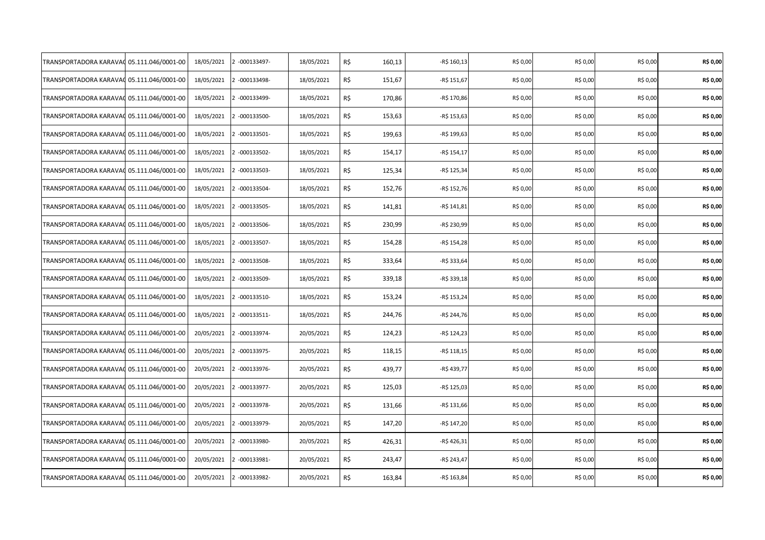| TRANSPORTADORA KARAVAO | 05.111.046/0001-00 | 18/05/2021 | 2 -000133497- | 18/05/2021 | R\$<br>160,13 | -R\$ 160,13  | R\$ 0,00 | R\$ 0,00 | R\$ 0,00 | R\$ 0,00 |
|------------------------|--------------------|------------|---------------|------------|---------------|--------------|----------|----------|----------|----------|
| TRANSPORTADORA KARAVAC | 05.111.046/0001-00 | 18/05/2021 | 2 -000133498- | 18/05/2021 | R\$<br>151,67 | -R\$ 151,67  | R\$ 0,00 | R\$ 0,00 | R\$ 0,00 | R\$ 0,00 |
| TRANSPORTADORA KARAVAC | 05.111.046/0001-00 | 18/05/2021 | 2 -000133499- | 18/05/2021 | R\$<br>170,86 | -R\$ 170,86  | R\$ 0,00 | R\$ 0,00 | R\$ 0,00 | R\$ 0,00 |
| TRANSPORTADORA KARAVAC | 05.111.046/0001-00 | 18/05/2021 | 2 -000133500- | 18/05/2021 | R\$<br>153,63 | -R\$ 153,63  | R\$ 0,00 | R\$ 0,00 | R\$ 0,00 | R\$ 0,00 |
| TRANSPORTADORA KARAVAC | 05.111.046/0001-00 | 18/05/2021 | 2 -000133501- | 18/05/2021 | R\$<br>199,63 | -R\$ 199,63  | R\$ 0,00 | R\$ 0,00 | R\$ 0,00 | R\$ 0,00 |
| TRANSPORTADORA KARAVAC | 05.111.046/0001-00 | 18/05/2021 | 2 -000133502- | 18/05/2021 | R\$<br>154,17 | -R\$ 154,17  | R\$ 0,00 | R\$ 0,00 | R\$ 0,00 | R\$ 0,00 |
| TRANSPORTADORA KARAVAO | 05.111.046/0001-00 | 18/05/2021 | 2 -000133503- | 18/05/2021 | R\$<br>125,34 | -R\$ 125,34  | R\$ 0,00 | R\$ 0,00 | R\$ 0,00 | R\$ 0,00 |
| TRANSPORTADORA KARAVAC | 05.111.046/0001-00 | 18/05/2021 | 2 -000133504- | 18/05/2021 | R\$<br>152,76 | -R\$ 152,76  | R\$ 0,00 | R\$ 0,00 | R\$ 0,00 | R\$ 0,00 |
| TRANSPORTADORA KARAVAC | 05.111.046/0001-00 | 18/05/2021 | 2 -000133505- | 18/05/2021 | R\$<br>141,81 | -R\$ 141,81  | R\$ 0,00 | R\$ 0,00 | R\$ 0,00 | R\$ 0,00 |
| TRANSPORTADORA KARAVAC | 05.111.046/0001-00 | 18/05/2021 | 2 -000133506- | 18/05/2021 | R\$<br>230,99 | -R\$ 230,99  | R\$ 0,00 | R\$ 0,00 | R\$ 0,00 | R\$ 0,00 |
| TRANSPORTADORA KARAVAC | 05.111.046/0001-00 | 18/05/2021 | 2 -000133507- | 18/05/2021 | R\$<br>154,28 | -R\$ 154,28  | R\$ 0,00 | R\$ 0,00 | R\$ 0,00 | R\$ 0,00 |
| TRANSPORTADORA KARAVAC | 05.111.046/0001-00 | 18/05/2021 | 2 -000133508- | 18/05/2021 | R\$<br>333,64 | -R\$ 333,64  | R\$ 0,00 | R\$ 0,00 | R\$ 0,00 | R\$ 0,00 |
| TRANSPORTADORA KARAVAC | 05.111.046/0001-00 | 18/05/2021 | 2 -000133509- | 18/05/2021 | R\$<br>339,18 | -R\$ 339,18  | R\$ 0,00 | R\$ 0,00 | R\$ 0,00 | R\$ 0,00 |
| TRANSPORTADORA KARAVAC | 05.111.046/0001-00 | 18/05/2021 | 2 -000133510- | 18/05/2021 | R\$<br>153,24 | -R\$ 153,24  | R\$ 0,00 | R\$ 0,00 | R\$ 0,00 | R\$ 0,00 |
| TRANSPORTADORA KARAVAG | 05.111.046/0001-00 | 18/05/2021 | 2 -000133511- | 18/05/2021 | R\$<br>244,76 | -R\$ 244,76  | R\$ 0,00 | R\$ 0,00 | R\$ 0,00 | R\$ 0,00 |
| TRANSPORTADORA KARAVAO | 05.111.046/0001-00 | 20/05/2021 | 2 -000133974- | 20/05/2021 | R\$<br>124,23 | $-R$ 124,23$ | R\$ 0,00 | R\$ 0,00 | R\$ 0,00 | R\$ 0,00 |
| TRANSPORTADORA KARAVAC | 05.111.046/0001-00 | 20/05/2021 | 2 -000133975- | 20/05/2021 | R\$<br>118,15 | -R\$ 118,15  | R\$ 0,00 | R\$ 0,00 | R\$ 0,00 | R\$ 0,00 |
| TRANSPORTADORA KARAVA( | 05.111.046/0001-00 | 20/05/2021 | 2 -000133976- | 20/05/2021 | R\$<br>439,77 | -R\$ 439,77  | R\$ 0,00 | R\$ 0,00 | R\$ 0,00 | R\$ 0,00 |
| TRANSPORTADORA KARAVAC | 05.111.046/0001-00 | 20/05/2021 | 2 -000133977- | 20/05/2021 | R\$<br>125,03 | -R\$ 125,03  | R\$ 0,00 | R\$ 0,00 | R\$ 0,00 | R\$ 0,00 |
| TRANSPORTADORA KARAVAC | 05.111.046/0001-00 | 20/05/2021 | 2 -000133978- | 20/05/2021 | R\$<br>131,66 | -R\$ 131,66  | R\$ 0,00 | R\$ 0,00 | R\$ 0,00 | R\$ 0,00 |
| TRANSPORTADORA KARAVAC | 05.111.046/0001-00 | 20/05/2021 | 2 -000133979- | 20/05/2021 | R\$<br>147,20 | -R\$ 147,20  | R\$ 0,00 | R\$ 0,00 | R\$ 0,00 | R\$ 0,00 |
| TRANSPORTADORA KARAVAC | 05.111.046/0001-00 | 20/05/2021 | 2 -000133980- | 20/05/2021 | R\$<br>426,31 | -R\$ 426,31  | R\$ 0,00 | R\$ 0,00 | R\$ 0,00 | R\$ 0,00 |
| TRANSPORTADORA KARAVA( | 05.111.046/0001-00 | 20/05/2021 | 2 -000133981- | 20/05/2021 | R\$<br>243,47 | -R\$ 243,47  | R\$ 0,00 | R\$ 0,00 | R\$ 0,00 | R\$ 0,00 |
| TRANSPORTADORA KARAVA( | 05.111.046/0001-00 | 20/05/2021 | 2 -000133982- | 20/05/2021 | R\$<br>163,84 | -R\$ 163,84  | R\$ 0,00 | R\$ 0,00 | R\$ 0,00 | R\$ 0,00 |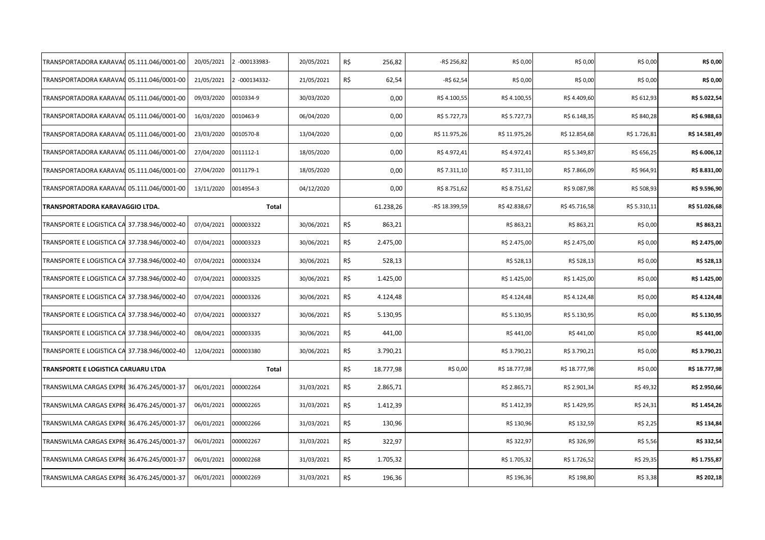| TRANSPORTADORA KARAVAC                       | 05.111.046/0001-00 | 20/05/2021 | 2 -000133983- | 20/05/2021 | R\$ | 256,82    | -R\$ 256,82    | R\$ 0,00      | R\$ 0,00      | R\$ 0,00     | R\$ 0,00      |
|----------------------------------------------|--------------------|------------|---------------|------------|-----|-----------|----------------|---------------|---------------|--------------|---------------|
| TRANSPORTADORA KARAVAC                       | 05.111.046/0001-00 | 21/05/2021 | 2 -000134332- | 21/05/2021 | R\$ | 62,54     | -R\$ 62,54     | R\$ 0,00      | R\$ 0,00      | R\$ 0,00     | R\$ 0,00      |
| TRANSPORTADORA KARAVAC 05.111.046/0001-00    |                    | 09/03/2020 | 0010334-9     | 30/03/2020 |     | 0,00      | R\$4.100,55    | R\$4.100,55   | R\$4.409,60   | R\$ 612,93   | R\$ 5.022,54  |
| TRANSPORTADORA KARAVAC 05.111.046/0001-00    |                    | 16/03/2020 | 0010463-9     | 06/04/2020 |     | 0,00      | R\$ 5.727,73   | R\$ 5.727,73  | R\$ 6.148,35  | R\$ 840,28   | R\$ 6.988,63  |
| TRANSPORTADORA KARAVAC                       | 05.111.046/0001-00 | 23/03/2020 | 0010570-8     | 13/04/2020 |     | 0,00      | R\$ 11.975,26  | R\$ 11.975,26 | R\$ 12.854,68 | R\$ 1.726,81 | R\$ 14.581,49 |
| TRANSPORTADORA KARAVAC                       | 05.111.046/0001-00 | 27/04/2020 | 0011112-1     | 18/05/2020 |     | 0,00      | R\$4.972,41    | R\$4.972,41   | R\$ 5.349,87  | R\$ 656,25   | R\$ 6.006,12  |
| TRANSPORTADORA KARAVAC                       | 05.111.046/0001-00 | 27/04/2020 | 0011179-1     | 18/05/2020 |     | 0,00      | R\$ 7.311,10   | R\$ 7.311,10  | R\$ 7.866,09  | R\$ 964,91   | R\$ 8.831,00  |
| TRANSPORTADORA KARAVAC 05.111.046/0001-00    |                    | 13/11/2020 | 0014954-3     | 04/12/2020 |     | 0,00      | R\$ 8.751,62   | R\$ 8.751,62  | R\$ 9.087,98  | R\$ 508,93   | R\$ 9.596,90  |
| TRANSPORTADORA KARAVAGGIO LTDA.              |                    |            | Total         |            |     | 61.238,26 | -R\$ 18.399,59 | R\$42.838,67  | R\$45.716,58  | R\$ 5.310,11 | R\$ 51.026,68 |
| TRANSPORTE E LOGISTICA CA 37.738.946/0002-40 |                    | 07/04/2021 | 000003322     | 30/06/2021 | R\$ | 863,21    |                | R\$ 863,21    | R\$ 863,21    | R\$ 0,00     | R\$ 863,21    |
| TRANSPORTE E LOGISTICA CA 37.738.946/0002-40 |                    | 07/04/2021 | 000003323     | 30/06/2021 | R\$ | 2.475,00  |                | R\$ 2.475,00  | R\$ 2.475,00  | R\$ 0,00     | R\$ 2.475,00  |
| TRANSPORTE E LOGISTICA CA 37.738.946/0002-40 |                    | 07/04/2021 | 000003324     | 30/06/2021 | R\$ | 528,13    |                | R\$ 528,13    | R\$ 528,13    | R\$ 0,00     | R\$ 528,13    |
| TRANSPORTE E LOGISTICA CA 37.738.946/0002-40 |                    | 07/04/2021 | 000003325     | 30/06/2021 | R\$ | 1.425,00  |                | R\$ 1.425,00  | R\$ 1.425,00  | R\$ 0,00     | R\$ 1.425,00  |
| TRANSPORTE E LOGISTICA CA 37.738.946/0002-40 |                    | 07/04/2021 | 000003326     | 30/06/2021 | R\$ | 4.124,48  |                | R\$4.124,48   | R\$4.124,48   | R\$ 0,00     | R\$ 4.124,48  |
| TRANSPORTE E LOGISTICA CA 37.738.946/0002-40 |                    | 07/04/2021 | 000003327     | 30/06/2021 | R\$ | 5.130,95  |                | R\$ 5.130,95  | R\$ 5.130,95  | R\$ 0,00     | R\$ 5.130,95  |
| TRANSPORTE E LOGISTICA CA 37.738.946/0002-40 |                    | 08/04/2021 | 000003335     | 30/06/2021 | R\$ | 441,00    |                | R\$441,00     | R\$441,00     | R\$ 0,00     | R\$441,00     |
| TRANSPORTE E LOGISTICA CA 37.738.946/0002-40 |                    | 12/04/2021 | 000003380     | 30/06/2021 | R\$ | 3.790,21  |                | R\$ 3.790,21  | R\$ 3.790,21  | R\$ 0,00     | R\$ 3.790,21  |
| TRANSPORTE E LOGISTICA CARUARU LTDA          |                    |            | Total         |            | R\$ | 18.777,98 | R\$ 0,00       | R\$ 18.777,98 | R\$ 18.777,98 | R\$ 0,00     | R\$ 18.777,98 |
| TRANSWILMA CARGAS EXPRI 36.476.245/0001-37   |                    | 06/01/2021 | 000002264     | 31/03/2021 | R\$ | 2.865,71  |                | R\$ 2.865,71  | R\$ 2.901,34  | R\$49,32     | R\$ 2.950,66  |
| TRANSWILMA CARGAS EXPRE 36.476.245/0001-37   |                    | 06/01/2021 | 000002265     | 31/03/2021 | R\$ | 1.412,39  |                | R\$ 1.412,39  | R\$ 1.429,95  | R\$ 24,31    | R\$ 1.454,26  |
| TRANSWILMA CARGAS EXPRE 36.476.245/0001-37   |                    | 06/01/2021 | 000002266     | 31/03/2021 | R\$ | 130,96    |                | R\$ 130,96    | R\$ 132,59    | R\$ 2,25     | R\$ 134,84    |
| TRANSWILMA CARGAS EXPRI 36.476.245/0001-37   |                    | 06/01/2021 | 000002267     | 31/03/2021 | R\$ | 322,97    |                | R\$ 322,97    | R\$ 326,99    | R\$ 5,56     | R\$ 332,54    |
| TRANSWILMA CARGAS EXPRE 36.476.245/0001-37   |                    | 06/01/2021 | 000002268     | 31/03/2021 | R\$ | 1.705,32  |                | R\$ 1.705,32  | R\$ 1.726,52  | R\$ 29,35    | R\$ 1.755,87  |
| TRANSWILMA CARGAS EXPRE 36.476.245/0001-37   |                    | 06/01/2021 | 000002269     | 31/03/2021 | R\$ | 196,36    |                | R\$ 196,36    | R\$ 198,80    | R\$ 3,38     | R\$ 202,18    |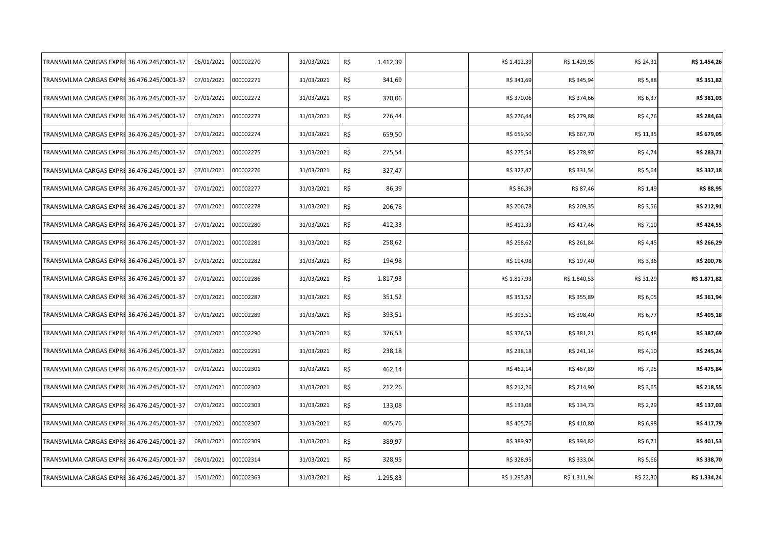| TRANSWILMA CARGAS EXPRE                    | 36.476.245/0001-37 | 06/01/2021 | 000002270 | 31/03/2021 | R\$ | 1.412,39 | R\$ 1.412,39 | R\$ 1.429,95 | R\$ 24,31 | R\$ 1.454,26 |
|--------------------------------------------|--------------------|------------|-----------|------------|-----|----------|--------------|--------------|-----------|--------------|
| TRANSWILMA CARGAS EXPRE                    | 36.476.245/0001-37 | 07/01/2021 | 000002271 | 31/03/2021 | R\$ | 341,69   | R\$ 341,69   | R\$ 345,94   | R\$ 5,88  | R\$ 351,82   |
| TRANSWILMA CARGAS EXPRE 36.476.245/0001-37 |                    | 07/01/2021 | 000002272 | 31/03/2021 | R\$ | 370,06   | R\$ 370,06   | R\$ 374,66   | R\$ 6,37  | R\$ 381,03   |
| TRANSWILMA CARGAS EXPRE 36.476.245/0001-37 |                    | 07/01/2021 | 000002273 | 31/03/2021 | R\$ | 276,44   | R\$ 276,44   | R\$ 279,88   | R\$ 4,76  | R\$ 284,63   |
| TRANSWILMA CARGAS EXPRE 36.476.245/0001-37 |                    | 07/01/2021 | 000002274 | 31/03/2021 | R\$ | 659,50   | R\$ 659,50   | R\$ 667,70   | R\$ 11,35 | R\$ 679,05   |
| TRANSWILMA CARGAS EXPRE 36.476.245/0001-37 |                    | 07/01/2021 | 000002275 | 31/03/2021 | R\$ | 275,54   | R\$ 275,54   | R\$ 278,97   | R\$ 4,74  | R\$ 283,71   |
| TRANSWILMA CARGAS EXPRE                    | 36.476.245/0001-37 | 07/01/2021 | 000002276 | 31/03/2021 | R\$ | 327,47   | R\$ 327,47   | R\$ 331,54   | R\$ 5,64  | R\$ 337,18   |
| TRANSWILMA CARGAS EXPRE                    | 36.476.245/0001-37 | 07/01/2021 | 000002277 | 31/03/2021 | R\$ | 86,39    | R\$ 86,39    | R\$ 87,46    | R\$ 1,49  | R\$ 88,95    |
| TRANSWILMA CARGAS EXPRE                    | 36.476.245/0001-37 | 07/01/2021 | 000002278 | 31/03/2021 | R\$ | 206,78   | R\$ 206,78   | R\$ 209,35   | R\$ 3,56  | R\$ 212,91   |
| TRANSWILMA CARGAS EXPRE 36.476.245/0001-37 |                    | 07/01/2021 | 000002280 | 31/03/2021 | R\$ | 412,33   | R\$412,33    | R\$417,46    | R\$ 7,10  | R\$424,55    |
| TRANSWILMA CARGAS EXPRE 36.476.245/0001-37 |                    | 07/01/2021 | 000002281 | 31/03/2021 | R\$ | 258,62   | R\$ 258,62   | R\$ 261,84   | R\$ 4,45  | R\$ 266,29   |
| TRANSWILMA CARGAS EXPRE 36.476.245/0001-37 |                    | 07/01/2021 | 000002282 | 31/03/2021 | R\$ | 194,98   | R\$ 194,98   | R\$ 197,40   | R\$ 3,36  | R\$ 200,76   |
| TRANSWILMA CARGAS EXPRE 36.476.245/0001-37 |                    | 07/01/2021 | 000002286 | 31/03/2021 | R\$ | 1.817,93 | R\$ 1.817,93 | R\$ 1.840,53 | R\$ 31,29 | R\$ 1.871,82 |
| TRANSWILMA CARGAS EXPRE 36.476.245/0001-37 |                    | 07/01/2021 | 000002287 | 31/03/2021 | R\$ | 351,52   | R\$ 351,52   | R\$ 355,89   | R\$ 6,05  | R\$ 361,94   |
| TRANSWILMA CARGAS EXPRE 36.476.245/0001-37 |                    | 07/01/2021 | 000002289 | 31/03/2021 | R\$ | 393,51   | R\$ 393,51   | R\$ 398,40   | R\$ 6,77  | R\$405,18    |
| TRANSWILMA CARGAS EXPRE                    | 36.476.245/0001-37 | 07/01/2021 | 000002290 | 31/03/2021 | R\$ | 376,53   | R\$ 376,53   | R\$ 381,21   | R\$ 6,48  | R\$ 387,69   |
| TRANSWILMA CARGAS EXPRE 36.476.245/0001-37 |                    | 07/01/2021 | 000002291 | 31/03/2021 | R\$ | 238,18   | R\$ 238,18   | R\$ 241,14   | R\$ 4,10  | R\$ 245,24   |
| TRANSWILMA CARGAS EXPRE                    | 36.476.245/0001-37 | 07/01/2021 | 000002301 | 31/03/2021 | R\$ | 462,14   | R\$462,14    | R\$467,89    | R\$ 7,95  | R\$475,84    |
| TRANSWILMA CARGAS EXPRE 36.476.245/0001-37 |                    | 07/01/2021 | 000002302 | 31/03/2021 | R\$ | 212,26   | R\$ 212,26   | R\$ 214,90   | R\$ 3,65  | R\$ 218,55   |
| TRANSWILMA CARGAS EXPRE 36.476.245/0001-37 |                    | 07/01/2021 | 000002303 | 31/03/2021 | R\$ | 133,08   | R\$ 133,08   | R\$ 134,73   | R\$ 2,29  | R\$ 137,03   |
| TRANSWILMA CARGAS EXPRI 36.476.245/0001-37 |                    | 07/01/2021 | 000002307 | 31/03/2021 | R\$ | 405,76   | R\$405,76    | R\$410,80    | R\$ 6,98  | R\$ 417,79   |
| TRANSWILMA CARGAS EXPRE 36.476.245/0001-37 |                    | 08/01/2021 | 000002309 | 31/03/2021 | R\$ | 389,97   | R\$ 389,97   | R\$ 394,82   | R\$ 6,71  | R\$401,53    |
| TRANSWILMA CARGAS EXPRE 36.476.245/0001-37 |                    | 08/01/2021 | 000002314 | 31/03/2021 | R\$ | 328,95   | R\$ 328,95   | R\$ 333,04   | R\$ 5,66  | R\$ 338,70   |
| TRANSWILMA CARGAS EXPRE 36.476.245/0001-37 |                    | 15/01/2021 | 000002363 | 31/03/2021 | R\$ | 1.295,83 | R\$ 1.295,83 | R\$ 1.311,94 | R\$ 22,30 | R\$ 1.334,24 |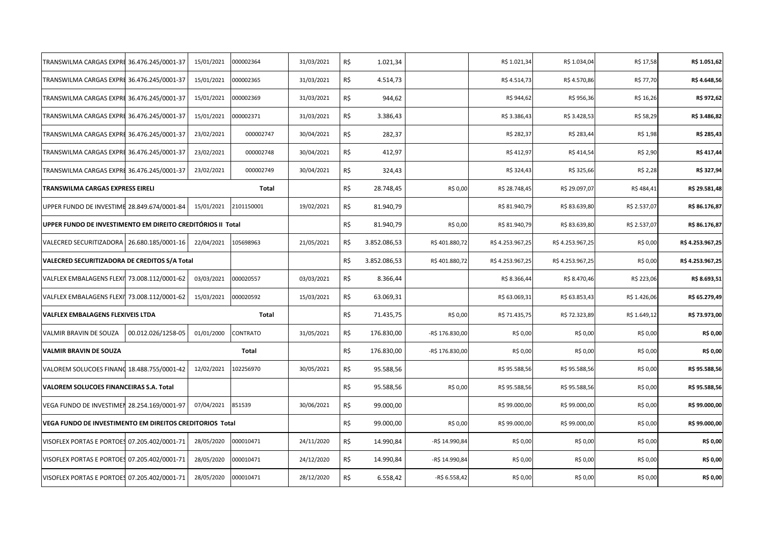| TRANSWILMA CARGAS EXPRE 36.476.245/0001-37                  |                    | 15/01/2021 | 000002364    | 31/03/2021 | R\$ | 1.021,34     |                 | R\$ 1.021,34    | R\$ 1.034,04    | R\$ 17,58    | R\$ 1.051,62    |
|-------------------------------------------------------------|--------------------|------------|--------------|------------|-----|--------------|-----------------|-----------------|-----------------|--------------|-----------------|
| TRANSWILMA CARGAS EXPRE 36.476.245/0001-37                  |                    | 15/01/2021 | 000002365    | 31/03/2021 | R\$ | 4.514,73     |                 | R\$4.514,73     | R\$4.570,86     | R\$ 77,70    | R\$4.648,56     |
| TRANSWILMA CARGAS EXPRE 36.476.245/0001-37                  |                    | 15/01/2021 | 000002369    | 31/03/2021 | R\$ | 944,62       |                 | R\$ 944,62      | R\$ 956,36      | R\$ 16,26    | R\$ 972,62      |
| TRANSWILMA CARGAS EXPRE 36.476.245/0001-37                  |                    | 15/01/2021 | 000002371    | 31/03/2021 | R\$ | 3.386,43     |                 | R\$ 3.386,43    | R\$ 3.428,53    | R\$ 58,29    | R\$ 3.486,82    |
| TRANSWILMA CARGAS EXPRE 36.476.245/0001-37                  |                    | 23/02/2021 | 000002747    | 30/04/2021 | R\$ | 282,37       |                 | R\$ 282,37      | R\$ 283,44      | R\$ 1,98     | R\$ 285,43      |
| TRANSWILMA CARGAS EXPRE 36.476.245/0001-37                  |                    | 23/02/2021 | 000002748    | 30/04/2021 | R\$ | 412,97       |                 | R\$412,97       | R\$414,54       | R\$ 2,90     | R\$417,44       |
| TRANSWILMA CARGAS EXPRE 36.476.245/0001-37                  |                    | 23/02/2021 | 000002749    | 30/04/2021 | R\$ | 324,43       |                 | R\$ 324,43      | R\$ 325,66      | R\$ 2,28     | R\$ 327,94      |
| TRANSWILMA CARGAS EXPRESS EIRELI                            |                    |            | Total        |            | R\$ | 28.748,45    | R\$ 0,00        | R\$ 28.748,45   | R\$ 29.097,07   | R\$484,41    | R\$ 29.581,48   |
| UPPER FUNDO DE INVESTIME 28.849.674/0001-84                 |                    | 15/01/2021 | 2101150001   | 19/02/2021 | R\$ | 81.940,79    |                 | R\$ 81.940,79   | R\$ 83.639,80   | R\$ 2.537,07 | R\$ 86.176,87   |
| UPPER FUNDO DE INVESTIMENTO EM DIREITO CREDITÓRIOS II Total |                    |            |              |            | R\$ | 81.940,79    | R\$ 0,00        | R\$ 81.940,79   | R\$ 83.639,80   | R\$ 2.537,07 | R\$ 86.176,87   |
| VALECRED SECURITIZADORA   26.680.185/0001-16                |                    | 22/04/2021 | 105698963    | 21/05/2021 | R\$ | 3.852.086,53 | R\$401.880,72   | R\$4.253.967,25 | R\$4.253.967,25 | R\$ 0,00     | R\$4.253.967,25 |
| VALECRED SECURITIZADORA DE CREDITOS S/A Total               |                    |            |              |            | R\$ | 3.852.086,53 | R\$401.880,72   | R\$4.253.967,25 | R\$4.253.967,25 | R\$ 0,00     | R\$4.253.967,25 |
| VALFLEX EMBALAGENS FLEXI 73.008.112/0001-62                 |                    | 03/03/2021 | 000020557    | 03/03/2021 | R\$ | 8.366,44     |                 | R\$ 8.366,44    | R\$ 8.470,46    | R\$ 223,06   | R\$ 8.693,51    |
| VALFLEX EMBALAGENS FLEXI 73.008.112/0001-62                 |                    | 15/03/2021 | 000020592    | 15/03/2021 | R\$ | 63.069,31    |                 | R\$ 63.069,31   | R\$ 63.853,43   | R\$ 1.426,06 | R\$ 65.279,49   |
| VALFLEX EMBALAGENS FLEXIVEIS LTDA                           |                    |            | <b>Total</b> |            | R\$ | 71.435,75    | R\$ 0,00        | R\$ 71.435,75   | R\$ 72.323,89   | R\$ 1.649,12 | R\$ 73.973,00   |
| VALMIR BRAVIN DE SOUZA                                      | 00.012.026/1258-05 | 01/01/2000 | CONTRATO     | 31/05/2021 | R\$ | 176.830,00   | -R\$ 176.830,00 | R\$ 0,00        | R\$ 0,00        | R\$ 0,00     | R\$ 0,00        |
| <b>VALMIR BRAVIN DE SOUZA</b>                               |                    |            | Total        |            | R\$ | 176.830,00   | -R\$ 176.830,00 | R\$ 0,00        | R\$ 0,00        | R\$ 0,00     | R\$ 0,00        |
| VALOREM SOLUCOES FINANO 18.488.755/0001-42                  |                    | 12/02/2021 | 102256970    | 30/05/2021 | R\$ | 95.588,56    |                 | R\$ 95.588,56   | R\$ 95.588,56   | R\$ 0,00     | R\$ 95.588,56   |
| VALOREM SOLUCOES FINANCEIRAS S.A. Total                     |                    |            |              |            | R\$ | 95.588,56    | R\$ 0,00        | R\$ 95.588,56   | R\$ 95.588,56   | R\$ 0,00     | R\$ 95.588,56   |
| VEGA FUNDO DE INVESTIMEN 28.254.169/0001-97                 |                    | 07/04/2021 | 851539       | 30/06/2021 | R\$ | 99.000,00    |                 | R\$99.000,00    | R\$99.000,00    | R\$ 0,00     | R\$ 99.000,00   |
| VEGA FUNDO DE INVESTIMENTO EM DIREITOS CREDITORIOS Total    |                    |            |              |            | R\$ | 99.000,00    | R\$ 0,00        | R\$ 99.000,00   | R\$ 99.000,00   | R\$ 0,00     | R\$ 99.000,00   |
| VISOFLEX PORTAS E PORTOES 07.205.402/0001-71                |                    | 28/05/2020 | 000010471    | 24/11/2020 | R\$ | 14.990,84    | -R\$ 14.990,84  | R\$ 0,00        | R\$ 0,00        | R\$ 0,00     | R\$ 0,00        |
| VISOFLEX PORTAS E PORTOES 07.205.402/0001-71                |                    | 28/05/2020 | 000010471    | 24/12/2020 | R\$ | 14.990,84    | -R\$ 14.990,84  | R\$ 0,00        | R\$ 0,00        | R\$ 0,00     | R\$ 0,00        |
| VISOFLEX PORTAS E PORTOES 07.205.402/0001-71                |                    | 28/05/2020 | 000010471    | 28/12/2020 | R\$ | 6.558,42     | -R\$ 6.558,42   | R\$ 0,00        | R\$ 0,00        | R\$ 0,00     | R\$ 0,00        |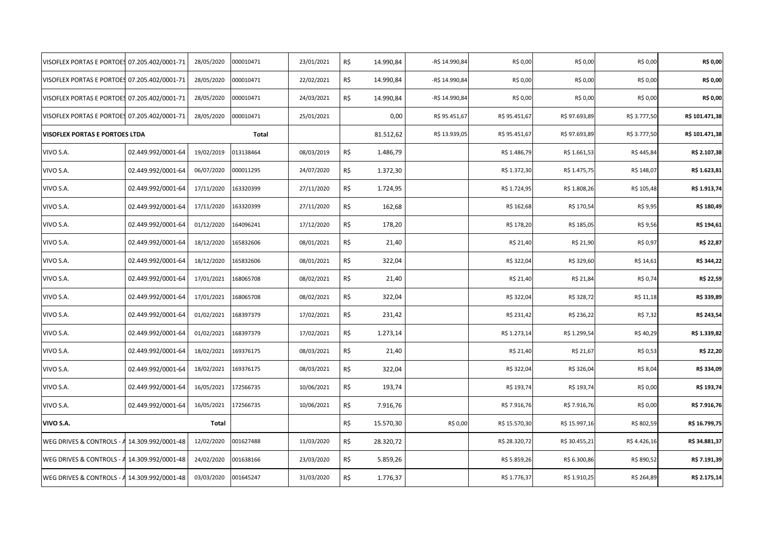| VISOFLEX PORTAS E PORTOES 07.205.402/0001-71 |                    | 28/05/2020 | 000010471    | 23/01/2021 | R\$ | 14.990,84 | -R\$ 14.990,84 | R\$ 0,00      | R\$ 0,00      | R\$ 0,00     | R\$ 0,00       |
|----------------------------------------------|--------------------|------------|--------------|------------|-----|-----------|----------------|---------------|---------------|--------------|----------------|
| VISOFLEX PORTAS E PORTOES 07.205.402/0001-71 |                    | 28/05/2020 | 000010471    | 22/02/2021 | R\$ | 14.990,84 | -R\$ 14.990,84 | R\$ 0,00      | R\$ 0,00      | R\$ 0,00     | R\$ 0,00       |
| VISOFLEX PORTAS E PORTOES 07.205.402/0001-71 |                    | 28/05/2020 | 000010471    | 24/03/2021 | R\$ | 14.990,84 | -R\$ 14.990,84 | R\$ 0,00      | R\$ 0,00      | R\$ 0,00     | R\$ 0,00       |
| VISOFLEX PORTAS E PORTOES 07.205.402/0001-71 |                    | 28/05/2020 | 000010471    | 25/01/2021 |     | 0,00      | R\$ 95.451,67  | R\$ 95.451,67 | R\$ 97.693,89 | R\$ 3.777,50 | R\$ 101.471,38 |
| VISOFLEX PORTAS E PORTOES LTDA               |                    |            | <b>Total</b> |            |     | 81.512,62 | R\$ 13.939,05  | R\$ 95.451,67 | R\$ 97.693,89 | R\$ 3.777,50 | R\$ 101.471,38 |
| VIVO S.A.                                    | 02.449.992/0001-64 | 19/02/2019 | 013138464    | 08/03/2019 | R\$ | 1.486,79  |                | R\$ 1.486,79  | R\$ 1.661,53  | R\$ 445,84   | R\$ 2.107,38   |
| VIVO S.A.                                    | 02.449.992/0001-64 | 06/07/2020 | 000011295    | 24/07/2020 | R\$ | 1.372,30  |                | R\$ 1.372,30  | R\$ 1.475,75  | R\$ 148,07   | R\$ 1.623,81   |
| VIVO S.A.                                    | 02.449.992/0001-64 | 17/11/2020 | 163320399    | 27/11/2020 | R\$ | 1.724,95  |                | R\$ 1.724,95  | R\$ 1.808,26  | R\$ 105,48   | R\$ 1.913,74   |
| VIVO S.A.                                    | 02.449.992/0001-64 | 17/11/2020 | 163320399    | 27/11/2020 | R\$ | 162,68    |                | R\$ 162,68    | R\$ 170,54    | R\$ 9,95     | R\$ 180,49     |
| VIVO S.A.                                    | 02.449.992/0001-64 | 01/12/2020 | 164096241    | 17/12/2020 | R\$ | 178,20    |                | R\$ 178,20    | R\$ 185,05    | R\$ 9,56     | R\$ 194,61     |
| VIVO S.A.                                    | 02.449.992/0001-64 | 18/12/2020 | 165832606    | 08/01/2021 | R\$ | 21,40     |                | R\$ 21,40     | R\$ 21,90     | R\$ 0,97     | R\$ 22,87      |
| VIVO S.A.                                    | 02.449.992/0001-64 | 18/12/2020 | 165832606    | 08/01/2021 | R\$ | 322,04    |                | R\$ 322,04    | R\$ 329,60    | R\$ 14,61    | R\$ 344,22     |
| VIVO S.A.                                    | 02.449.992/0001-64 | 17/01/2021 | 168065708    | 08/02/2021 | R\$ | 21,40     |                | R\$ 21,40     | R\$ 21,84     | R\$ 0,74     | R\$ 22,59      |
| VIVO S.A.                                    | 02.449.992/0001-64 | 17/01/2021 | 168065708    | 08/02/2021 | R\$ | 322,04    |                | R\$ 322,04    | R\$ 328,72    | R\$ 11,18    | R\$ 339,89     |
| VIVO S.A.                                    | 02.449.992/0001-64 | 01/02/2021 | 168397379    | 17/02/2021 | R\$ | 231,42    |                | R\$ 231,42    | R\$ 236,22    | R\$ 7,32     | R\$ 243,54     |
| VIVO S.A.                                    | 02.449.992/0001-64 | 01/02/2021 | 168397379    | 17/02/2021 | R\$ | 1.273,14  |                | R\$ 1.273,14  | R\$ 1.299,54  | R\$40,29     | R\$ 1.339,82   |
| VIVO S.A.                                    | 02.449.992/0001-64 | 18/02/2021 | 169376175    | 08/03/2021 | R\$ | 21,40     |                | R\$ 21,40     | R\$ 21,67     | R\$ 0,53     | R\$ 22,20      |
| VIVO S.A.                                    | 02.449.992/0001-64 | 18/02/2021 | 169376175    | 08/03/2021 | R\$ | 322,04    |                | R\$ 322,04    | R\$ 326,04    | R\$ 8,04     | R\$ 334,09     |
| VIVO S.A.                                    | 02.449.992/0001-64 | 16/05/2021 | 172566735    | 10/06/2021 | R\$ | 193,74    |                | R\$ 193,74    | R\$ 193,74    | R\$ 0,00     | R\$ 193,74     |
| VIVO S.A.                                    | 02.449.992/0001-64 | 16/05/2021 | 172566735    | 10/06/2021 | R\$ | 7.916,76  |                | R\$ 7.916,76  | R\$ 7.916,76  | R\$ 0,00     | R\$ 7.916,76   |
| VIVO S.A.                                    |                    | Total      |              |            | R\$ | 15.570,30 | R\$ 0,00       | R\$ 15.570,30 | R\$ 15.997,16 | R\$ 802,59   | R\$ 16.799,75  |
| WEG DRIVES & CONTROLS - A 14.309.992/0001-48 |                    | 12/02/2020 | 001627488    | 11/03/2020 | R\$ | 28.320,72 |                | R\$ 28.320,72 | R\$ 30.455,21 | R\$4.426,16  | R\$ 34.881,37  |
| WEG DRIVES & CONTROLS - A 14.309.992/0001-48 |                    | 24/02/2020 | 001638166    | 23/03/2020 | R\$ | 5.859,26  |                | R\$ 5.859,26  | R\$ 6.300,86  | R\$ 890,52   | R\$ 7.191,39   |
| WEG DRIVES & CONTROLS - A 14.309.992/0001-48 |                    | 03/03/2020 | 001645247    | 31/03/2020 | R\$ | 1.776,37  |                | R\$ 1.776,37  | R\$ 1.910,25  | R\$ 264,89   | R\$ 2.175,14   |